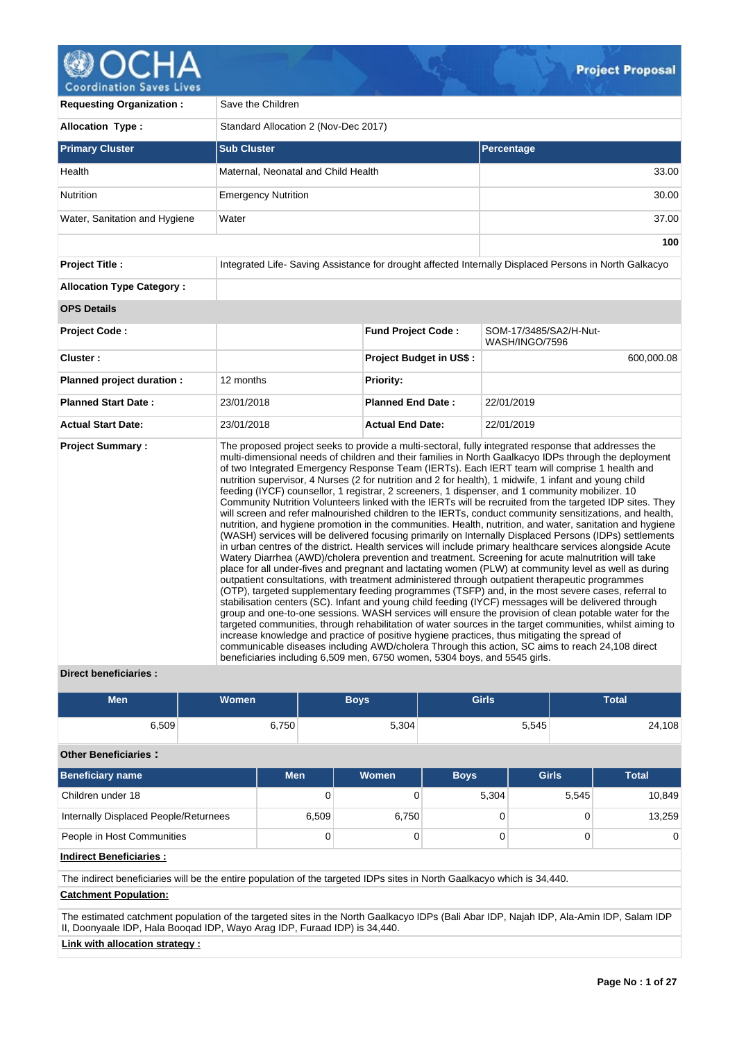

| <b>Requesting Organization:</b>  | Save the Children                                                         |                                      |                                                                                                                                                                                                                                                                                                                                                                                                                                                                                                                                                                                                                                                                                                                                                                                                                                                                                                                                                                                                                                                                                                                                                                                                                                                                                                                                                                                                                                                                                                                                                                                                                                                                                                                                                                                                                                                                                                                                                                                                                                                  |  |  |  |
|----------------------------------|---------------------------------------------------------------------------|--------------------------------------|--------------------------------------------------------------------------------------------------------------------------------------------------------------------------------------------------------------------------------------------------------------------------------------------------------------------------------------------------------------------------------------------------------------------------------------------------------------------------------------------------------------------------------------------------------------------------------------------------------------------------------------------------------------------------------------------------------------------------------------------------------------------------------------------------------------------------------------------------------------------------------------------------------------------------------------------------------------------------------------------------------------------------------------------------------------------------------------------------------------------------------------------------------------------------------------------------------------------------------------------------------------------------------------------------------------------------------------------------------------------------------------------------------------------------------------------------------------------------------------------------------------------------------------------------------------------------------------------------------------------------------------------------------------------------------------------------------------------------------------------------------------------------------------------------------------------------------------------------------------------------------------------------------------------------------------------------------------------------------------------------------------------------------------------------|--|--|--|
| <b>Allocation Type:</b>          |                                                                           | Standard Allocation 2 (Nov-Dec 2017) |                                                                                                                                                                                                                                                                                                                                                                                                                                                                                                                                                                                                                                                                                                                                                                                                                                                                                                                                                                                                                                                                                                                                                                                                                                                                                                                                                                                                                                                                                                                                                                                                                                                                                                                                                                                                                                                                                                                                                                                                                                                  |  |  |  |
| <b>Primary Cluster</b>           | <b>Sub Cluster</b>                                                        |                                      | Percentage                                                                                                                                                                                                                                                                                                                                                                                                                                                                                                                                                                                                                                                                                                                                                                                                                                                                                                                                                                                                                                                                                                                                                                                                                                                                                                                                                                                                                                                                                                                                                                                                                                                                                                                                                                                                                                                                                                                                                                                                                                       |  |  |  |
| Health                           | Maternal, Neonatal and Child Health                                       |                                      | 33.00                                                                                                                                                                                                                                                                                                                                                                                                                                                                                                                                                                                                                                                                                                                                                                                                                                                                                                                                                                                                                                                                                                                                                                                                                                                                                                                                                                                                                                                                                                                                                                                                                                                                                                                                                                                                                                                                                                                                                                                                                                            |  |  |  |
| Nutrition                        | <b>Emergency Nutrition</b>                                                |                                      | 30.00                                                                                                                                                                                                                                                                                                                                                                                                                                                                                                                                                                                                                                                                                                                                                                                                                                                                                                                                                                                                                                                                                                                                                                                                                                                                                                                                                                                                                                                                                                                                                                                                                                                                                                                                                                                                                                                                                                                                                                                                                                            |  |  |  |
| Water, Sanitation and Hygiene    | Water                                                                     |                                      | 37.00                                                                                                                                                                                                                                                                                                                                                                                                                                                                                                                                                                                                                                                                                                                                                                                                                                                                                                                                                                                                                                                                                                                                                                                                                                                                                                                                                                                                                                                                                                                                                                                                                                                                                                                                                                                                                                                                                                                                                                                                                                            |  |  |  |
|                                  |                                                                           |                                      | 100                                                                                                                                                                                                                                                                                                                                                                                                                                                                                                                                                                                                                                                                                                                                                                                                                                                                                                                                                                                                                                                                                                                                                                                                                                                                                                                                                                                                                                                                                                                                                                                                                                                                                                                                                                                                                                                                                                                                                                                                                                              |  |  |  |
| <b>Project Title:</b>            |                                                                           |                                      | Integrated Life-Saving Assistance for drought affected Internally Displaced Persons in North Galkacyo                                                                                                                                                                                                                                                                                                                                                                                                                                                                                                                                                                                                                                                                                                                                                                                                                                                                                                                                                                                                                                                                                                                                                                                                                                                                                                                                                                                                                                                                                                                                                                                                                                                                                                                                                                                                                                                                                                                                            |  |  |  |
| <b>Allocation Type Category:</b> |                                                                           |                                      |                                                                                                                                                                                                                                                                                                                                                                                                                                                                                                                                                                                                                                                                                                                                                                                                                                                                                                                                                                                                                                                                                                                                                                                                                                                                                                                                                                                                                                                                                                                                                                                                                                                                                                                                                                                                                                                                                                                                                                                                                                                  |  |  |  |
| <b>OPS Details</b>               |                                                                           |                                      |                                                                                                                                                                                                                                                                                                                                                                                                                                                                                                                                                                                                                                                                                                                                                                                                                                                                                                                                                                                                                                                                                                                                                                                                                                                                                                                                                                                                                                                                                                                                                                                                                                                                                                                                                                                                                                                                                                                                                                                                                                                  |  |  |  |
| <b>Project Code:</b>             |                                                                           | <b>Fund Project Code:</b>            | SOM-17/3485/SA2/H-Nut-<br>WASH/INGO/7596                                                                                                                                                                                                                                                                                                                                                                                                                                                                                                                                                                                                                                                                                                                                                                                                                                                                                                                                                                                                                                                                                                                                                                                                                                                                                                                                                                                                                                                                                                                                                                                                                                                                                                                                                                                                                                                                                                                                                                                                         |  |  |  |
| Cluster:                         |                                                                           | <b>Project Budget in US\$:</b>       | 600,000.08                                                                                                                                                                                                                                                                                                                                                                                                                                                                                                                                                                                                                                                                                                                                                                                                                                                                                                                                                                                                                                                                                                                                                                                                                                                                                                                                                                                                                                                                                                                                                                                                                                                                                                                                                                                                                                                                                                                                                                                                                                       |  |  |  |
| Planned project duration :       | 12 months                                                                 | <b>Priority:</b>                     |                                                                                                                                                                                                                                                                                                                                                                                                                                                                                                                                                                                                                                                                                                                                                                                                                                                                                                                                                                                                                                                                                                                                                                                                                                                                                                                                                                                                                                                                                                                                                                                                                                                                                                                                                                                                                                                                                                                                                                                                                                                  |  |  |  |
| <b>Planned Start Date:</b>       | 23/01/2018                                                                | <b>Planned End Date:</b>             | 22/01/2019                                                                                                                                                                                                                                                                                                                                                                                                                                                                                                                                                                                                                                                                                                                                                                                                                                                                                                                                                                                                                                                                                                                                                                                                                                                                                                                                                                                                                                                                                                                                                                                                                                                                                                                                                                                                                                                                                                                                                                                                                                       |  |  |  |
| <b>Actual Start Date:</b>        | 23/01/2018                                                                | <b>Actual End Date:</b>              | 22/01/2019                                                                                                                                                                                                                                                                                                                                                                                                                                                                                                                                                                                                                                                                                                                                                                                                                                                                                                                                                                                                                                                                                                                                                                                                                                                                                                                                                                                                                                                                                                                                                                                                                                                                                                                                                                                                                                                                                                                                                                                                                                       |  |  |  |
| <b>Project Summary:</b>          | beneficiaries including 6,509 men, 6750 women, 5304 boys, and 5545 girls. |                                      | The proposed project seeks to provide a multi-sectoral, fully integrated response that addresses the<br>multi-dimensional needs of children and their families in North Gaalkacyo IDPs through the deployment<br>of two Integrated Emergency Response Team (IERTs). Each IERT team will comprise 1 health and<br>nutrition supervisor, 4 Nurses (2 for nutrition and 2 for health), 1 midwife, 1 infant and young child<br>feeding (IYCF) counsellor, 1 registrar, 2 screeners, 1 dispenser, and 1 community mobilizer. 10<br>Community Nutrition Volunteers linked with the IERTs will be recruited from the targeted IDP sites. They<br>will screen and refer malnourished children to the IERTs, conduct community sensitizations, and health,<br>nutrition, and hygiene promotion in the communities. Health, nutrition, and water, sanitation and hygiene<br>(WASH) services will be delivered focusing primarily on Internally Displaced Persons (IDPs) settlements<br>in urban centres of the district. Health services will include primary healthcare services alongside Acute<br>Watery Diarrhea (AWD)/cholera prevention and treatment. Screening for acute malnutrition will take<br>place for all under-fives and pregnant and lactating women (PLW) at community level as well as during<br>outpatient consultations, with treatment administered through outpatient therapeutic programmes<br>(OTP), targeted supplementary feeding programmes (TSFP) and, in the most severe cases, referral to<br>stabilisation centers (SC). Infant and young child feeding (IYCF) messages will be delivered through<br>group and one-to-one sessions. WASH services will ensure the provision of clean potable water for the<br>targeted communities, through rehabilitation of water sources in the target communities, whilst aiming to<br>increase knowledge and practice of positive hygiene practices, thus mitigating the spread of<br>communicable diseases including AWD/cholera Through this action, SC aims to reach 24,108 direct |  |  |  |

# **Direct beneficiaries :**

| Men   | <b>Women</b> | <b>Boys</b> | Girls | <b>Total</b> |
|-------|--------------|-------------|-------|--------------|
| 6,509 | 6,750        | 5,304       | 5,545 | 24,108       |

# **Other Beneficiaries :**

| <b>Beneficiary name</b>               | <b>Men</b> | Women | <b>Boys</b> | <b>Girls</b> | <b>Total</b> |
|---------------------------------------|------------|-------|-------------|--------------|--------------|
| Children under 18                     |            |       | 5.304       | 5.545        | 10,849       |
| Internally Displaced People/Returnees | 6,509      | 6,750 |             |              | 13,259       |
| People in Host Communities            | 0          |       |             |              |              |

# **Indirect Beneficiaries :**

The indirect beneficiaries will be the entire population of the targeted IDPs sites in North Gaalkacyo which is 34,440.

# **Catchment Population:**

The estimated catchment population of the targeted sites in the North Gaalkacyo IDPs (Bali Abar IDP, Najah IDP, Ala-Amin IDP, Salam IDP II, Doonyaale IDP, Hala Booqad IDP, Wayo Arag IDP, Furaad IDP) is 34,440.

# **Link with allocation strategy :**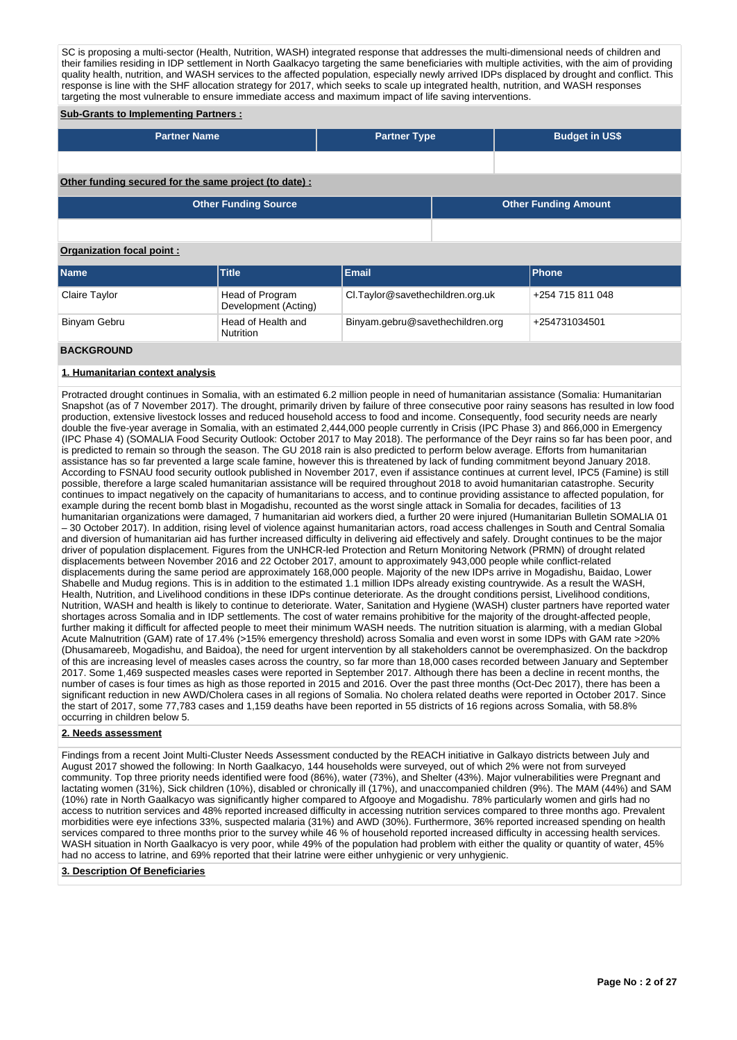SC is proposing a multi-sector (Health, Nutrition, WASH) integrated response that addresses the multi-dimensional needs of children and their families residing in IDP settlement in North Gaalkacyo targeting the same beneficiaries with multiple activities, with the aim of providing number of the affected population, especially newly arrived IDPs displaced by drought and conflict. This quality health, nutrition, and WASH services to the affected population, especially newly arrived IDPs displaced by d response is line with the SHF allocation strategy for 2017, which seeks to scale up integrated health, nutrition, and WASH responses targeting the most vulnerable to ensure immediate access and maximum impact of life saving interventions.

# **Sub-Grants to Implementing Partners :**

| <b>Partner Name</b>                                    | <b>Partner Type</b> |  | <b>Budget in US\$</b>       |
|--------------------------------------------------------|---------------------|--|-----------------------------|
|                                                        |                     |  |                             |
| Other funding secured for the same project (to date) : |                     |  |                             |
| <b>Other Funding Source</b>                            |                     |  | <b>Other Funding Amount</b> |
|                                                        |                     |  |                             |

# **Organization focal point :**

| <b>Name</b>   | <b>Title</b>                            | Email                            | <b>Phone</b>     |
|---------------|-----------------------------------------|----------------------------------|------------------|
| Claire Taylor | Head of Program<br>Development (Acting) | CI.Taylor@savethechildren.org.uk | +254 715 811 048 |
| Binyam Gebru  | Head of Health and<br><b>Nutrition</b>  | Binyam.gebru@savethechildren.org | +254731034501    |

## **BACKGROUND**

## **1. Humanitarian context analysis**

Protracted drought continues in Somalia, with an estimated 6.2 million people in need of humanitarian assistance (Somalia: Humanitarian Snapshot (as of 7 November 2017). The drought, primarily driven by failure of three consecutive poor rainy seasons has resulted in low food production, extensive livestock losses and reduced household access to food and income. Consequently, food security needs are nearly double the five-year average in Somalia, with an estimated 2,444,000 people currently in Crisis (IPC Phase 3) and 866,000 in Emergency (IPC Phase 4) (SOMALIA Food Security Outlook: October 2017 to May 2018). The performance of the Deyr rains so far has been poor, and is predicted to remain so through the season. The GU 2018 rain is also predicted to perform below average. Efforts from humanitarian assistance has so far prevented a large scale famine, however this is threatened by lack of funding commitment beyond January 2018. According to FSNAU food security outlook published in November 2017, even if assistance continues at current level, IPC5 (Famine) is still possible, therefore a large scaled humanitarian assistance will be required throughout 2018 to avoid humanitarian catastrophe. Security continues to impact negatively on the capacity of humanitarians to access, and to continue providing assistance to affected population, for example during the recent bomb blast in Mogadishu, recounted as the worst single attack in Somalia for decades, facilities of 13 humanitarian organizations were damaged, 7 humanitarian aid workers died, a further 20 were injured (Humanitarian Bulletin SOMALIA 01 – 30 October 2017). In addition, rising level of violence against humanitarian actors, road access challenges in South and Central Somalia and diversion of humanitarian aid has further increased difficulty in delivering aid effectively and safely. Drought continues to be the major driver of population displacement. Figures from the UNHCR-led Protection and Return Monitoring Network (PRMN) of drought related displacements between November 2016 and 22 October 2017, amount to approximately 943,000 people while conflict-related displacements during the same period are approximately 168,000 people. Majority of the new IDPs arrive in Mogadishu, Baidao, Lower Shabelle and Mudug regions. This is in addition to the estimated 1.1 million IDPs already existing countrywide. As a result the WASH, Health, Nutrition, and Livelihood conditions in these IDPs continue deteriorate. As the drought conditions persist, Livelihood conditions, Nutrition, WASH and health is likely to continue to deteriorate. Water, Sanitation and Hygiene (WASH) cluster partners have reported water shortages across Somalia and in IDP settlements. The cost of water remains prohibitive for the majority of the drought-affected people, further making it difficult for affected people to meet their minimum WASH needs. The nutrition situation is alarming, with a median Global Acute Malnutrition (GAM) rate of 17.4% (>15% emergency threshold) across Somalia and even worst in some IDPs with GAM rate >20% (Dhusamareeb, Mogadishu, and Baidoa), the need for urgent intervention by all stakeholders cannot be overemphasized. On the backdrop of this are increasing level of measles cases across the country, so far more than 18,000 cases recorded between January and September 2017. Some 1,469 suspected measles cases were reported in September 2017. Although there has been a decline in recent months, the number of cases is four times as high as those reported in 2015 and 2016. Over the past three months (Oct-Dec 2017), there has been a significant reduction in new AWD/Cholera cases in all regions of Somalia. No cholera related deaths were reported in October 2017. Since the start of 2017, some 77,783 cases and 1,159 deaths have been reported in 55 districts of 16 regions across Somalia, with 58.8% occurring in children below 5.

#### **2. Needs assessment**

Findings from a recent Joint Multi-Cluster Needs Assessment conducted by the REACH initiative in Galkayo districts between July and August 2017 showed the following: In North Gaalkacyo, 144 households were surveyed, out of which 2% were not from surveyed community. Top three priority needs identified were food (86%), water (73%), and Shelter (43%). Major vulnerabilities were Pregnant and lactating women (31%), Sick children (10%), disabled or chronically ill (17%), and unaccompanied children (9%). The MAM (44%) and SAM (10%) rate in North Gaalkacyo was significantly higher compared to Afgooye and Mogadishu. 78% particularly women and girls had no access to nutrition services and 48% reported increased difficulty in accessing nutrition services compared to three months ago. Prevalent morbidities were eye infections 33%, suspected malaria (31%) and AWD (30%). Furthermore, 36% reported increased spending on health services compared to three months prior to the survey while 46 % of household reported increased difficulty in accessing health services. WASH situation in North Gaalkacyo is very poor, while 49% of the population had problem with either the quality or quantity of water, 45% had no access to latrine, and 69% reported that their latrine were either unhygienic or very unhygienic.

#### **3. Description Of Beneficiaries**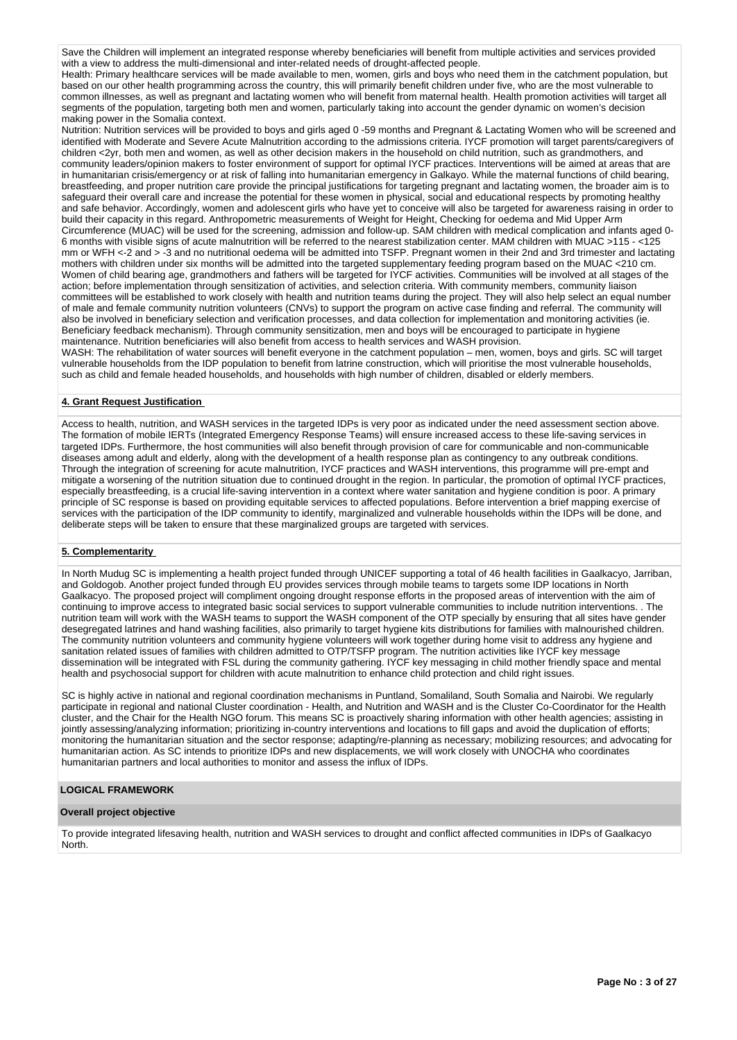Save the Children will implement an integrated response whereby beneficiaries will benefit from multiple activities and services provided with a view to address the multi-dimensional and inter-related needs of drought-affected people.

Health: Primary healthcare services will be made available to men, women, girls and boys who need them in the catchment population, but based on our other health programming across the country, this will primarily benefit children under five, who are the most vulnerable to common illnesses, as well as pregnant and lactating women who will benefit from maternal health. Health promotion activities will target all segments of the population, targeting both men and women, particularly taking into account the gender dynamic on women's decision making power in the Somalia context.

Nutrition: Nutrition services will be provided to boys and girls aged 0 -59 months and Pregnant & Lactating Women who will be screened and identified with Moderate and Severe Acute Malnutrition according to the admissions criteria. IYCF promotion will target parents/caregivers of children <2yr, both men and women, as well as other decision makers in the household on child nutrition, such as grandmothers, and community leaders/opinion makers to foster environment of support for optimal IYCF practices. Interventions will be aimed at areas that are in humanitarian crisis/emergency or at risk of falling into humanitarian emergency in Galkayo. While the maternal functions of child bearing, breastfeeding, and proper nutrition care provide the principal justifications for targeting pregnant and lactating women, the broader aim is to safeguard their overall care and increase the potential for these women in physical, social and educational respects by promoting healthy and safe behavior. Accordingly, women and adolescent girls who have yet to conceive will also be targeted for awareness raising in order to build their capacity in this regard. Anthropometric measurements of Weight for Height, Checking for oedema and Mid Upper Arm Circumference (MUAC) will be used for the screening, admission and follow-up. SAM children with medical complication and infants aged 0- 6 months with visible signs of acute malnutrition will be referred to the nearest stabilization center. MAM children with MUAC >115 - <125 mm or WFH <-2 and > -3 and no nutritional oedema will be admitted into TSFP. Pregnant women in their 2nd and 3rd trimester and lactating mothers with children under six months will be admitted into the targeted supplementary feeding program based on the MUAC <210 cm. Women of child bearing age, grandmothers and fathers will be targeted for IYCF activities. Communities will be involved at all stages of the action; before implementation through sensitization of activities, and selection criteria. With community members, community liaison committees will be established to work closely with health and nutrition teams during the project. They will also help select an equal number of male and female community nutrition volunteers (CNVs) to support the program on active case finding and referral. The community will also be involved in beneficiary selection and verification processes, and data collection for implementation and monitoring activities (ie. Beneficiary feedback mechanism). Through community sensitization, men and boys will be encouraged to participate in hygiene maintenance. Nutrition beneficiaries will also benefit from access to health services and WASH provision.

WASH: The rehabilitation of water sources will benefit everyone in the catchment population – men, women, boys and girls. SC will target vulnerable households from the IDP population to benefit from latrine construction, which will prioritise the most vulnerable households, such as child and female headed households, and households with high number of children, disabled or elderly members.

## **4. Grant Request Justification**

Access to health, nutrition, and WASH services in the targeted IDPs is very poor as indicated under the need assessment section above. The formation of mobile IERTs (Integrated Emergency Response Teams) will ensure increased access to these life-saving services in targeted IDPs. Furthermore, the host communities will also benefit through provision of care for communicable and non-communicable diseases among adult and elderly, along with the development of a health response plan as contingency to any outbreak conditions. Through the integration of screening for acute malnutrition, IYCF practices and WASH interventions, this programme will pre-empt and mitigate a worsening of the nutrition situation due to continued drought in the region. In particular, the promotion of optimal IYCF practices, especially breastfeeding, is a crucial life-saving intervention in a context where water sanitation and hygiene condition is poor. A primary principle of SC response is based on providing equitable services to affected populations. Before intervention a brief mapping exercise of services with the participation of the IDP community to identify, marginalized and vulnerable households within the IDPs will be done, and deliberate steps will be taken to ensure that these marginalized groups are targeted with services.

## **5. Complementarity**

In North Mudug SC is implementing a health project funded through UNICEF supporting a total of 46 health facilities in Gaalkacyo, Jarriban, and Goldogob. Another project funded through EU provides services through mobile teams to targets some IDP locations in North Gaalkacyo. The proposed project will compliment ongoing drought response efforts in the proposed areas of intervention with the aim of continuing to improve access to integrated basic social services to support vulnerable communities to include nutrition interventions. . The nutrition team will work with the WASH teams to support the WASH component of the OTP specially by ensuring that all sites have gender desegregated latrines and hand washing facilities, also primarily to target hygiene kits distributions for families with malnourished children. The community nutrition volunteers and community hygiene volunteers will work together during home visit to address any hygiene and sanitation related issues of families with children admitted to OTP/TSFP program. The nutrition activities like IYCF key message dissemination will be integrated with FSL during the community gathering. IYCF key messaging in child mother friendly space and mental health and psychosocial support for children with acute malnutrition to enhance child protection and child right issues.

SC is highly active in national and regional coordination mechanisms in Puntland, Somaliland, South Somalia and Nairobi. We regularly participate in regional and national Cluster coordination - Health, and Nutrition and WASH and is the Cluster Co-Coordinator for the Health cluster, and the Chair for the Health NGO forum. This means SC is proactively sharing information with other health agencies; assisting in jointly assessing/analyzing information; prioritizing in-country interventions and locations to fill gaps and avoid the duplication of efforts; monitoring the humanitarian situation and the sector response; adapting/re-planning as necessary; mobilizing resources; and advocating for humanitarian action. As SC intends to prioritize IDPs and new displacements, we will work closely with UNOCHA who coordinates humanitarian partners and local authorities to monitor and assess the influx of IDPs.

## **LOGICAL FRAMEWORK**

## **Overall project objective**

To provide integrated lifesaving health, nutrition and WASH services to drought and conflict affected communities in IDPs of Gaalkacyo North.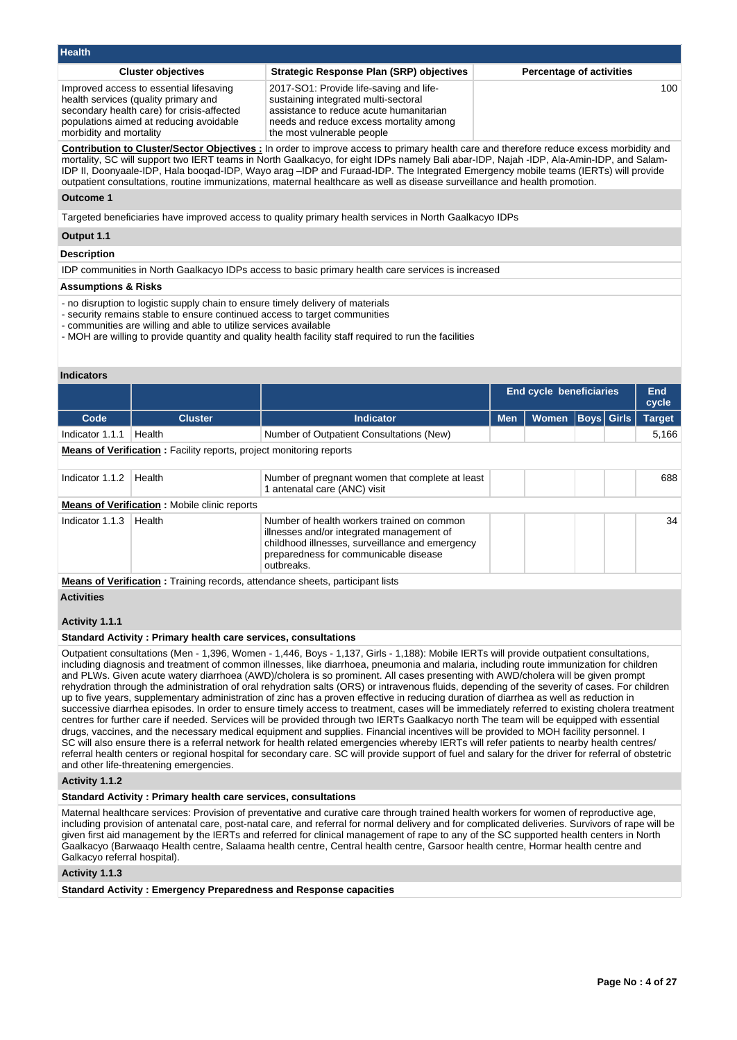| <b>Health</b>                                                                                                                                                                                       |                                                                                                                                                                                                     |                                 |
|-----------------------------------------------------------------------------------------------------------------------------------------------------------------------------------------------------|-----------------------------------------------------------------------------------------------------------------------------------------------------------------------------------------------------|---------------------------------|
| <b>Cluster objectives</b>                                                                                                                                                                           | <b>Strategic Response Plan (SRP) objectives</b>                                                                                                                                                     | <b>Percentage of activities</b> |
| Improved access to essential lifesaving<br>health services (quality primary and<br>secondary health care) for crisis-affected<br>populations aimed at reducing avoidable<br>morbidity and mortality | 2017-SO1: Provide life-saving and life-<br>sustaining integrated multi-sectoral<br>assistance to reduce acute humanitarian<br>needs and reduce excess mortality among<br>the most vulnerable people | 100                             |

**Contribution to Cluster/Sector Objectives :** In order to improve access to primary health care and therefore reduce excess morbidity and mortality, SC will support two IERT teams in North Gaalkacyo, for eight IDPs namely Bali abar-IDP, Najah -IDP, Ala-Amin-IDP, and Salam-IDP II, Doonyaale-IDP, Hala booqad-IDP, Wayo arag –IDP and Furaad-IDP. The Integrated Emergency mobile teams (IERTs) will provide outpatient consultations, routine immunizations, maternal healthcare as well as disease surveillance and health promotion.

## **Outcome 1**

Targeted beneficiaries have improved access to quality primary health services in North Gaalkacyo IDPs

# **Output 1.1**

### **Description**

IDP communities in North Gaalkacyo IDPs access to basic primary health care services is increased

#### **Assumptions & Risks**

- no disruption to logistic supply chain to ensure timely delivery of materials

- security remains stable to ensure continued access to target communities
- communities are willing and able to utilize services available

- MOH are willing to provide quantity and quality health facility staff required to run the facilities

#### **Indicators**

|                 |                                                                            |                                                                                                                                                                                                   | End cycle beneficiaries |              |                   | End<br>cycle |               |  |
|-----------------|----------------------------------------------------------------------------|---------------------------------------------------------------------------------------------------------------------------------------------------------------------------------------------------|-------------------------|--------------|-------------------|--------------|---------------|--|
| Code            | <b>Cluster</b>                                                             | <b>Indicator</b>                                                                                                                                                                                  | <b>Men</b>              | <b>Women</b> | <b>Boys Girls</b> |              | <b>Target</b> |  |
| Indicator 1.1.1 | Health                                                                     | Number of Outpatient Consultations (New)                                                                                                                                                          |                         |              |                   |              | 5,166         |  |
|                 | <b>Means of Verification:</b> Facility reports, project monitoring reports |                                                                                                                                                                                                   |                         |              |                   |              |               |  |
| Indicator 1.1.2 | Health                                                                     | Number of pregnant women that complete at least<br>1 antenatal care (ANC) visit                                                                                                                   |                         |              |                   |              | 688           |  |
|                 | <b>Means of Verification: Mobile clinic reports</b>                        |                                                                                                                                                                                                   |                         |              |                   |              |               |  |
| Indicator 1.1.3 | Health                                                                     | Number of health workers trained on common<br>illnesses and/or integrated management of<br>childhood illnesses, surveillance and emergency<br>preparedness for communicable disease<br>outbreaks. |                         |              |                   |              | 34            |  |
|                 |                                                                            | <b>Means of Verification:</b> Training records, attendance sheets, participant lists                                                                                                              |                         |              |                   |              |               |  |

**Activities**

#### **Activity 1.1.1**

#### **Standard Activity : Primary health care services, consultations**

Outpatient consultations (Men - 1,396, Women - 1,446, Boys - 1,137, Girls - 1,188): Mobile IERTs will provide outpatient consultations, including diagnosis and treatment of common illnesses, like diarrhoea, pneumonia and malaria, including route immunization for children and PLWs. Given acute watery diarrhoea (AWD)/cholera is so prominent. All cases presenting with AWD/cholera will be given prompt rehydration through the administration of oral rehydration salts (ORS) or intravenous fluids, depending of the severity of cases. For children up to five years, supplementary administration of zinc has a proven effective in reducing duration of diarrhea as well as reduction in successive diarrhea episodes. In order to ensure timely access to treatment, cases will be immediately referred to existing cholera treatment centres for further care if needed. Services will be provided through two IERTs Gaalkacyo north The team will be equipped with essential drugs, vaccines, and the necessary medical equipment and supplies. Financial incentives will be provided to MOH facility personnel. I SC will also ensure there is a referral network for health related emergencies whereby IERTs will refer patients to nearby health centres/ referral health centers or regional hospital for secondary care. SC will provide support of fuel and salary for the driver for referral of obstetric and other life-threatening emergencies.

#### **Activity 1.1.2**

### **Standard Activity : Primary health care services, consultations**

Maternal healthcare services: Provision of preventative and curative care through trained health workers for women of reproductive age, including provision of antenatal care, post-natal care, and referral for normal delivery and for complicated deliveries. Survivors of rape will be given first aid management by the IERTs and referred for clinical management of rape to any of the SC supported health centers in North Gaalkacyo (Barwaaqo Health centre, Salaama health centre, Central health centre, Garsoor health centre, Hormar health centre and Galkacyo referral hospital).

## **Activity 1.1.3**

**Standard Activity : Emergency Preparedness and Response capacities**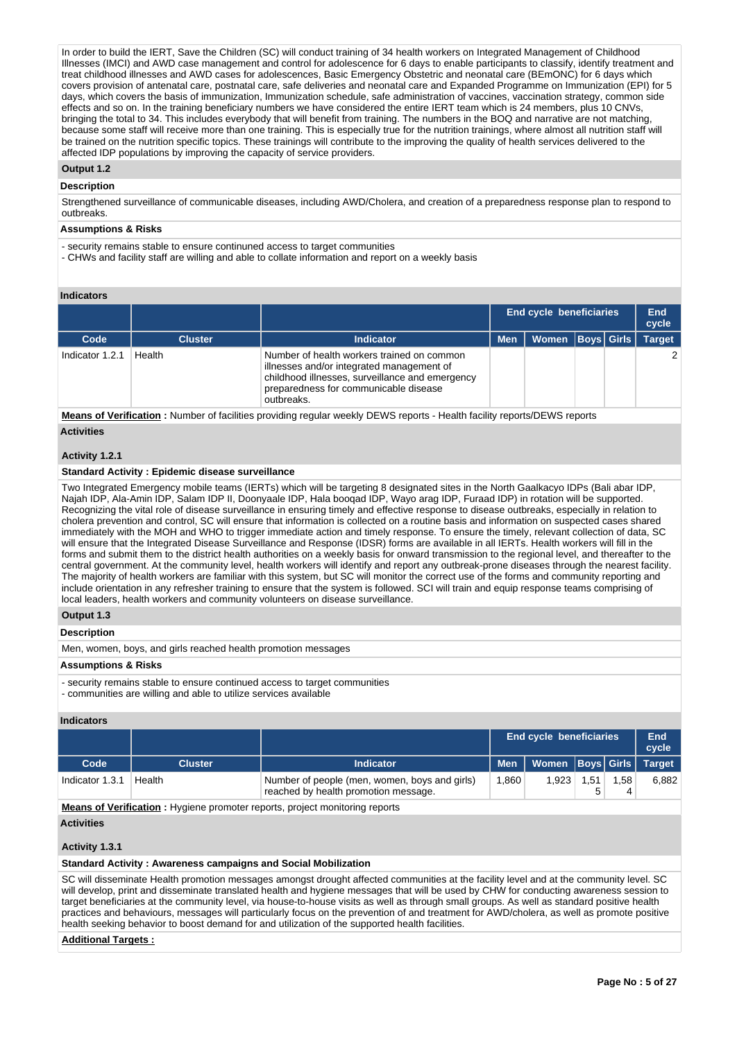In order to build the IERT, Save the Children (SC) will conduct training of 34 health workers on Integrated Management of Childhood Illnesses (IMCI) and AWD case management and control for adolescence for 6 days to enable participants to classify, identify treatment and treat childhood illnesses and AWD cases for adolescences, Basic Emergency Obstetric and neonatal care (BEmONC) for 6 days which covers provision of antenatal care, postnatal care, safe deliveries and neonatal care and Expanded Programme on Immunization (EPI) for 5 days, which covers the basis of immunization, Immunization schedule, safe administration of vaccines, vaccination strategy, common side effects and so on. In the training beneficiary numbers we have considered the entire IERT team which is 24 members, plus 10 CNVs, bringing the total to 34. This includes everybody that will benefit from training. The numbers in the BOQ and narrative are not matching, because some staff will receive more than one training. This is especially true for the nutrition trainings, where almost all nutrition staff will be trained on the nutrition specific topics. These trainings will contribute to the improving the quality of health services delivered to the affected IDP populations by improving the capacity of service providers.

## **Output 1.2**

## **Description**

Strengthened surveillance of communicable diseases, including AWD/Cholera, and creation of a preparedness response plan to respond to outbreaks.

#### **Assumptions & Risks**

- security remains stable to ensure continuned access to target communities

- CHWs and facility staff are willing and able to collate information and report on a weekly basis

### **Indicators**

|                 |                |                                                                                                                                                                                                   | End cycle beneficiaries |                      |  | End<br>cycle |               |
|-----------------|----------------|---------------------------------------------------------------------------------------------------------------------------------------------------------------------------------------------------|-------------------------|----------------------|--|--------------|---------------|
| Code            | <b>Cluster</b> | <b>Indicator</b>                                                                                                                                                                                  | <b>Men</b>              | Women   Boys   Girls |  |              | <b>Target</b> |
| Indicator 1.2.1 | Health         | Number of health workers trained on common<br>illnesses and/or integrated management of<br>childhood illnesses, surveillance and emergency<br>preparedness for communicable disease<br>outbreaks. |                         |                      |  |              | $\mathcal{P}$ |

**Means of Verification :** Number of facilities providing regular weekly DEWS reports - Health facility reports/DEWS reports **Activities**

#### **Activity 1.2.1**

#### **Standard Activity : Epidemic disease surveillance**

Two Integrated Emergency mobile teams (IERTs) which will be targeting 8 designated sites in the North Gaalkacyo IDPs (Bali abar IDP, Najah IDP, Ala-Amin IDP, Salam IDP II, Doonyaale IDP, Hala booqad IDP, Wayo arag IDP, Furaad IDP) in rotation will be supported. Recognizing the vital role of disease surveillance in ensuring timely and effective response to disease outbreaks, especially in relation to cholera prevention and control, SC will ensure that information is collected on a routine basis and information on suspected cases shared immediately with the MOH and WHO to trigger immediate action and timely response. To ensure the timely, relevant collection of data, SC will ensure that the Integrated Disease Surveillance and Response (IDSR) forms are available in all IERTs. Health workers will fill in the forms and submit them to the district health authorities on a weekly basis for onward transmission to the regional level, and thereafter to the central government. At the community level, health workers will identify and report any outbreak-prone diseases through the nearest facility. The majority of health workers are familiar with this system, but SC will monitor the correct use of the forms and community reporting and include orientation in any refresher training to ensure that the system is followed. SCI will train and equip response teams comprising of local leaders, health workers and community volunteers on disease surveillance.

# **Output 1.3**

# **Description**

Men, women, boys, and girls reached health promotion messages

## **Assumptions & Risks**

- security remains stable to ensure continued access to target communities - communities are willing and able to utilize services available

#### **Indicators**

|                                                                                    |                |                                                                                       | <b>End cycle beneficiaries</b> |                         |      |      | End<br>cycle |
|------------------------------------------------------------------------------------|----------------|---------------------------------------------------------------------------------------|--------------------------------|-------------------------|------|------|--------------|
| Code                                                                               | <b>Cluster</b> | Indicator                                                                             | <b>Men</b>                     | Women Boys Girls Target |      |      |              |
| Indicator 1.3.1                                                                    | Health         | Number of people (men, women, boys and girls)<br>reached by health promotion message. | 1.860                          | 1.923                   | 1.51 | 1,58 | 6,882        |
| <b>Means of Verification:</b> Hygiene promoter reports, project monitoring reports |                |                                                                                       |                                |                         |      |      |              |

**Activities**

#### **Activity 1.3.1**

#### **Standard Activity : Awareness campaigns and Social Mobilization**

SC will disseminate Health promotion messages amongst drought affected communities at the facility level and at the community level. SC will develop, print and disseminate translated health and hygiene messages that will be used by CHW for conducting awareness session to target beneficiaries at the community level, via house-to-house visits as well as through small groups. As well as standard positive health practices and behaviours, messages will particularly focus on the prevention of and treatment for AWD/cholera, as well as promote positive health seeking behavior to boost demand for and utilization of the supported health facilities.

#### **Additional Targets :**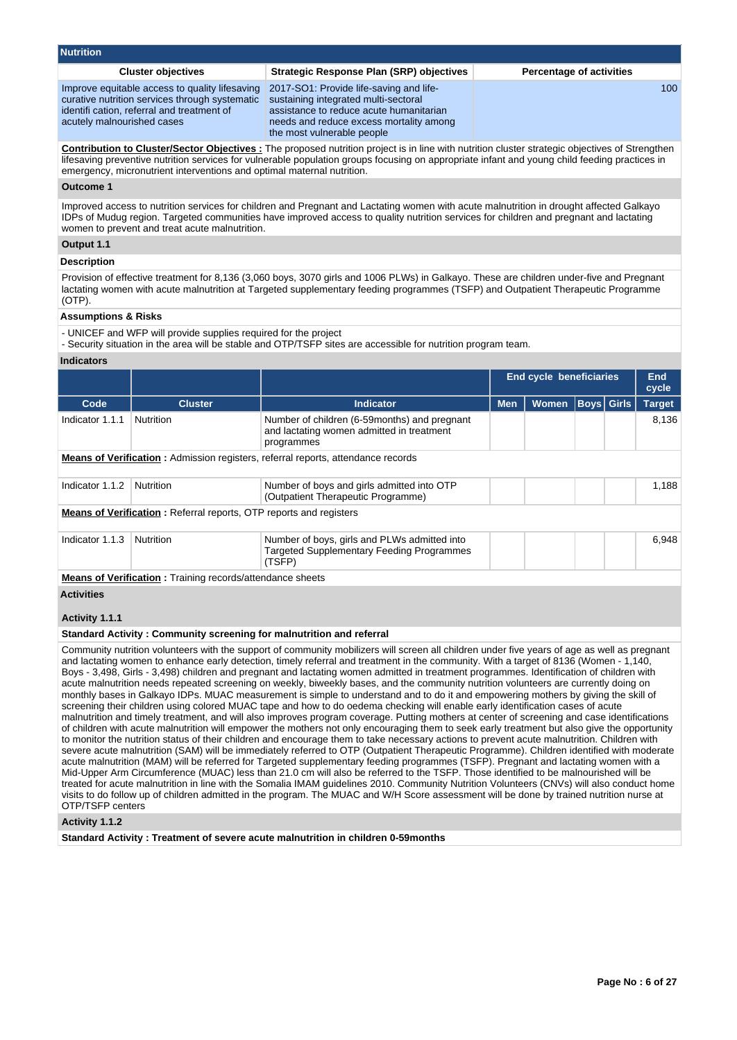| <b>Nutrition</b>                                                                                                                                                             |                                                                                                                                                                                                     |                                 |
|------------------------------------------------------------------------------------------------------------------------------------------------------------------------------|-----------------------------------------------------------------------------------------------------------------------------------------------------------------------------------------------------|---------------------------------|
| <b>Cluster objectives</b>                                                                                                                                                    | <b>Strategic Response Plan (SRP) objectives</b>                                                                                                                                                     | <b>Percentage of activities</b> |
| Improve equitable access to quality lifesaving<br>curative nutrition services through systematic<br>identifi cation, referral and treatment of<br>acutely malnourished cases | 2017-SO1: Provide life-saving and life-<br>sustaining integrated multi-sectoral<br>assistance to reduce acute humanitarian<br>needs and reduce excess mortality among<br>the most vulnerable people | 100                             |

**Contribution to Cluster/Sector Objectives :** The proposed nutrition project is in line with nutrition cluster strategic objectives of Strengthen lifesaving preventive nutrition services for vulnerable population groups focusing on appropriate infant and young child feeding practices in emergency, micronutrient interventions and optimal maternal nutrition.

#### **Outcome 1**

Improved access to nutrition services for children and Pregnant and Lactating women with acute malnutrition in drought affected Galkayo IDPs of Mudug region. Targeted communities have improved access to quality nutrition services for children and pregnant and lactating women to prevent and treat acute malnutrition.

### **Output 1.1**

## **Description**

Provision of effective treatment for 8,136 (3,060 boys, 3070 girls and 1006 PLWs) in Galkayo. These are children under-five and Pregnant lactating women with acute malnutrition at Targeted supplementary feeding programmes (TSFP) and Outpatient Therapeutic Programme (OTP).

# **Assumptions & Risks**

- UNICEF and WFP will provide supplies required for the project

- Security situation in the area will be stable and OTP/TSFP sites are accessible for nutrition program team.

#### **Indicators**

|                                                                                         |                                                                           |                                                                                                            | <b>End cycle beneficiaries</b> |              |             | End<br>cycle |               |  |  |
|-----------------------------------------------------------------------------------------|---------------------------------------------------------------------------|------------------------------------------------------------------------------------------------------------|--------------------------------|--------------|-------------|--------------|---------------|--|--|
| Code                                                                                    | <b>Cluster</b>                                                            | <b>Indicator</b>                                                                                           | <b>Men</b>                     | <b>Women</b> | Boys  Girls |              | <b>Target</b> |  |  |
| Indicator 1.1.1                                                                         | <b>Nutrition</b>                                                          | Number of children (6-59months) and pregnant<br>and lactating women admitted in treatment<br>programmes    |                                |              |             |              | 8.136         |  |  |
| <b>Means of Verification:</b> Admission registers, referral reports, attendance records |                                                                           |                                                                                                            |                                |              |             |              |               |  |  |
| Indicator 1.1.2                                                                         | <b>Nutrition</b>                                                          | Number of boys and girls admitted into OTP<br>(Outpatient Therapeutic Programme)                           |                                |              |             |              | 1.188         |  |  |
|                                                                                         | <b>Means of Verification:</b> Referral reports, OTP reports and registers |                                                                                                            |                                |              |             |              |               |  |  |
| Indicator 1.1.3                                                                         | <b>Nutrition</b>                                                          | Number of boys, girls and PLWs admitted into<br><b>Targeted Supplementary Feeding Programmes</b><br>(TSFP) |                                |              |             |              | 6.948         |  |  |
|                                                                                         | <b>Means of Verification:</b> Training records/attendance sheets          |                                                                                                            |                                |              |             |              |               |  |  |
| $\sim$ $\sim$ $\sim$ $\sim$                                                             |                                                                           |                                                                                                            |                                |              |             |              |               |  |  |

#### **Activities**

## **Activity 1.1.1**

#### **Standard Activity : Community screening for malnutrition and referral**

Community nutrition volunteers with the support of community mobilizers will screen all children under five years of age as well as pregnant and lactating women to enhance early detection, timely referral and treatment in the community. With a target of 8136 (Women - 1,140, Boys - 3,498, Girls - 3,498) children and pregnant and lactating women admitted in treatment programmes. Identification of children with acute malnutrition needs repeated screening on weekly, biweekly bases, and the community nutrition volunteers are currently doing on monthly bases in Galkayo IDPs. MUAC measurement is simple to understand and to do it and empowering mothers by giving the skill of screening their children using colored MUAC tape and how to do oedema checking will enable early identification cases of acute malnutrition and timely treatment, and will also improves program coverage. Putting mothers at center of screening and case identifications of children with acute malnutrition will empower the mothers not only encouraging them to seek early treatment but also give the opportunity to monitor the nutrition status of their children and encourage them to take necessary actions to prevent acute malnutrition. Children with severe acute malnutrition (SAM) will be immediately referred to OTP (Outpatient Therapeutic Programme). Children identified with moderate acute malnutrition (MAM) will be referred for Targeted supplementary feeding programmes (TSFP). Pregnant and lactating women with a Mid-Upper Arm Circumference (MUAC) less than 21.0 cm will also be referred to the TSFP. Those identified to be malnourished will be treated for acute malnutrition in line with the Somalia IMAM guidelines 2010. Community Nutrition Volunteers (CNVs) will also conduct home visits to do follow up of children admitted in the program. The MUAC and W/H Score assessment will be done by trained nutrition nurse at OTP/TSFP centers

## **Activity 1.1.2**

**Standard Activity : Treatment of severe acute malnutrition in children 0-59months**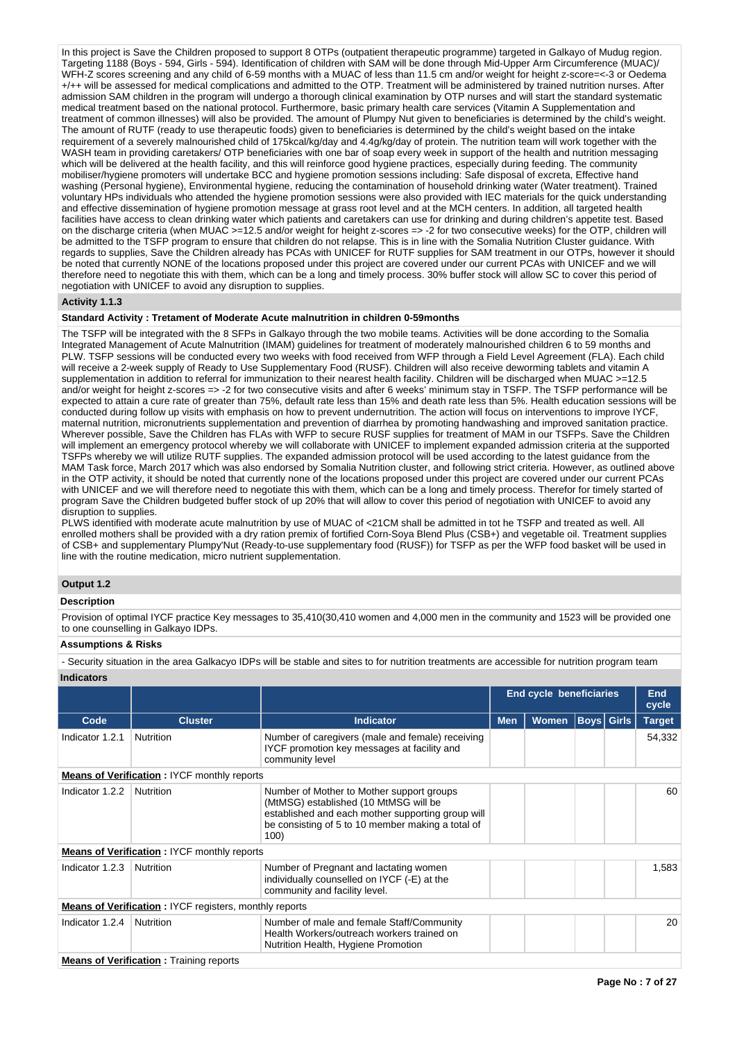In this project is Save the Children proposed to support 8 OTPs (outpatient therapeutic programme) targeted in Galkayo of Mudug region. Targeting 1188 (Boys - 594, Girls - 594). Identification of children with SAM will be done through Mid-Upper Arm Circumference (MUAC)/ WFH-Z scores screening and any child of 6-59 months with a MUAC of less than 11.5 cm and/or weight for height z-score=<-3 or Oedema +/++ will be assessed for medical complications and admitted to the OTP. Treatment will be administered by trained nutrition nurses. After admission SAM children in the program will undergo a thorough clinical examination by OTP nurses and will start the standard systematic medical treatment based on the national protocol. Furthermore, basic primary health care services (Vitamin A Supplementation and treatment of common illnesses) will also be provided. The amount of Plumpy Nut given to beneficiaries is determined by the child's weight. The amount of RUTF (ready to use therapeutic foods) given to beneficiaries is determined by the child's weight based on the intake requirement of a severely malnourished child of 175kcal/kg/day and 4.4g/kg/day of protein. The nutrition team will work together with the WASH team in providing caretakers/ OTP beneficiaries with one bar of soap every week in support of the health and nutrition messaging which will be delivered at the health facility, and this will reinforce good hygiene practices, especially during feeding. The community mobiliser/hygiene promoters will undertake BCC and hygiene promotion sessions including: Safe disposal of excreta, Effective hand washing (Personal hygiene), Environmental hygiene, reducing the contamination of household drinking water (Water treatment). Trained voluntary HPs individuals who attended the hygiene promotion sessions were also provided with IEC materials for the quick understanding and effective dissemination of hygiene promotion message at grass root level and at the MCH centers. In addition, all targeted health facilities have access to clean drinking water which patients and caretakers can use for drinking and during children's appetite test. Based on the discharge criteria (when MUAC >=12.5 and/or weight for height z-scores => -2 for two consecutive weeks) for the OTP, children will be admitted to the TSFP program to ensure that children do not relapse. This is in line with the Somalia Nutrition Cluster guidance. With regards to supplies, Save the Children already has PCAs with UNICEF for RUTF supplies for SAM treatment in our OTPs, however it should be noted that currently NONE of the locations proposed under this project are covered under our current PCAs with UNICEF and we will therefore need to negotiate this with them, which can be a long and timely process. 30% buffer stock will allow SC to cover this period of negotiation with UNICEF to avoid any disruption to supplies.

# **Activity 1.1.3**

## **Standard Activity : Tretament of Moderate Acute malnutrition in children 0-59months**

The TSFP will be integrated with the 8 SFPs in Galkayo through the two mobile teams. Activities will be done according to the Somalia Integrated Management of Acute Malnutrition (IMAM) guidelines for treatment of moderately malnourished children 6 to 59 months and PLW. TSFP sessions will be conducted every two weeks with food received from WFP through a Field Level Agreement (FLA). Each child will receive a 2-week supply of Ready to Use Supplementary Food (RUSF). Children will also receive deworming tablets and vitamin A supplementation in addition to referral for immunization to their nearest health facility. Children will be discharged when MUAC >=12.5 and/or weight for height z-scores => -2 for two consecutive visits and after 6 weeks' minimum stay in TSFP. The TSFP performance will be expected to attain a cure rate of greater than 75%, default rate less than 15% and death rate less than 5%. Health education sessions will be conducted during follow up visits with emphasis on how to prevent undernutrition. The action will focus on interventions to improve IYCF, maternal nutrition, micronutrients supplementation and prevention of diarrhea by promoting handwashing and improved sanitation practice. Wherever possible, Save the Children has FLAs with WFP to secure RUSF supplies for treatment of MAM in our TSFPs. Save the Children will implement an emergency protocol whereby we will collaborate with UNICEF to implement expanded admission criteria at the supported TSFPs whereby we will utilize RUTF supplies. The expanded admission protocol will be used according to the latest guidance from the MAM Task force, March 2017 which was also endorsed by Somalia Nutrition cluster, and following strict criteria. However, as outlined above in the OTP activity, it should be noted that currently none of the locations proposed under this project are covered under our current PCAs with UNICEF and we will therefore need to negotiate this with them, which can be a long and timely process. Therefor for timely started of program Save the Children budgeted buffer stock of up 20% that will allow to cover this period of negotiation with UNICEF to avoid any disruption to supplies.

PLWS identified with moderate acute malnutrition by use of MUAC of <21CM shall be admitted in tot he TSFP and treated as well. All enrolled mothers shall be provided with a dry ration premix of fortified Corn-Soya Blend Plus (CSB+) and vegetable oil. Treatment supplies of CSB+ and supplementary Plumpy'Nut (Ready-to-use supplementary food (RUSF)) for TSFP as per the WFP food basket will be used in line with the routine medication, micro nutrient supplementation.

## **Output 1.2**

## **Description**

Provision of optimal IYCF practice Key messages to 35,410(30,410 women and 4,000 men in the community and 1523 will be provided one to one counselling in Galkayo IDPs.

# **Assumptions & Risks**

- Security situation in the area Galkacyo IDPs will be stable and sites to for nutrition treatments are accessible for nutrition program team **Indicators**

|                 |                                                               |                                                                                                                                                                                                      | <b>End cycle beneficiaries</b> |              |  | <b>End</b><br>cycle |               |
|-----------------|---------------------------------------------------------------|------------------------------------------------------------------------------------------------------------------------------------------------------------------------------------------------------|--------------------------------|--------------|--|---------------------|---------------|
| Code            | <b>Cluster</b>                                                | <b>Indicator</b>                                                                                                                                                                                     | <b>Men</b>                     | <b>Women</b> |  | <b>Boys</b> Girls   | <b>Target</b> |
| Indicator 1.2.1 | <b>Nutrition</b>                                              | Number of caregivers (male and female) receiving<br>IYCF promotion key messages at facility and<br>community level                                                                                   |                                |              |  |                     | 54,332        |
|                 | <b>Means of Verification : IYCF monthly reports</b>           |                                                                                                                                                                                                      |                                |              |  |                     |               |
| Indicator 1.2.2 | Nutrition                                                     | Number of Mother to Mother support groups<br>(MtMSG) established (10 MtMSG will be<br>established and each mother supporting group will<br>be consisting of 5 to 10 member making a total of<br>100) |                                |              |  |                     | 60            |
|                 | <b>Means of Verification: IYCF monthly reports</b>            |                                                                                                                                                                                                      |                                |              |  |                     |               |
| Indicator 1.2.3 | Nutrition                                                     | Number of Pregnant and lactating women<br>individually counselled on IYCF (-E) at the<br>community and facility level.                                                                               |                                |              |  |                     | 1,583         |
|                 | <b>Means of Verification: IYCF registers, monthly reports</b> |                                                                                                                                                                                                      |                                |              |  |                     |               |
| Indicator 1.2.4 | Nutrition                                                     | Number of male and female Staff/Community<br>Health Workers/outreach workers trained on<br>Nutrition Health, Hygiene Promotion                                                                       |                                |              |  |                     | 20            |
|                 | <b>Means of Verification: Training reports</b>                |                                                                                                                                                                                                      |                                |              |  |                     |               |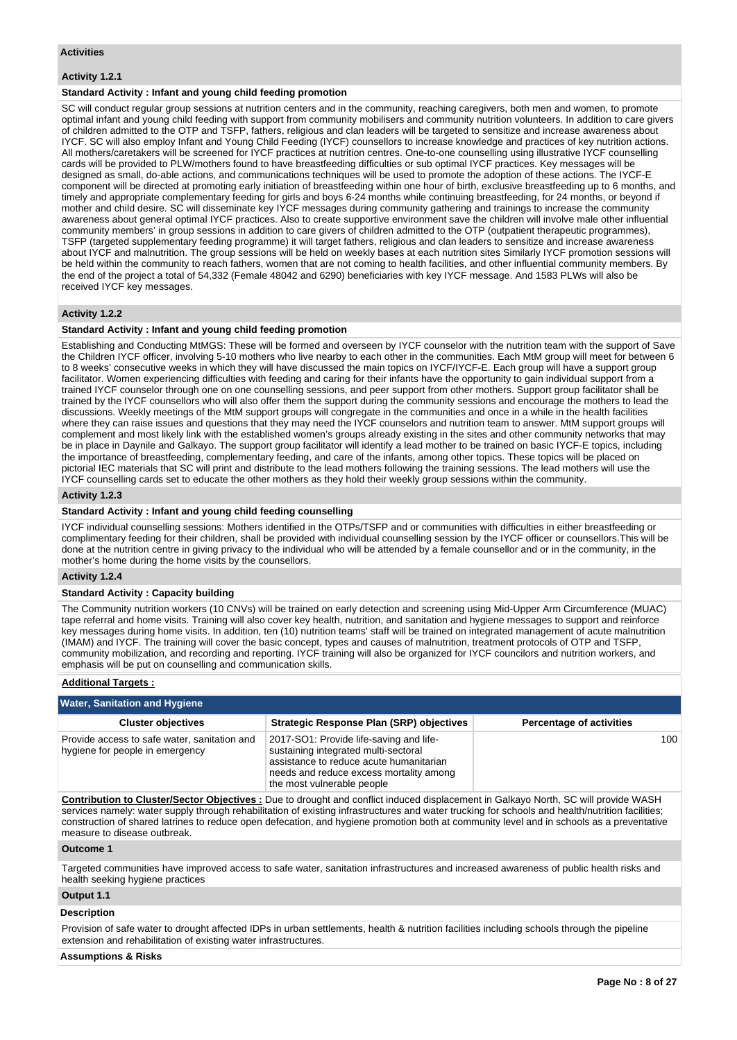## **Activities**

# **Activity 1.2.1**

## **Standard Activity : Infant and young child feeding promotion**

SC will conduct regular group sessions at nutrition centers and in the community, reaching caregivers, both men and women, to promote optimal infant and young child feeding with support from community mobilisers and community nutrition volunteers. In addition to care givers of children admitted to the OTP and TSFP, fathers, religious and clan leaders will be targeted to sensitize and increase awareness about IYCF. SC will also employ Infant and Young Child Feeding (IYCF) counsellors to increase knowledge and practices of key nutrition actions. All mothers/caretakers will be screened for IYCF practices at nutrition centres. One-to-one counselling using illustrative IYCF counselling cards will be provided to PLW/mothers found to have breastfeeding difficulties or sub optimal IYCF practices. Key messages will be designed as small, do-able actions, and communications techniques will be used to promote the adoption of these actions. The IYCF-E component will be directed at promoting early initiation of breastfeeding within one hour of birth, exclusive breastfeeding up to 6 months, and timely and appropriate complementary feeding for girls and boys 6-24 months while continuing breastfeeding, for 24 months, or beyond if mother and child desire. SC will disseminate key IYCF messages during community gathering and trainings to increase the community awareness about general optimal IYCF practices. Also to create supportive environment save the children will involve male other influential community members' in group sessions in addition to care givers of children admitted to the OTP (outpatient therapeutic programmes), TSFP (targeted supplementary feeding programme) it will target fathers, religious and clan leaders to sensitize and increase awareness about IYCF and malnutrition. The group sessions will be held on weekly bases at each nutrition sites Similarly IYCF promotion sessions will be held within the community to reach fathers, women that are not coming to health facilities, and other influential community members. By the end of the project a total of 54,332 (Female 48042 and 6290) beneficiaries with key IYCF message. And 1583 PLWs will also be received IYCF key messages.

## **Activity 1.2.2**

## **Standard Activity : Infant and young child feeding promotion**

Establishing and Conducting MtMGS: These will be formed and overseen by IYCF counselor with the nutrition team with the support of Save the Children IYCF officer, involving 5-10 mothers who live nearby to each other in the communities. Each MtM group will meet for between 6 to 8 weeks' consecutive weeks in which they will have discussed the main topics on IYCF/IYCF-E. Each group will have a support group facilitator. Women experiencing difficulties with feeding and caring for their infants have the opportunity to gain individual support from a trained IYCF counselor through one on one counselling sessions, and peer support from other mothers. Support group facilitator shall be trained by the IYCF counsellors who will also offer them the support during the community sessions and encourage the mothers to lead the discussions. Weekly meetings of the MtM support groups will congregate in the communities and once in a while in the health facilities where they can raise issues and questions that they may need the IYCF counselors and nutrition team to answer. MtM support groups will complement and most likely link with the established women's groups already existing in the sites and other community networks that may be in place in Daynile and Galkayo. The support group facilitator will identify a lead mother to be trained on basic IYCF-E topics, including the importance of breastfeeding, complementary feeding, and care of the infants, among other topics. These topics will be placed on pictorial IEC materials that SC will print and distribute to the lead mothers following the training sessions. The lead mothers will use the IYCF counselling cards set to educate the other mothers as they hold their weekly group sessions within the community.

#### **Activity 1.2.3**

## **Standard Activity : Infant and young child feeding counselling**

IYCF individual counselling sessions: Mothers identified in the OTPs/TSFP and or communities with difficulties in either breastfeeding or complimentary feeding for their children, shall be provided with individual counselling session by the IYCF officer or counsellors.This will be done at the nutrition centre in giving privacy to the individual who will be attended by a female counsellor and or in the community, in the mother's home during the home visits by the counsellors.

## **Activity 1.2.4**

#### **Standard Activity : Capacity building**

The Community nutrition workers (10 CNVs) will be trained on early detection and screening using Mid-Upper Arm Circumference (MUAC) tape referral and home visits. Training will also cover key health, nutrition, and sanitation and hygiene messages to support and reinforce key messages during home visits. In addition, ten (10) nutrition teams' staff will be trained on integrated management of acute malnutrition (IMAM) and IYCF. The training will cover the basic concept, types and causes of malnutrition, treatment protocols of OTP and TSFP, community mobilization, and recording and reporting. IYCF training will also be organized for IYCF councilors and nutrition workers, and emphasis will be put on counselling and communication skills.

## **Additional Targets :**

| <b>Water, Sanitation and Hygiene</b>                                            |                                                                                                                                                                                                     |                                 |
|---------------------------------------------------------------------------------|-----------------------------------------------------------------------------------------------------------------------------------------------------------------------------------------------------|---------------------------------|
| <b>Cluster objectives</b>                                                       | <b>Strategic Response Plan (SRP) objectives</b>                                                                                                                                                     | <b>Percentage of activities</b> |
| Provide access to safe water, sanitation and<br>hygiene for people in emergency | 2017-SO1: Provide life-saving and life-<br>sustaining integrated multi-sectoral<br>assistance to reduce acute humanitarian<br>needs and reduce excess mortality among<br>the most vulnerable people | 100                             |

**Contribution to Cluster/Sector Objectives :** Due to drought and conflict induced displacement in Galkayo North, SC will provide WASH services namely: water supply through rehabilitation of existing infrastructures and water trucking for schools and health/nutrition facilities; construction of shared latrines to reduce open defecation, and hygiene promotion both at community level and in schools as a preventative measure to disease outbreak.

### **Outcome 1**

Targeted communities have improved access to safe water, sanitation infrastructures and increased awareness of public health risks and health seeking hygiene practices

### **Output 1.1**

#### **Description**

Provision of safe water to drought affected IDPs in urban settlements, health & nutrition facilities including schools through the pipeline extension and rehabilitation of existing water infrastructures.

## **Assumptions & Risks**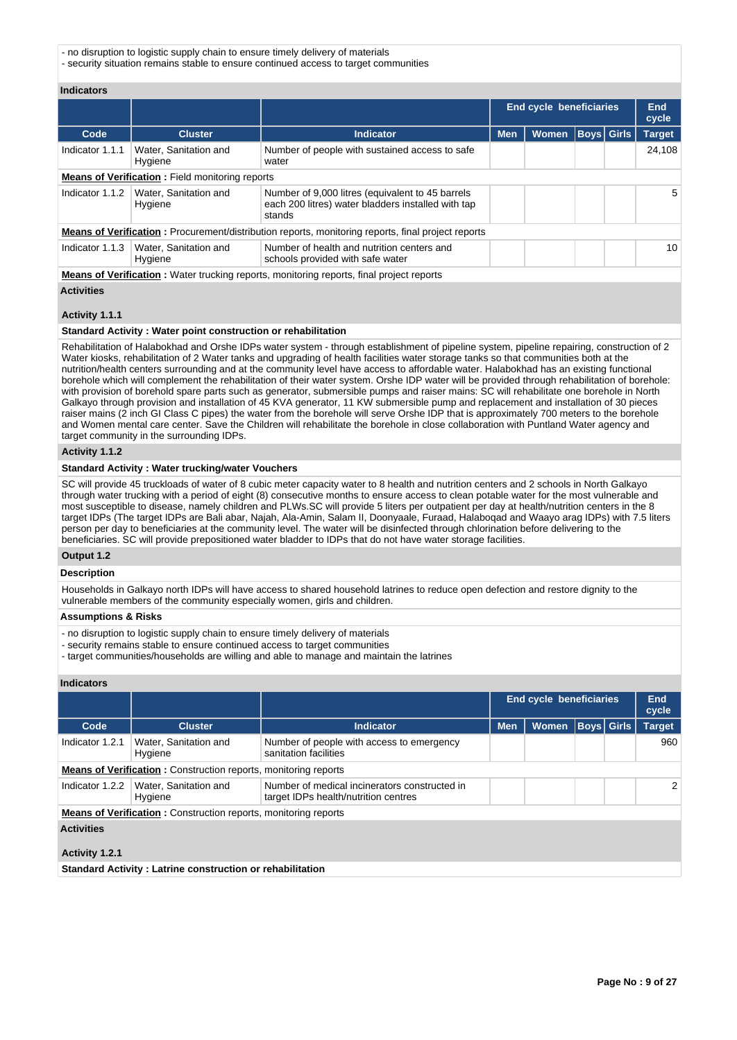- no disruption to logistic supply chain to ensure timely delivery of materials

- security situation remains stable to ensure continued access to target communities

**Indicators**

|                 |                                                        |                                                                                                                  |            | End cycle beneficiaries | End<br>cycle      |               |
|-----------------|--------------------------------------------------------|------------------------------------------------------------------------------------------------------------------|------------|-------------------------|-------------------|---------------|
| Code            | <b>Cluster</b>                                         | <b>Indicator</b>                                                                                                 | <b>Men</b> | <b>Women</b>            | <b>Boys Girls</b> | <b>Target</b> |
| Indicator 1.1.1 | Water, Sanitation and<br>Hygiene                       | Number of people with sustained access to safe<br>water                                                          |            |                         |                   | 24,108        |
|                 | <b>Means of Verification:</b> Field monitoring reports |                                                                                                                  |            |                         |                   |               |
| Indicator 1.1.2 | Water, Sanitation and<br>Hygiene                       | Number of 9,000 litres (equivalent to 45 barrels<br>each 200 litres) water bladders installed with tap<br>stands |            |                         |                   | 5             |
|                 |                                                        | <b>Means of Verification:</b> Procurement/distribution reports, monitoring reports, final project reports        |            |                         |                   |               |
| Indicator 1.1.3 | Water, Sanitation and<br>Hygiene                       | Number of health and nutrition centers and<br>schools provided with safe water                                   |            |                         |                   | 10            |
|                 |                                                        | <b>Means of Verification:</b> Water trucking reports, monitoring reports, final project reports                  |            |                         |                   |               |

#### **Activities**

#### **Activity 1.1.1**

# **Standard Activity : Water point construction or rehabilitation**

Rehabilitation of Halabokhad and Orshe IDPs water system - through establishment of pipeline system, pipeline repairing, construction of 2 Water kiosks, rehabilitation of 2 Water tanks and upgrading of health facilities water storage tanks so that communities both at the nutrition/health centers surrounding and at the community level have access to affordable water. Halabokhad has an existing functional borehole which will complement the rehabilitation of their water system. Orshe IDP water will be provided through rehabilitation of borehole: with provision of borehold spare parts such as generator, submersible pumps and raiser mains: SC will rehabilitate one borehole in North Galkayo through provision and installation of 45 KVA generator, 11 KW submersible pump and replacement and installation of 30 pieces raiser mains (2 inch GI Class C pipes) the water from the borehole will serve Orshe IDP that is approximately 700 meters to the borehole and Women mental care center. Save the Children will rehabilitate the borehole in close collaboration with Puntland Water agency and target community in the surrounding IDPs.

#### **Activity 1.1.2**

## **Standard Activity : Water trucking/water Vouchers**

SC will provide 45 truckloads of water of 8 cubic meter capacity water to 8 health and nutrition centers and 2 schools in North Galkayo through water trucking with a period of eight (8) consecutive months to ensure access to clean potable water for the most vulnerable and most susceptible to disease, namely children and PLWs.SC will provide 5 liters per outpatient per day at health/nutrition centers in the 8 target IDPs (The target IDPs are Bali abar, Najah, Ala-Amin, Salam II, Doonyaale, Furaad, Halaboqad and Waayo arag IDPs) with 7.5 liters person per day to beneficiaries at the community level. The water will be disinfected through chlorination before delivering to the beneficiaries. SC will provide prepositioned water bladder to IDPs that do not have water storage facilities.

#### **Output 1.2**

#### **Description**

Households in Galkayo north IDPs will have access to shared household latrines to reduce open defection and restore dignity to the vulnerable members of the community especially women, girls and children.

#### **Assumptions & Risks**

- no disruption to logistic supply chain to ensure timely delivery of materials
- security remains stable to ensure continued access to target communities
- target communities/households are willing and able to manage and maintain the latrines

# **Indicators**

|                   |                                                                        |                                                                                       | End cycle beneficiaries |              | <b>End</b><br>cycle |                   |                       |
|-------------------|------------------------------------------------------------------------|---------------------------------------------------------------------------------------|-------------------------|--------------|---------------------|-------------------|-----------------------|
| Code              | <b>Cluster</b>                                                         | <b>Indicator</b>                                                                      | <b>Men</b>              | <b>Women</b> |                     | <b>Boys Girls</b> | <b>Target</b>         |
| Indicator 1.2.1   | Water, Sanitation and<br>Hygiene                                       | Number of people with access to emergency<br>sanitation facilities                    |                         |              |                     |                   | 960                   |
|                   | <b>Means of Verification:</b> Construction reports, monitoring reports |                                                                                       |                         |              |                     |                   |                       |
| Indicator 1.2.2   | Water, Sanitation and<br>Hygiene                                       | Number of medical incinerators constructed in<br>target IDPs health/nutrition centres |                         |              |                     |                   | $\mathbf{2}^{\prime}$ |
|                   | <b>Means of Verification:</b> Construction reports, monitoring reports |                                                                                       |                         |              |                     |                   |                       |
| <b>Activities</b> |                                                                        |                                                                                       |                         |              |                     |                   |                       |
| Activity 1.2.1    |                                                                        |                                                                                       |                         |              |                     |                   |                       |

**Standard Activity : Latrine construction or rehabilitation**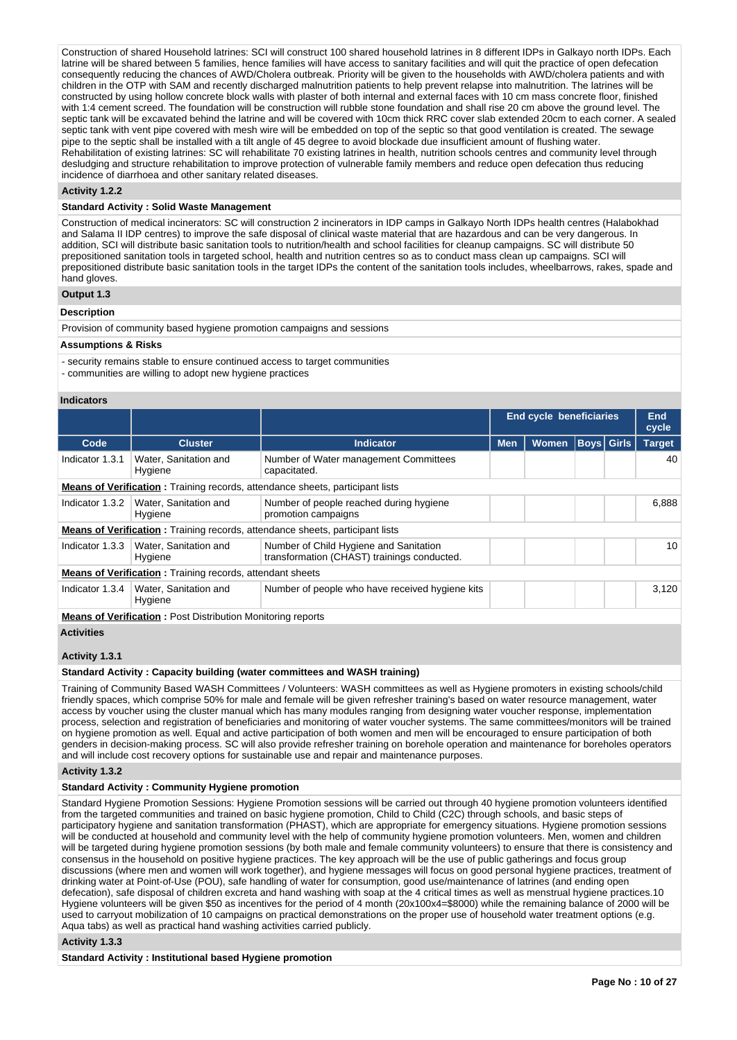Construction of shared Household latrines: SCI will construct 100 shared household latrines in 8 different IDPs in Galkayo north IDPs. Each latrine will be shared between 5 families, hence families will have access to sanitary facilities and will quit the practice of open defecation consequently reducing the chances of AWD/Cholera outbreak. Priority will be given to the households with AWD/cholera patients and with children in the OTP with SAM and recently discharged malnutrition patients to help prevent relapse into malnutrition. The latrines will be constructed by using hollow concrete block walls with plaster of both internal and external faces with 10 cm mass concrete floor, finished with 1:4 cement screed. The foundation will be construction will rubble stone foundation and shall rise 20 cm above the ground level. The septic tank will be excavated behind the latrine and will be covered with 10cm thick RRC cover slab extended 20cm to each corner. A sealed septic tank with vent pipe covered with mesh wire will be embedded on top of the septic so that good ventilation is created. The sewage pipe to the septic shall be installed with a tilt angle of 45 degree to avoid blockade due insufficient amount of flushing water. Rehabilitation of existing latrines: SC will rehabilitate 70 existing latrines in health, nutrition schools centres and community level through desludging and structure rehabilitation to improve protection of vulnerable family members and reduce open defecation thus reducing incidence of diarrhoea and other sanitary related diseases.

## **Activity 1.2.2**

### **Standard Activity : Solid Waste Management**

Construction of medical incinerators: SC will construction 2 incinerators in IDP camps in Galkayo North IDPs health centres (Halabokhad and Salama II IDP centres) to improve the safe disposal of clinical waste material that are hazardous and can be very dangerous. In addition, SCI will distribute basic sanitation tools to nutrition/health and school facilities for cleanup campaigns. SC will distribute 50 prepositioned sanitation tools in targeted school, health and nutrition centres so as to conduct mass clean up campaigns. SCI will prepositioned distribute basic sanitation tools in the target IDPs the content of the sanitation tools includes, wheelbarrows, rakes, spade and hand gloves.

## **Output 1.3**

#### **Description**

Provision of community based hygiene promotion campaigns and sessions

#### **Assumptions & Risks**

- security remains stable to ensure continued access to target communities
- communities are willing to adopt new hygiene practices

### **Indicators**

|                 |                                                                    |                                                                                       | <b>End cycle beneficiaries</b> | End<br>cycle |                   |  |               |
|-----------------|--------------------------------------------------------------------|---------------------------------------------------------------------------------------|--------------------------------|--------------|-------------------|--|---------------|
| Code            | <b>Cluster</b>                                                     | <b>Indicator</b>                                                                      | <b>Men</b>                     | <b>Women</b> | <b>Boys Girls</b> |  | <b>Target</b> |
| Indicator 1.3.1 | Water, Sanitation and<br>Hygiene                                   | Number of Water management Committees<br>capacitated.                                 |                                |              |                   |  | 40            |
|                 |                                                                    | <b>Means of Verification:</b> Training records, attendance sheets, participant lists  |                                |              |                   |  |               |
| Indicator 1.3.2 | Water, Sanitation and<br>Hygiene                                   | Number of people reached during hygiene<br>promotion campaigns                        |                                |              |                   |  | 6,888         |
|                 |                                                                    | <b>Means of Verification:</b> Training records, attendance sheets, participant lists  |                                |              |                   |  |               |
| Indicator 1.3.3 | Water, Sanitation and<br>Hygiene                                   | Number of Child Hygiene and Sanitation<br>transformation (CHAST) trainings conducted. |                                |              |                   |  | 10            |
|                 | <b>Means of Verification:</b> Training records, attendant sheets   |                                                                                       |                                |              |                   |  |               |
| Indicator 1.3.4 | Water, Sanitation and<br>Hygiene                                   | Number of people who have received hygiene kits                                       |                                |              |                   |  | 3,120         |
|                 | <b>Means of Verification: Post Distribution Monitoring reports</b> |                                                                                       |                                |              |                   |  |               |

**Activities**

## **Activity 1.3.1**

## **Standard Activity : Capacity building (water committees and WASH training)**

Training of Community Based WASH Committees / Volunteers: WASH committees as well as Hygiene promoters in existing schools/child friendly spaces, which comprise 50% for male and female will be given refresher training's based on water resource management, water access by voucher using the cluster manual which has many modules ranging from designing water voucher response, implementation process, selection and registration of beneficiaries and monitoring of water voucher systems. The same committees/monitors will be trained on hygiene promotion as well. Equal and active participation of both women and men will be encouraged to ensure participation of both genders in decision-making process. SC will also provide refresher training on borehole operation and maintenance for boreholes operators and will include cost recovery options for sustainable use and repair and maintenance purposes.

## **Activity 1.3.2**

## **Standard Activity : Community Hygiene promotion**

Standard Hygiene Promotion Sessions: Hygiene Promotion sessions will be carried out through 40 hygiene promotion volunteers identified from the targeted communities and trained on basic hygiene promotion, Child to Child (C2C) through schools, and basic steps of participatory hygiene and sanitation transformation (PHAST), which are appropriate for emergency situations. Hygiene promotion sessions will be conducted at household and community level with the help of community hygiene promotion volunteers. Men, women and children will be targeted during hygiene promotion sessions (by both male and female community volunteers) to ensure that there is consistency and consensus in the household on positive hygiene practices. The key approach will be the use of public gatherings and focus group discussions (where men and women will work together), and hygiene messages will focus on good personal hygiene practices, treatment of drinking water at Point-of-Use (POU), safe handling of water for consumption, good use/maintenance of latrines (and ending open defecation), safe disposal of children excreta and hand washing with soap at the 4 critical times as well as menstrual hygiene practices.10 Hygiene volunteers will be given \$50 as incentives for the period of 4 month (20x100x4=\$8000) while the remaining balance of 2000 will be used to carryout mobilization of 10 campaigns on practical demonstrations on the proper use of household water treatment options (e.g. Aqua tabs) as well as practical hand washing activities carried publicly.

#### **Activity 1.3.3**

#### **Standard Activity : Institutional based Hygiene promotion**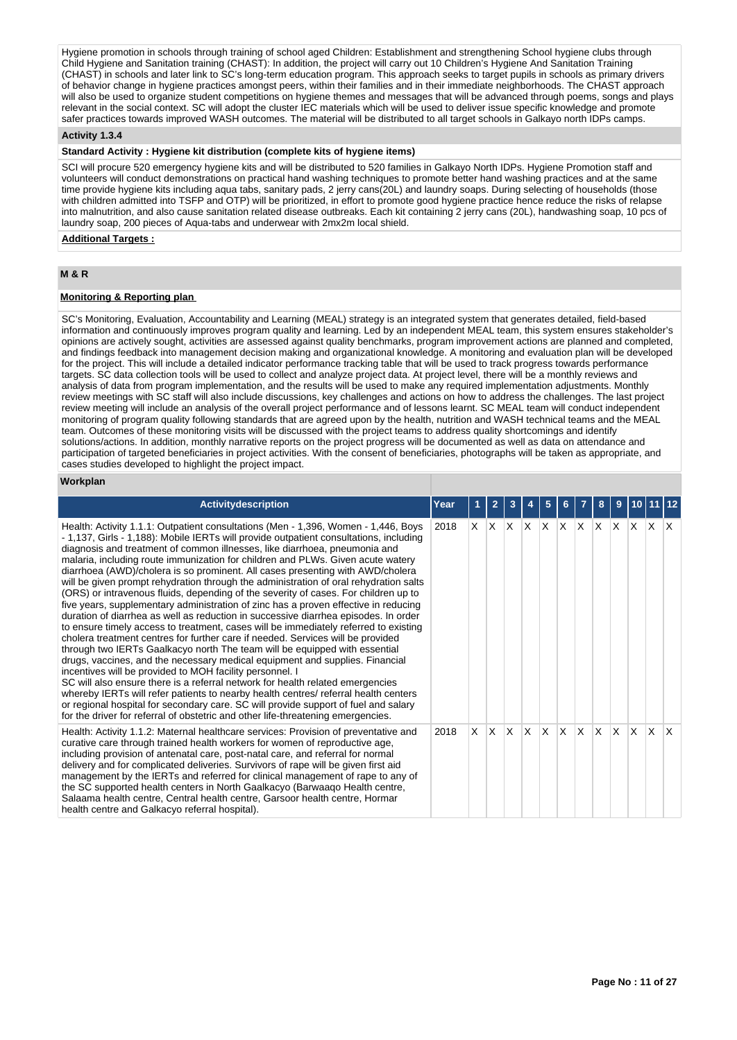Hygiene promotion in schools through training of school aged Children: Establishment and strengthening School hygiene clubs through Child Hygiene and Sanitation training (CHAST): In addition, the project will carry out 10 Children's Hygiene And Sanitation Training (CHAST) in schools and later link to SC's long-term education program. This approach seeks to target pupils in schools as primary drivers of behavior change in hygiene practices amongst peers, within their families and in their immediate neighborhoods. The CHAST approach will also be used to organize student competitions on hygiene themes and messages that will be advanced through poems, songs and plays relevant in the social context. SC will adopt the cluster IEC materials which will be used to deliver issue specific knowledge and promote safer practices towards improved WASH outcomes. The material will be distributed to all target schools in Galkayo north IDPs camps.

## **Activity 1.3.4**

### **Standard Activity : Hygiene kit distribution (complete kits of hygiene items)**

SCI will procure 520 emergency hygiene kits and will be distributed to 520 families in Galkayo North IDPs. Hygiene Promotion staff and volunteers will conduct demonstrations on practical hand washing techniques to promote better hand washing practices and at the same time provide hygiene kits including aqua tabs, sanitary pads, 2 jerry cans(20L) and laundry soaps. During selecting of households (those with children admitted into TSFP and OTP) will be prioritized, in effort to promote good hygiene practice hence reduce the risks of relapse into malnutrition, and also cause sanitation related disease outbreaks. Each kit containing 2 jerry cans (20L), handwashing soap, 10 pcs of laundry soap, 200 pieces of Aqua-tabs and underwear with 2mx2m local shield.

#### **Additional Targets :**

## **M & R**

## **Monitoring & Reporting plan**

SC's Monitoring, Evaluation, Accountability and Learning (MEAL) strategy is an integrated system that generates detailed, field-based information and continuously improves program quality and learning. Led by an independent MEAL team, this system ensures stakeholder's opinions are actively sought, activities are assessed against quality benchmarks, program improvement actions are planned and completed, and findings feedback into management decision making and organizational knowledge. A monitoring and evaluation plan will be developed for the project. This will include a detailed indicator performance tracking table that will be used to track progress towards performance targets. SC data collection tools will be used to collect and analyze project data. At project level, there will be a monthly reviews and analysis of data from program implementation, and the results will be used to make any required implementation adjustments. Monthly review meetings with SC staff will also include discussions, key challenges and actions on how to address the challenges. The last project review meeting will include an analysis of the overall project performance and of lessons learnt. SC MEAL team will conduct independent monitoring of program quality following standards that are agreed upon by the health, nutrition and WASH technical teams and the MEAL team. Outcomes of these monitoring visits will be discussed with the project teams to address quality shortcomings and identify solutions/actions. In addition, monthly narrative reports on the project progress will be documented as well as data on attendance and participation of targeted beneficiaries in project activities. With the consent of beneficiaries, photographs will be taken as appropriate, and cases studies developed to highlight the project impact.

#### **Workplan**

| <b>Activitydescription</b>                                                                                                                                                                                                                                                                                                                                                                                                                                                                                                                                                                                                                                                                                                                                                                                                                                                                                                                                                                                                                                                                                                                                                                                                                                                                                                                                                                                                                                                                                                                             | Year |            | $\mathbf{2}$ |              |              |              |          |              |     | 9              |     |     |                         |
|--------------------------------------------------------------------------------------------------------------------------------------------------------------------------------------------------------------------------------------------------------------------------------------------------------------------------------------------------------------------------------------------------------------------------------------------------------------------------------------------------------------------------------------------------------------------------------------------------------------------------------------------------------------------------------------------------------------------------------------------------------------------------------------------------------------------------------------------------------------------------------------------------------------------------------------------------------------------------------------------------------------------------------------------------------------------------------------------------------------------------------------------------------------------------------------------------------------------------------------------------------------------------------------------------------------------------------------------------------------------------------------------------------------------------------------------------------------------------------------------------------------------------------------------------------|------|------------|--------------|--------------|--------------|--------------|----------|--------------|-----|----------------|-----|-----|-------------------------|
| Health: Activity 1.1.1: Outpatient consultations (Men - 1,396, Women - 1,446, Boys<br>- 1,137, Girls - 1,188): Mobile IERTs will provide outpatient consultations, including<br>diagnosis and treatment of common illnesses, like diarrhoea, pneumonia and<br>malaria, including route immunization for children and PLWs. Given acute watery<br>diarrhoea (AWD)/cholera is so prominent. All cases presenting with AWD/cholera<br>will be given prompt rehydration through the administration of oral rehydration salts<br>(ORS) or intravenous fluids, depending of the severity of cases. For children up to<br>five years, supplementary administration of zinc has a proven effective in reducing<br>duration of diarrhea as well as reduction in successive diarrhea episodes. In order<br>to ensure timely access to treatment, cases will be immediately referred to existing<br>cholera treatment centres for further care if needed. Services will be provided<br>through two IERTs Gaalkacyo north The team will be equipped with essential<br>drugs, vaccines, and the necessary medical equipment and supplies. Financial<br>incentives will be provided to MOH facility personnel. I<br>SC will also ensure there is a referral network for health related emergencies<br>whereby IERTs will refer patients to nearby health centres/ referral health centers<br>or regional hospital for secondary care. SC will provide support of fuel and salary<br>for the driver for referral of obstetric and other life-threatening emergencies. | 2018 | $x \mid x$ |              | $\mathsf{X}$ | ΙX.          | ΙX.          | $\times$ | <sup>X</sup> | X.  | $\mathsf{X}$   | X.  | ΙX. | $\mathsf{I} \mathsf{X}$ |
| Health: Activity 1.1.2: Maternal healthcare services: Provision of preventative and<br>curative care through trained health workers for women of reproductive age,<br>including provision of antenatal care, post-natal care, and referral for normal<br>delivery and for complicated deliveries. Survivors of rape will be given first aid<br>management by the IERTs and referred for clinical management of rape to any of<br>the SC supported health centers in North Gaalkacyo (Barwaaqo Health centre,<br>Salaama health centre, Central health centre, Garsoor health centre, Hormar<br>health centre and Galkacyo referral hospital).                                                                                                                                                                                                                                                                                                                                                                                                                                                                                                                                                                                                                                                                                                                                                                                                                                                                                                          | 2018 | X.         | ΙX.          | $\mathsf{X}$ | $\mathsf{X}$ | $\mathsf{X}$ | IX.      | ΙX.          | ΙX. | $\mathbf{X}$ : | IX. | ΙX. | $\mathsf{I} \mathsf{X}$ |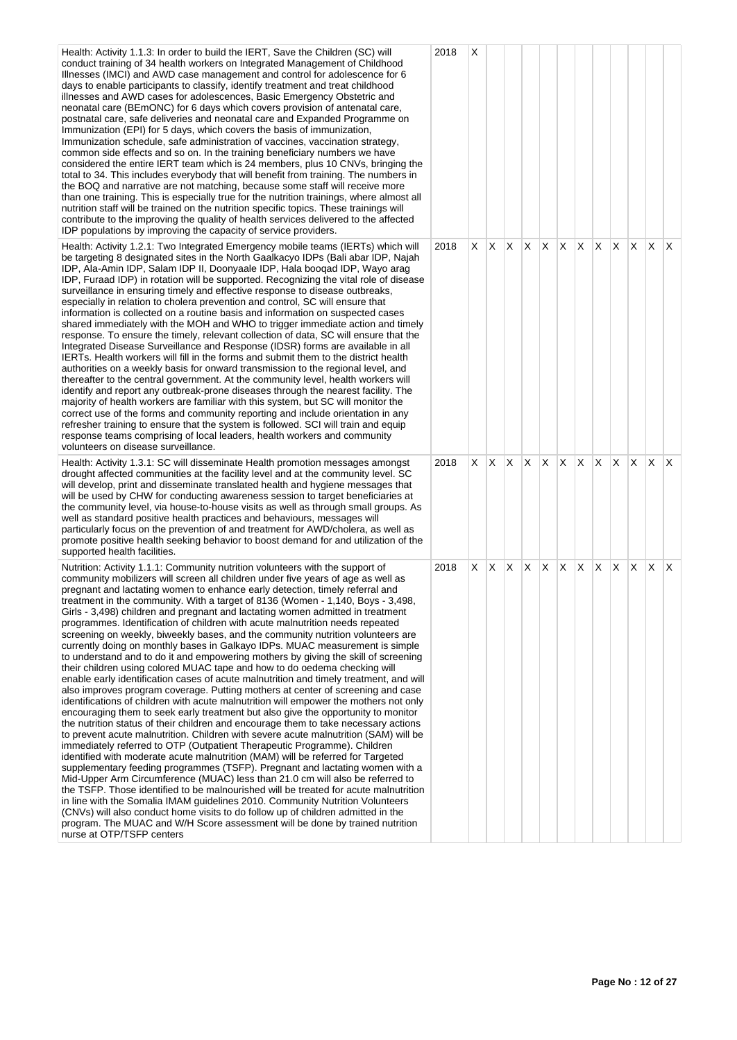| Health: Activity 1.1.3: In order to build the IERT, Save the Children (SC) will<br>conduct training of 34 health workers on Integrated Management of Childhood<br>Illnesses (IMCI) and AWD case management and control for adolescence for 6<br>days to enable participants to classify, identify treatment and treat childhood<br>illnesses and AWD cases for adolescences, Basic Emergency Obstetric and<br>neonatal care (BEmONC) for 6 days which covers provision of antenatal care,<br>postnatal care, safe deliveries and neonatal care and Expanded Programme on<br>Immunization (EPI) for 5 days, which covers the basis of immunization,<br>Immunization schedule, safe administration of vaccines, vaccination strategy,<br>common side effects and so on. In the training beneficiary numbers we have<br>considered the entire IERT team which is 24 members, plus 10 CNVs, bringing the<br>total to 34. This includes everybody that will benefit from training. The numbers in<br>the BOQ and narrative are not matching, because some staff will receive more<br>than one training. This is especially true for the nutrition trainings, where almost all<br>nutrition staff will be trained on the nutrition specific topics. These trainings will<br>contribute to the improving the quality of health services delivered to the affected<br>IDP populations by improving the capacity of service providers.                                                                                                                                                                                                                                                                                                                                                                                                                                                                                                                                                                                                                                                                     | 2018 | Х  |              |    |    |                   |    |    |     |                   |              |                         |     |
|---------------------------------------------------------------------------------------------------------------------------------------------------------------------------------------------------------------------------------------------------------------------------------------------------------------------------------------------------------------------------------------------------------------------------------------------------------------------------------------------------------------------------------------------------------------------------------------------------------------------------------------------------------------------------------------------------------------------------------------------------------------------------------------------------------------------------------------------------------------------------------------------------------------------------------------------------------------------------------------------------------------------------------------------------------------------------------------------------------------------------------------------------------------------------------------------------------------------------------------------------------------------------------------------------------------------------------------------------------------------------------------------------------------------------------------------------------------------------------------------------------------------------------------------------------------------------------------------------------------------------------------------------------------------------------------------------------------------------------------------------------------------------------------------------------------------------------------------------------------------------------------------------------------------------------------------------------------------------------------------------------------------------------------------------------------------------------------------------|------|----|--------------|----|----|-------------------|----|----|-----|-------------------|--------------|-------------------------|-----|
| Health: Activity 1.2.1: Two Integrated Emergency mobile teams (IERTs) which will<br>be targeting 8 designated sites in the North Gaalkacyo IDPs (Bali abar IDP, Najah<br>IDP, Ala-Amin IDP, Salam IDP II, Doonyaale IDP, Hala booqad IDP, Wayo arag<br>IDP, Furaad IDP) in rotation will be supported. Recognizing the vital role of disease<br>surveillance in ensuring timely and effective response to disease outbreaks,<br>especially in relation to cholera prevention and control, SC will ensure that<br>information is collected on a routine basis and information on suspected cases<br>shared immediately with the MOH and WHO to trigger immediate action and timely<br>response. To ensure the timely, relevant collection of data, SC will ensure that the<br>Integrated Disease Surveillance and Response (IDSR) forms are available in all<br>IERTs. Health workers will fill in the forms and submit them to the district health<br>authorities on a weekly basis for onward transmission to the regional level, and<br>thereafter to the central government. At the community level, health workers will<br>identify and report any outbreak-prone diseases through the nearest facility. The<br>majority of health workers are familiar with this system, but SC will monitor the<br>correct use of the forms and community reporting and include orientation in any<br>refresher training to ensure that the system is followed. SCI will train and equip<br>response teams comprising of local leaders, health workers and community<br>volunteers on disease surveillance.                                                                                                                                                                                                                                                                                                                                                                                                                                                                                                 | 2018 |    | X X X        |    | X. | X X               |    | X. | X.  | $X \mid X \mid X$ |              |                         | ΙX. |
| Health: Activity 1.3.1: SC will disseminate Health promotion messages amongst<br>drought affected communities at the facility level and at the community level. SC<br>will develop, print and disseminate translated health and hygiene messages that<br>will be used by CHW for conducting awareness session to target beneficiaries at<br>the community level, via house-to-house visits as well as through small groups. As<br>well as standard positive health practices and behaviours, messages will<br>particularly focus on the prevention of and treatment for AWD/cholera, as well as<br>promote positive health seeking behavior to boost demand for and utilization of the<br>supported health facilities.                                                                                                                                                                                                                                                                                                                                                                                                                                                                                                                                                                                                                                                                                                                                                                                                                                                                                                                                                                                                                                                                                                                                                                                                                                                                                                                                                                            | 2018 | X. | X.           | X. | X. | X.                | X. | X. | IX. | $\mathsf{X}$      | $\mathsf{X}$ | $\mathsf{X} \mathsf{X}$ |     |
| Nutrition: Activity 1.1.1: Community nutrition volunteers with the support of<br>community mobilizers will screen all children under five years of age as well as<br>pregnant and lactating women to enhance early detection, timely referral and<br>treatment in the community. With a target of 8136 (Women - 1,140, Boys - 3,498,<br>Girls - 3,498) children and pregnant and lactating women admitted in treatment<br>programmes. Identification of children with acute malnutrition needs repeated<br>screening on weekly, biweekly bases, and the community nutrition volunteers are<br>currently doing on monthly bases in Galkayo IDPs. MUAC measurement is simple<br>to understand and to do it and empowering mothers by giving the skill of screening<br>their children using colored MUAC tape and how to do oedema checking will<br>enable early identification cases of acute malnutrition and timely treatment, and will<br>also improves program coverage. Putting mothers at center of screening and case<br>identifications of children with acute malnutrition will empower the mothers not only<br>encouraging them to seek early treatment but also give the opportunity to monitor<br>the nutrition status of their children and encourage them to take necessary actions<br>to prevent acute malnutrition. Children with severe acute malnutrition (SAM) will be<br>immediately referred to OTP (Outpatient Therapeutic Programme). Children<br>identified with moderate acute malnutrition (MAM) will be referred for Targeted<br>supplementary feeding programmes (TSFP). Pregnant and lactating women with a<br>Mid-Upper Arm Circumference (MUAC) less than 21.0 cm will also be referred to<br>the TSFP. Those identified to be malnourished will be treated for acute malnutrition<br>in line with the Somalia IMAM guidelines 2010. Community Nutrition Volunteers<br>(CNVs) will also conduct home visits to do follow up of children admitted in the<br>program. The MUAC and W/H Score assessment will be done by trained nutrition<br>nurse at OTP/TSFP centers | 2018 | X. | $\mathsf{X}$ | X  | X. | $X \mid X \mid X$ |    |    | X.  | $X \mid X \mid X$ |              |                         | IX. |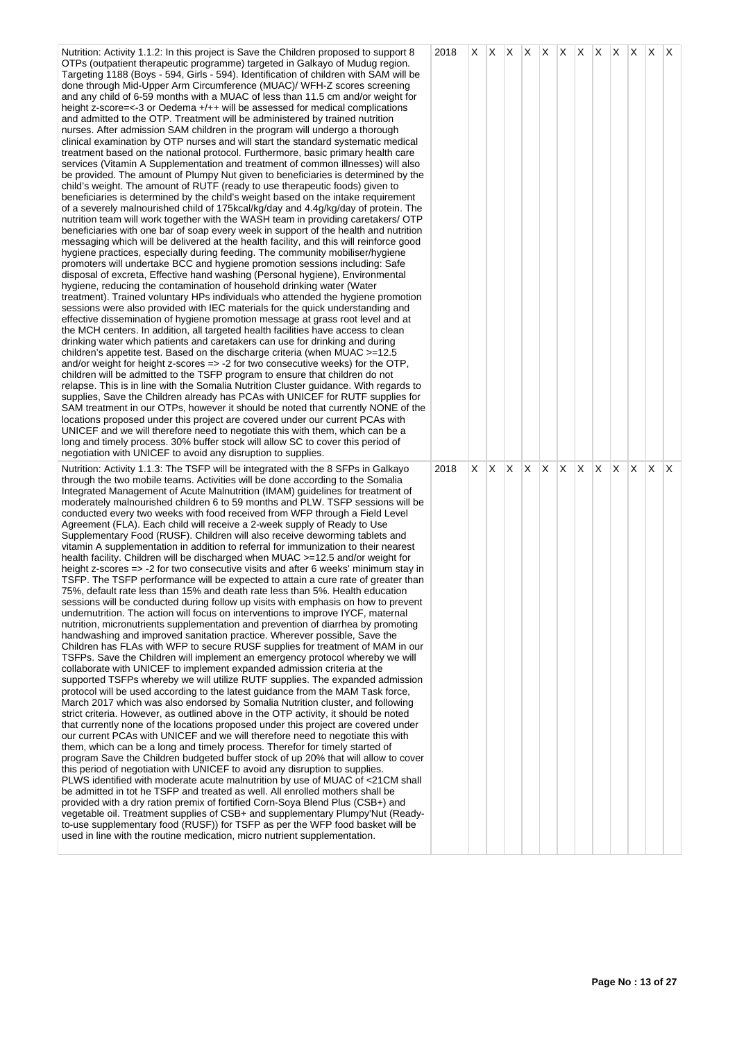| Nutrition: Activity 1.1.2: In this project is Save the Children proposed to support 8<br>OTPs (outpatient therapeutic programme) targeted in Galkayo of Mudug region.<br>Targeting 1188 (Boys - 594, Girls - 594). Identification of children with SAM will be<br>done through Mid-Upper Arm Circumference (MUAC)/ WFH-Z scores screening<br>and any child of 6-59 months with a MUAC of less than 11.5 cm and/or weight for<br>height z-score=<-3 or Oedema +/++ will be assessed for medical complications<br>and admitted to the OTP. Treatment will be administered by trained nutrition<br>nurses. After admission SAM children in the program will undergo a thorough<br>clinical examination by OTP nurses and will start the standard systematic medical<br>treatment based on the national protocol. Furthermore, basic primary health care<br>services (Vitamin A Supplementation and treatment of common illnesses) will also<br>be provided. The amount of Plumpy Nut given to beneficiaries is determined by the<br>child's weight. The amount of RUTF (ready to use therapeutic foods) given to<br>beneficiaries is determined by the child's weight based on the intake requirement<br>of a severely malnourished child of 175kcal/kg/day and 4.4g/kg/day of protein. The<br>nutrition team will work together with the WASH team in providing caretakers/ OTP<br>beneficiaries with one bar of soap every week in support of the health and nutrition<br>messaging which will be delivered at the health facility, and this will reinforce good<br>hygiene practices, especially during feeding. The community mobiliser/hygiene<br>promoters will undertake BCC and hygiene promotion sessions including: Safe<br>disposal of excreta, Effective hand washing (Personal hygiene), Environmental<br>hygiene, reducing the contamination of household drinking water (Water<br>treatment). Trained voluntary HPs individuals who attended the hygiene promotion<br>sessions were also provided with IEC materials for the quick understanding and<br>effective dissemination of hygiene promotion message at grass root level and at<br>the MCH centers. In addition, all targeted health facilities have access to clean<br>drinking water which patients and caretakers can use for drinking and during<br>children's appetite test. Based on the discharge criteria (when MUAC >=12.5<br>and/or weight for height z-scores => -2 for two consecutive weeks) for the OTP,<br>children will be admitted to the TSFP program to ensure that children do not<br>relapse. This is in line with the Somalia Nutrition Cluster guidance. With regards to<br>supplies, Save the Children already has PCAs with UNICEF for RUTF supplies for<br>SAM treatment in our OTPs, however it should be noted that currently NONE of the<br>locations proposed under this project are covered under our current PCAs with<br>UNICEF and we will therefore need to negotiate this with them, which can be a<br>long and timely process. 30% buffer stock will allow SC to cover this period of<br>negotiation with UNICEF to avoid any disruption to supplies. | 2018 | X. |       |    |   | X X X X X X X X X X X |    |    |     |     |              |
|----------------------------------------------------------------------------------------------------------------------------------------------------------------------------------------------------------------------------------------------------------------------------------------------------------------------------------------------------------------------------------------------------------------------------------------------------------------------------------------------------------------------------------------------------------------------------------------------------------------------------------------------------------------------------------------------------------------------------------------------------------------------------------------------------------------------------------------------------------------------------------------------------------------------------------------------------------------------------------------------------------------------------------------------------------------------------------------------------------------------------------------------------------------------------------------------------------------------------------------------------------------------------------------------------------------------------------------------------------------------------------------------------------------------------------------------------------------------------------------------------------------------------------------------------------------------------------------------------------------------------------------------------------------------------------------------------------------------------------------------------------------------------------------------------------------------------------------------------------------------------------------------------------------------------------------------------------------------------------------------------------------------------------------------------------------------------------------------------------------------------------------------------------------------------------------------------------------------------------------------------------------------------------------------------------------------------------------------------------------------------------------------------------------------------------------------------------------------------------------------------------------------------------------------------------------------------------------------------------------------------------------------------------------------------------------------------------------------------------------------------------------------------------------------------------------------------------------------------------------------------------------------------------------------------------------------------------------------------------------------------------------------------------------------------------------------------------------------------------------------------------------------------------------|------|----|-------|----|---|-----------------------|----|----|-----|-----|--------------|
| Nutrition: Activity 1.1.3: The TSFP will be integrated with the 8 SFPs in Galkayo<br>through the two mobile teams. Activities will be done according to the Somalia<br>Integrated Management of Acute Malnutrition (IMAM) guidelines for treatment of<br>moderately malnourished children 6 to 59 months and PLW. TSFP sessions will be<br>conducted every two weeks with food received from WFP through a Field Level<br>Agreement (FLA). Each child will receive a 2-week supply of Ready to Use<br>Supplementary Food (RUSF). Children will also receive deworming tablets and<br>vitamin A supplementation in addition to referral for immunization to their nearest<br>health facility. Children will be discharged when MUAC >=12.5 and/or weight for<br>height z-scores => -2 for two consecutive visits and after 6 weeks' minimum stay in<br>TSFP. The TSFP performance will be expected to attain a cure rate of greater than<br>75%, default rate less than 15% and death rate less than 5%. Health education<br>sessions will be conducted during follow up visits with emphasis on how to prevent<br>undernutrition. The action will focus on interventions to improve IYCF, maternal<br>nutrition, micronutrients supplementation and prevention of diarrhea by promoting<br>handwashing and improved sanitation practice. Wherever possible, Save the<br>Children has FLAs with WFP to secure RUSF supplies for treatment of MAM in our<br>TSFPs. Save the Children will implement an emergency protocol whereby we will<br>collaborate with UNICEF to implement expanded admission criteria at the<br>supported TSFPs whereby we will utilize RUTF supplies. The expanded admission<br>protocol will be used according to the latest guidance from the MAM Task force,<br>March 2017 which was also endorsed by Somalia Nutrition cluster, and following<br>strict criteria. However, as outlined above in the OTP activity, it should be noted<br>that currently none of the locations proposed under this project are covered under<br>our current PCAs with UNICEF and we will therefore need to negotiate this with<br>them, which can be a long and timely process. Therefor for timely started of<br>program Save the Children budgeted buffer stock of up 20% that will allow to cover<br>this period of negotiation with UNICEF to avoid any disruption to supplies.<br>PLWS identified with moderate acute malnutrition by use of MUAC of <21CM shall<br>be admitted in tot he TSFP and treated as well. All enrolled mothers shall be<br>provided with a dry ration premix of fortified Corn-Soya Blend Plus (CSB+) and<br>vegetable oil. Treatment supplies of CSB+ and supplementary Plumpy'Nut (Ready-<br>to-use supplementary food (RUSF)) for TSFP as per the WFP food basket will be<br>used in line with the routine medication, micro nutrient supplementation.                                                                                                                                                                                                                                                              | 2018 | X. | X X X | X. | X | $\mathsf{X}$          | X. | X. | ΙX. | ΙX. | $\mathsf{X}$ |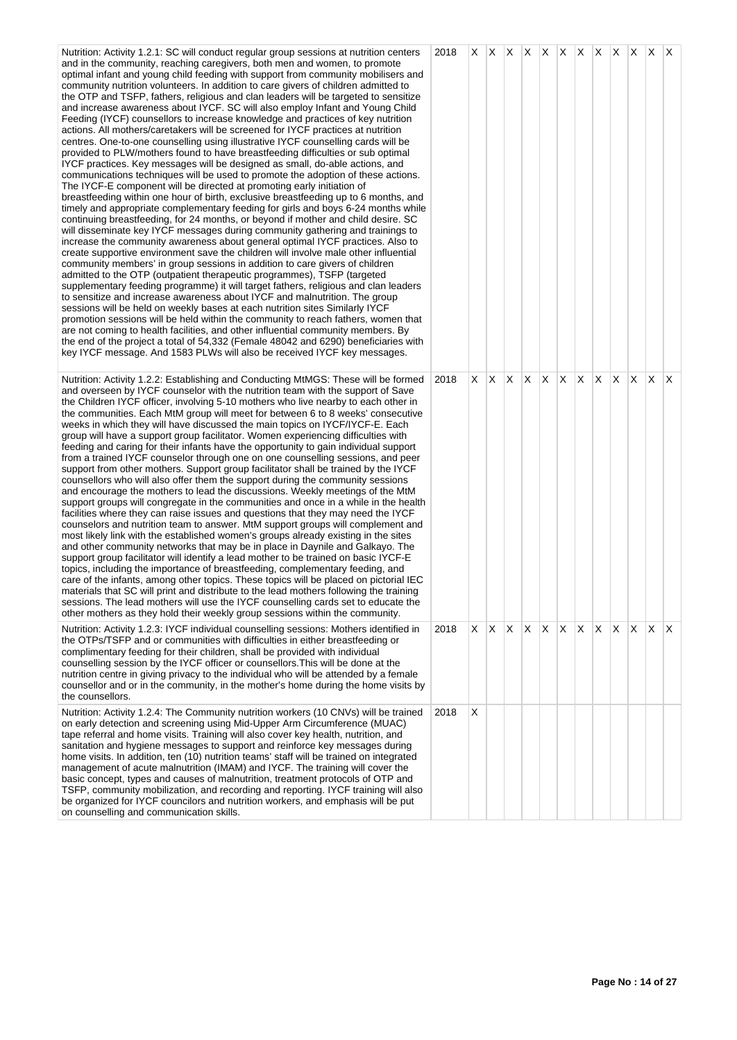| Nutrition: Activity 1.2.1: SC will conduct regular group sessions at nutrition centers<br>and in the community, reaching caregivers, both men and women, to promote<br>optimal infant and young child feeding with support from community mobilisers and<br>community nutrition volunteers. In addition to care givers of children admitted to<br>the OTP and TSFP, fathers, religious and clan leaders will be targeted to sensitize<br>and increase awareness about IYCF. SC will also employ Infant and Young Child<br>Feeding (IYCF) counsellors to increase knowledge and practices of key nutrition<br>actions. All mothers/caretakers will be screened for IYCF practices at nutrition<br>centres. One-to-one counselling using illustrative IYCF counselling cards will be<br>provided to PLW/mothers found to have breastfeeding difficulties or sub optimal<br>IYCF practices. Key messages will be designed as small, do-able actions, and<br>communications techniques will be used to promote the adoption of these actions.<br>The IYCF-E component will be directed at promoting early initiation of<br>breastfeeding within one hour of birth, exclusive breastfeeding up to 6 months, and<br>timely and appropriate complementary feeding for girls and boys 6-24 months while<br>continuing breastfeeding, for 24 months, or beyond if mother and child desire. SC<br>will disseminate key IYCF messages during community gathering and trainings to<br>increase the community awareness about general optimal IYCF practices. Also to<br>create supportive environment save the children will involve male other influential<br>community members' in group sessions in addition to care givers of children<br>admitted to the OTP (outpatient therapeutic programmes), TSFP (targeted<br>supplementary feeding programme) it will target fathers, religious and clan leaders<br>to sensitize and increase awareness about IYCF and malnutrition. The group<br>sessions will be held on weekly bases at each nutrition sites Similarly IYCF<br>promotion sessions will be held within the community to reach fathers, women that<br>are not coming to health facilities, and other influential community members. By<br>the end of the project a total of 54,332 (Female 48042 and 6290) beneficiaries with<br>key IYCF message. And 1583 PLWs will also be received IYCF key messages. | 2018 |    |              |              |    |     |              |              |    |          |              |
|------------------------------------------------------------------------------------------------------------------------------------------------------------------------------------------------------------------------------------------------------------------------------------------------------------------------------------------------------------------------------------------------------------------------------------------------------------------------------------------------------------------------------------------------------------------------------------------------------------------------------------------------------------------------------------------------------------------------------------------------------------------------------------------------------------------------------------------------------------------------------------------------------------------------------------------------------------------------------------------------------------------------------------------------------------------------------------------------------------------------------------------------------------------------------------------------------------------------------------------------------------------------------------------------------------------------------------------------------------------------------------------------------------------------------------------------------------------------------------------------------------------------------------------------------------------------------------------------------------------------------------------------------------------------------------------------------------------------------------------------------------------------------------------------------------------------------------------------------------------------------------------------------------------------------------------------------------------------------------------------------------------------------------------------------------------------------------------------------------------------------------------------------------------------------------------------------------------------------------------------------------------------------------------------------------------------------------------------------------------------------------------------------------|------|----|--------------|--------------|----|-----|--------------|--------------|----|----------|--------------|
| Nutrition: Activity 1.2.2: Establishing and Conducting MtMGS: These will be formed<br>and overseen by IYCF counselor with the nutrition team with the support of Save<br>the Children IYCF officer, involving 5-10 mothers who live nearby to each other in<br>the communities. Each MtM group will meet for between 6 to 8 weeks' consecutive<br>weeks in which they will have discussed the main topics on IYCF/IYCF-E. Each<br>group will have a support group facilitator. Women experiencing difficulties with<br>feeding and caring for their infants have the opportunity to gain individual support<br>from a trained IYCF counselor through one on one counselling sessions, and peer<br>support from other mothers. Support group facilitator shall be trained by the IYCF<br>counsellors who will also offer them the support during the community sessions<br>and encourage the mothers to lead the discussions. Weekly meetings of the MtM<br>support groups will congregate in the communities and once in a while in the health<br>facilities where they can raise issues and questions that they may need the IYCF<br>counselors and nutrition team to answer. MtM support groups will complement and<br>most likely link with the established women's groups already existing in the sites<br>and other community networks that may be in place in Daynile and Galkayo. The<br>support group facilitator will identify a lead mother to be trained on basic IYCF-E<br>topics, including the importance of breastfeeding, complementary feeding, and<br>care of the infants, among other topics. These topics will be placed on pictorial IEC<br>materials that SC will print and distribute to the lead mothers following the training<br>sessions. The lead mothers will use the IYCF counselling cards set to educate the<br>other mothers as they hold their weekly group sessions within the community.                                                                                                                                                                                                                                                                                                                                                                                                                                                                               | 2018 | X. | $\mathsf{X}$ | $x \times x$ | X. | IX. | $\mathsf{X}$ | $\mathsf{X}$ | X. | <b>X</b> | $\mathsf{X}$ |
| Nutrition: Activity 1.2.3: IYCF individual counselling sessions: Mothers identified in<br>the OTPs/TSFP and or communities with difficulties in either breastfeeding or<br>complimentary feeding for their children, shall be provided with individual<br>counselling session by the IYCF officer or counsellors. This will be done at the<br>nutrition centre in giving privacy to the individual who will be attended by a female<br>counsellor and or in the community, in the mother's home during the home visits by<br>the counsellors.                                                                                                                                                                                                                                                                                                                                                                                                                                                                                                                                                                                                                                                                                                                                                                                                                                                                                                                                                                                                                                                                                                                                                                                                                                                                                                                                                                                                                                                                                                                                                                                                                                                                                                                                                                                                                                                              | 2018 | X. | X.           | $X \times X$ | X. | X.  | X.           | $\mathsf{X}$ | X  | X.       | $\mathsf{X}$ |
| Nutrition: Activity 1.2.4: The Community nutrition workers (10 CNVs) will be trained<br>on early detection and screening using Mid-Upper Arm Circumference (MUAC)<br>tape referral and home visits. Training will also cover key health, nutrition, and<br>sanitation and hygiene messages to support and reinforce key messages during<br>home visits. In addition, ten (10) nutrition teams' staff will be trained on integrated<br>management of acute malnutrition (IMAM) and IYCF. The training will cover the<br>basic concept, types and causes of malnutrition, treatment protocols of OTP and<br>TSFP, community mobilization, and recording and reporting. IYCF training will also<br>be organized for IYCF councilors and nutrition workers, and emphasis will be put<br>on counselling and communication skills.                                                                                                                                                                                                                                                                                                                                                                                                                                                                                                                                                                                                                                                                                                                                                                                                                                                                                                                                                                                                                                                                                                                                                                                                                                                                                                                                                                                                                                                                                                                                                                               | 2018 | X  |              |              |    |     |              |              |    |          |              |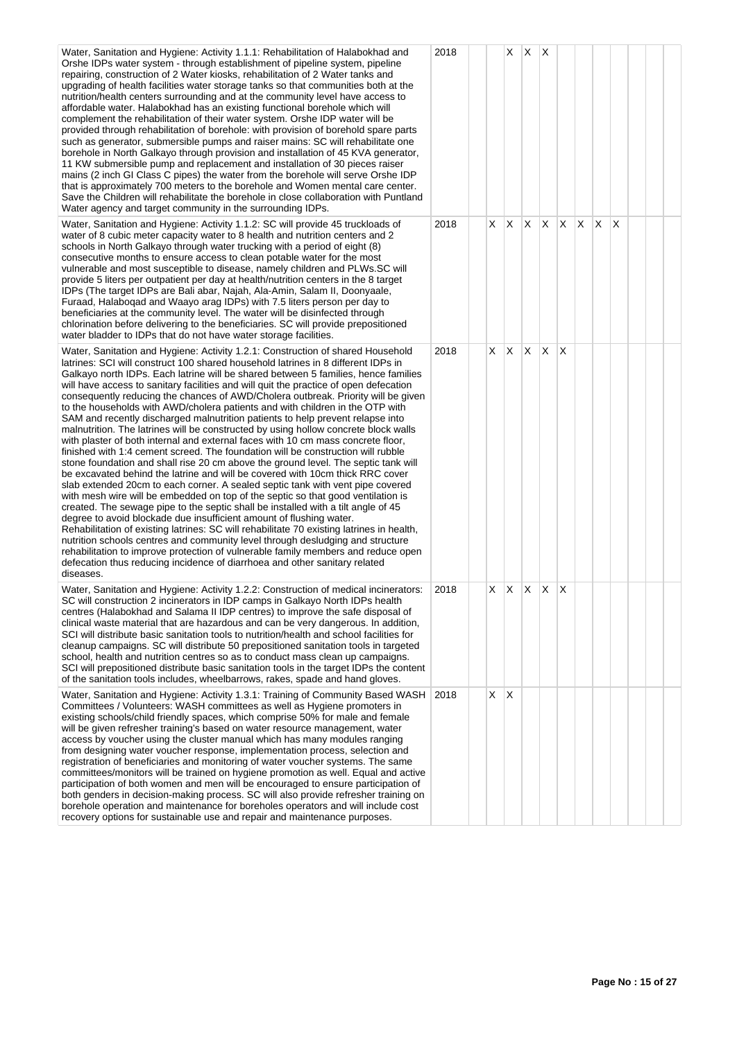| Water, Sanitation and Hygiene: Activity 1.1.1: Rehabilitation of Halabokhad and<br>Orshe IDPs water system - through establishment of pipeline system, pipeline<br>repairing, construction of 2 Water kiosks, rehabilitation of 2 Water tanks and<br>upgrading of health facilities water storage tanks so that communities both at the<br>nutrition/health centers surrounding and at the community level have access to<br>affordable water. Halabokhad has an existing functional borehole which will<br>complement the rehabilitation of their water system. Orshe IDP water will be<br>provided through rehabilitation of borehole: with provision of borehold spare parts<br>such as generator, submersible pumps and raiser mains: SC will rehabilitate one<br>borehole in North Galkayo through provision and installation of 45 KVA generator,<br>11 KW submersible pump and replacement and installation of 30 pieces raiser<br>mains (2 inch GI Class C pipes) the water from the borehole will serve Orshe IDP<br>that is approximately 700 meters to the borehole and Women mental care center.<br>Save the Children will rehabilitate the borehole in close collaboration with Puntland<br>Water agency and target community in the surrounding IDPs.                                                                                                                                                                                                                                                                                                                                                                                                                                                                                | 2018 |    | X.           | X            | X        |          |    |   |   |  |  |
|----------------------------------------------------------------------------------------------------------------------------------------------------------------------------------------------------------------------------------------------------------------------------------------------------------------------------------------------------------------------------------------------------------------------------------------------------------------------------------------------------------------------------------------------------------------------------------------------------------------------------------------------------------------------------------------------------------------------------------------------------------------------------------------------------------------------------------------------------------------------------------------------------------------------------------------------------------------------------------------------------------------------------------------------------------------------------------------------------------------------------------------------------------------------------------------------------------------------------------------------------------------------------------------------------------------------------------------------------------------------------------------------------------------------------------------------------------------------------------------------------------------------------------------------------------------------------------------------------------------------------------------------------------------------------------------------------------------------------------------------------|------|----|--------------|--------------|----------|----------|----|---|---|--|--|
| Water, Sanitation and Hygiene: Activity 1.1.2: SC will provide 45 truckloads of<br>water of 8 cubic meter capacity water to 8 health and nutrition centers and 2<br>schools in North Galkayo through water trucking with a period of eight (8)<br>consecutive months to ensure access to clean potable water for the most<br>vulnerable and most susceptible to disease, namely children and PLWs.SC will<br>provide 5 liters per outpatient per day at health/nutrition centers in the 8 target<br>IDPs (The target IDPs are Bali abar, Najah, Ala-Amin, Salam II, Doonyaale,<br>Furaad, Halaboqad and Waayo arag IDPs) with 7.5 liters person per day to<br>beneficiaries at the community level. The water will be disinfected through<br>chlorination before delivering to the beneficiaries. SC will provide prepositioned<br>water bladder to IDPs that do not have water storage facilities.                                                                                                                                                                                                                                                                                                                                                                                                                                                                                                                                                                                                                                                                                                                                                                                                                                                | 2018 | X. | ΙX.          | X.           | X.       | X.       | X. | X | X |  |  |
| Water, Sanitation and Hygiene: Activity 1.2.1: Construction of shared Household<br>latrines: SCI will construct 100 shared household latrines in 8 different IDPs in<br>Galkayo north IDPs. Each latrine will be shared between 5 families, hence families<br>will have access to sanitary facilities and will quit the practice of open defecation<br>consequently reducing the chances of AWD/Cholera outbreak. Priority will be given<br>to the households with AWD/cholera patients and with children in the OTP with<br>SAM and recently discharged malnutrition patients to help prevent relapse into<br>malnutrition. The latrines will be constructed by using hollow concrete block walls<br>with plaster of both internal and external faces with 10 cm mass concrete floor,<br>finished with 1:4 cement screed. The foundation will be construction will rubble<br>stone foundation and shall rise 20 cm above the ground level. The septic tank will<br>be excavated behind the latrine and will be covered with 10cm thick RRC cover<br>slab extended 20cm to each corner. A sealed septic tank with vent pipe covered<br>with mesh wire will be embedded on top of the septic so that good ventilation is<br>created. The sewage pipe to the septic shall be installed with a tilt angle of 45<br>degree to avoid blockade due insufficient amount of flushing water.<br>Rehabilitation of existing latrines: SC will rehabilitate 70 existing latrines in health,<br>nutrition schools centres and community level through desludging and structure<br>rehabilitation to improve protection of vulnerable family members and reduce open<br>defecation thus reducing incidence of diarrhoea and other sanitary related<br>diseases. | 2018 | X. | ΙX.          | $\mathsf{X}$ | $\times$ | $\times$ |    |   |   |  |  |
| Water, Sanitation and Hygiene: Activity 1.2.2: Construction of medical incinerators:<br>SC will construction 2 incinerators in IDP camps in Galkayo North IDPs health<br>centres (Halabokhad and Salama II IDP centres) to improve the safe disposal of<br>clinical waste material that are hazardous and can be very dangerous. In addition,<br>SCI will distribute basic sanitation tools to nutrition/health and school facilities for<br>cleanup campaigns. SC will distribute 50 prepositioned sanitation tools in targeted<br>school, health and nutrition centres so as to conduct mass clean up campaigns.<br>SCI will prepositioned distribute basic sanitation tools in the target IDPs the content<br>of the sanitation tools includes, wheelbarrows, rakes, spade and hand gloves.                                                                                                                                                                                                                                                                                                                                                                                                                                                                                                                                                                                                                                                                                                                                                                                                                                                                                                                                                     | 2018 | X. | $\mathsf{X}$ | X            | X        | ΙX       |    |   |   |  |  |
| Water, Sanitation and Hygiene: Activity 1.3.1: Training of Community Based WASH<br>Committees / Volunteers: WASH committees as well as Hygiene promoters in<br>existing schools/child friendly spaces, which comprise 50% for male and female<br>will be given refresher training's based on water resource management, water<br>access by voucher using the cluster manual which has many modules ranging<br>from designing water voucher response, implementation process, selection and<br>registration of beneficiaries and monitoring of water voucher systems. The same<br>committees/monitors will be trained on hygiene promotion as well. Equal and active<br>participation of both women and men will be encouraged to ensure participation of<br>both genders in decision-making process. SC will also provide refresher training on<br>borehole operation and maintenance for boreholes operators and will include cost<br>recovery options for sustainable use and repair and maintenance purposes.                                                                                                                                                                                                                                                                                                                                                                                                                                                                                                                                                                                                                                                                                                                                   | 2018 | X  | $\mathsf{X}$ |              |          |          |    |   |   |  |  |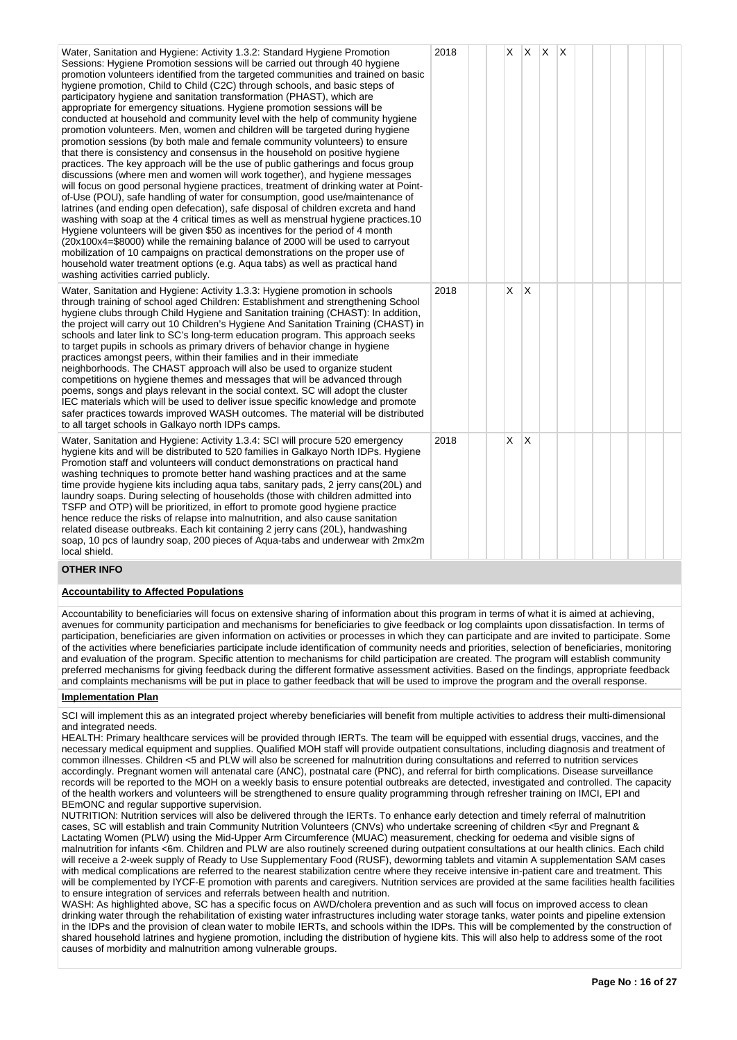| Water, Sanitation and Hygiene: Activity 1.3.2: Standard Hygiene Promotion<br>Sessions: Hygiene Promotion sessions will be carried out through 40 hygiene<br>promotion volunteers identified from the targeted communities and trained on basic<br>hygiene promotion, Child to Child (C2C) through schools, and basic steps of<br>participatory hygiene and sanitation transformation (PHAST), which are<br>appropriate for emergency situations. Hygiene promotion sessions will be<br>conducted at household and community level with the help of community hygiene<br>promotion volunteers. Men, women and children will be targeted during hygiene<br>promotion sessions (by both male and female community volunteers) to ensure<br>that there is consistency and consensus in the household on positive hygiene<br>practices. The key approach will be the use of public gatherings and focus group<br>discussions (where men and women will work together), and hygiene messages<br>will focus on good personal hygiene practices, treatment of drinking water at Point-<br>of-Use (POU), safe handling of water for consumption, good use/maintenance of<br>latrines (and ending open defecation), safe disposal of children excreta and hand<br>washing with soap at the 4 critical times as well as menstrual hygiene practices.10<br>Hygiene volunteers will be given \$50 as incentives for the period of 4 month<br>(20x100x4=\$8000) while the remaining balance of 2000 will be used to carryout<br>mobilization of 10 campaigns on practical demonstrations on the proper use of<br>household water treatment options (e.g. Aqua tabs) as well as practical hand<br>washing activities carried publicly. | 2018 | X. | $\mathsf{X}$ | $X$ $X$ |  |  |  |  |
|-------------------------------------------------------------------------------------------------------------------------------------------------------------------------------------------------------------------------------------------------------------------------------------------------------------------------------------------------------------------------------------------------------------------------------------------------------------------------------------------------------------------------------------------------------------------------------------------------------------------------------------------------------------------------------------------------------------------------------------------------------------------------------------------------------------------------------------------------------------------------------------------------------------------------------------------------------------------------------------------------------------------------------------------------------------------------------------------------------------------------------------------------------------------------------------------------------------------------------------------------------------------------------------------------------------------------------------------------------------------------------------------------------------------------------------------------------------------------------------------------------------------------------------------------------------------------------------------------------------------------------------------------------------------------------------------------------------------------|------|----|--------------|---------|--|--|--|--|
| Water, Sanitation and Hygiene: Activity 1.3.3: Hygiene promotion in schools<br>through training of school aged Children: Establishment and strengthening School<br>hygiene clubs through Child Hygiene and Sanitation training (CHAST): In addition,<br>the project will carry out 10 Children's Hygiene And Sanitation Training (CHAST) in<br>schools and later link to SC's long-term education program. This approach seeks<br>to target pupils in schools as primary drivers of behavior change in hygiene<br>practices amongst peers, within their families and in their immediate<br>neighborhoods. The CHAST approach will also be used to organize student<br>competitions on hygiene themes and messages that will be advanced through<br>poems, songs and plays relevant in the social context. SC will adopt the cluster<br>IEC materials which will be used to deliver issue specific knowledge and promote<br>safer practices towards improved WASH outcomes. The material will be distributed<br>to all target schools in Galkayo north IDPs camps.                                                                                                                                                                                                                                                                                                                                                                                                                                                                                                                                                                                                                                                       | 2018 | X  | $\mathsf{X}$ |         |  |  |  |  |
| Water, Sanitation and Hygiene: Activity 1.3.4: SCI will procure 520 emergency<br>hygiene kits and will be distributed to 520 families in Galkayo North IDPs. Hygiene<br>Promotion staff and volunteers will conduct demonstrations on practical hand<br>washing techniques to promote better hand washing practices and at the same<br>time provide hygiene kits including aqua tabs, sanitary pads, 2 jerry cans(20L) and<br>laundry soaps. During selecting of households (those with children admitted into<br>TSFP and OTP) will be prioritized, in effort to promote good hygiene practice<br>hence reduce the risks of relapse into malnutrition, and also cause sanitation<br>related disease outbreaks. Each kit containing 2 jerry cans (20L), handwashing                                                                                                                                                                                                                                                                                                                                                                                                                                                                                                                                                                                                                                                                                                                                                                                                                                                                                                                                                     | 2018 | X  | $\times$     |         |  |  |  |  |

# local shield. **OTHER INFO**

## **Accountability to Affected Populations**

soap, 10 pcs of laundry soap, 200 pieces of Aqua-tabs and underwear with 2mx2m

Accountability to beneficiaries will focus on extensive sharing of information about this program in terms of what it is aimed at achieving, avenues for community participation and mechanisms for beneficiaries to give feedback or log complaints upon dissatisfaction. In terms of participation, beneficiaries are given information on activities or processes in which they can participate and are invited to participate. Some of the activities where beneficiaries participate include identification of community needs and priorities, selection of beneficiaries, monitoring and evaluation of the program. Specific attention to mechanisms for child participation are created. The program will establish community preferred mechanisms for giving feedback during the different formative assessment activities. Based on the findings, appropriate feedback and complaints mechanisms will be put in place to gather feedback that will be used to improve the program and the overall response.

## **Implementation Plan**

SCI will implement this as an integrated project whereby beneficiaries will benefit from multiple activities to address their multi-dimensional and integrated needs.

HEALTH: Primary healthcare services will be provided through IERTs. The team will be equipped with essential drugs, vaccines, and the necessary medical equipment and supplies. Qualified MOH staff will provide outpatient consultations, including diagnosis and treatment of common illnesses. Children <5 and PLW will also be screened for malnutrition during consultations and referred to nutrition services accordingly. Pregnant women will antenatal care (ANC), postnatal care (PNC), and referral for birth complications. Disease surveillance records will be reported to the MOH on a weekly basis to ensure potential outbreaks are detected, investigated and controlled. The capacity of the health workers and volunteers will be strengthened to ensure quality programming through refresher training on IMCI, EPI and BEmONC and regular supportive supervision.

NUTRITION: Nutrition services will also be delivered through the IERTs. To enhance early detection and timely referral of malnutrition cases, SC will establish and train Community Nutrition Volunteers (CNVs) who undertake screening of children <5yr and Pregnant & Lactating Women (PLW) using the Mid-Upper Arm Circumference (MUAC) measurement, checking for oedema and visible signs of malnutrition for infants <6m. Children and PLW are also routinely screened during outpatient consultations at our health clinics. Each child will receive a 2-week supply of Ready to Use Supplementary Food (RUSF), deworming tablets and vitamin A supplementation SAM cases with medical complications are referred to the nearest stabilization centre where they receive intensive in-patient care and treatment. This will be complemented by IYCF-E promotion with parents and caregivers. Nutrition services are provided at the same facilities health facilities to ensure integration of services and referrals between health and nutrition.

WASH: As highlighted above, SC has a specific focus on AWD/cholera prevention and as such will focus on improved access to clean drinking water through the rehabilitation of existing water infrastructures including water storage tanks, water points and pipeline extension in the IDPs and the provision of clean water to mobile IERTs, and schools within the IDPs. This will be complemented by the construction of shared household latrines and hygiene promotion, including the distribution of hygiene kits. This will also help to address some of the root causes of morbidity and malnutrition among vulnerable groups.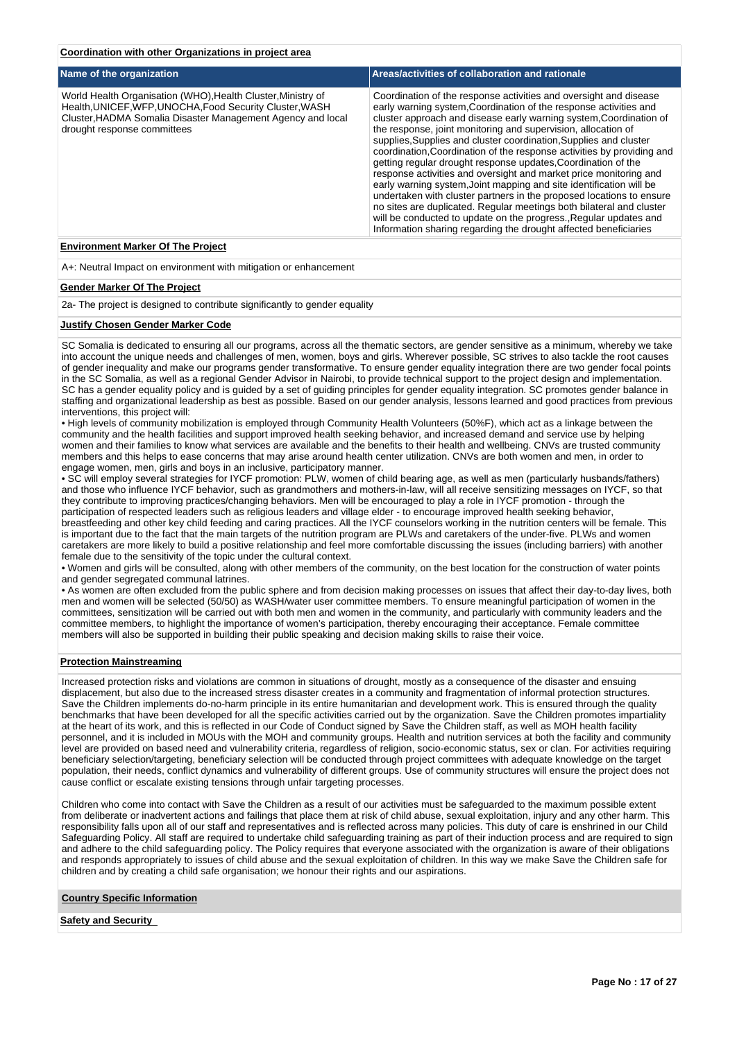## **Coordination with other Organizations in project area**

| Name of the organization                                                                                                                                                                                               | Areas/activities of collaboration and rationale                                                                                                                                                                                                                                                                                                                                                                                                                                                                                                                                                                                                                                                                                                                                                                                                                                                                                    |
|------------------------------------------------------------------------------------------------------------------------------------------------------------------------------------------------------------------------|------------------------------------------------------------------------------------------------------------------------------------------------------------------------------------------------------------------------------------------------------------------------------------------------------------------------------------------------------------------------------------------------------------------------------------------------------------------------------------------------------------------------------------------------------------------------------------------------------------------------------------------------------------------------------------------------------------------------------------------------------------------------------------------------------------------------------------------------------------------------------------------------------------------------------------|
| World Health Organisation (WHO), Health Cluster, Ministry of<br>Health, UNICEF, WFP, UNOCHA, Food Security Cluster, WASH<br>Cluster, HADMA Somalia Disaster Management Agency and local<br>drought response committees | Coordination of the response activities and oversight and disease<br>early warning system, Coordination of the response activities and<br>cluster approach and disease early warning system, Coordination of<br>the response, joint monitoring and supervision, allocation of<br>supplies, Supplies and cluster coordination, Supplies and cluster<br>coordination, Coordination of the response activities by providing and<br>getting regular drought response updates, Coordination of the<br>response activities and oversight and market price monitoring and<br>early warning system, Joint mapping and site identification will be<br>undertaken with cluster partners in the proposed locations to ensure<br>no sites are duplicated. Regular meetings both bilateral and cluster<br>will be conducted to update on the progress., Regular updates and<br>Information sharing regarding the drought affected beneficiaries |
|                                                                                                                                                                                                                        |                                                                                                                                                                                                                                                                                                                                                                                                                                                                                                                                                                                                                                                                                                                                                                                                                                                                                                                                    |

## **Environment Marker Of The Project**

A+: Neutral Impact on environment with mitigation or enhancement

#### **Gender Marker Of The Project**

2a- The project is designed to contribute significantly to gender equality

#### **Justify Chosen Gender Marker Code**

SC Somalia is dedicated to ensuring all our programs, across all the thematic sectors, are gender sensitive as a minimum, whereby we take into account the unique needs and challenges of men, women, boys and girls. Wherever possible, SC strives to also tackle the root causes of gender inequality and make our programs gender transformative. To ensure gender equality integration there are two gender focal points in the SC Somalia, as well as a regional Gender Advisor in Nairobi, to provide technical support to the project design and implementation. SC has a gender equality policy and is guided by a set of guiding principles for gender equality integration. SC promotes gender balance in staffing and organizational leadership as best as possible. Based on our gender analysis, lessons learned and good practices from previous interventions, this project will:

• High levels of community mobilization is employed through Community Health Volunteers (50%F), which act as a linkage between the community and the health facilities and support improved health seeking behavior, and increased demand and service use by helping women and their families to know what services are available and the benefits to their health and wellbeing. CNVs are trusted community members and this helps to ease concerns that may arise around health center utilization. CNVs are both women and men, in order to engage women, men, girls and boys in an inclusive, participatory manner.

• SC will employ several strategies for IYCF promotion: PLW, women of child bearing age, as well as men (particularly husbands/fathers) and those who influence IYCF behavior, such as grandmothers and mothers-in-law, will all receive sensitizing messages on IYCF, so that they contribute to improving practices/changing behaviors. Men will be encouraged to play a role in IYCF promotion - through the participation of respected leaders such as religious leaders and village elder - to encourage improved health seeking behavior, breastfeeding and other key child feeding and caring practices. All the IYCF counselors working in the nutrition centers will be female. This is important due to the fact that the main targets of the nutrition program are PLWs and caretakers of the under-five. PLWs and women caretakers are more likely to build a positive relationship and feel more comfortable discussing the issues (including barriers) with another female due to the sensitivity of the topic under the cultural context.

• Women and girls will be consulted, along with other members of the community, on the best location for the construction of water points and gender segregated communal latrines.

• As women are often excluded from the public sphere and from decision making processes on issues that affect their day-to-day lives, both men and women will be selected (50/50) as WASH/water user committee members. To ensure meaningful participation of women in the committees, sensitization will be carried out with both men and women in the community, and particularly with community leaders and the committee members, to highlight the importance of women's participation, thereby encouraging their acceptance. Female committee members will also be supported in building their public speaking and decision making skills to raise their voice.

#### **Protection Mainstreaming**

Increased protection risks and violations are common in situations of drought, mostly as a consequence of the disaster and ensuing displacement, but also due to the increased stress disaster creates in a community and fragmentation of informal protection structures. Save the Children implements do-no-harm principle in its entire humanitarian and development work. This is ensured through the quality benchmarks that have been developed for all the specific activities carried out by the organization. Save the Children promotes impartiality at the heart of its work, and this is reflected in our Code of Conduct signed by Save the Children staff, as well as MOH health facility personnel, and it is included in MOUs with the MOH and community groups. Health and nutrition services at both the facility and community level are provided on based need and vulnerability criteria, regardless of religion, socio-economic status, sex or clan. For activities requiring beneficiary selection/targeting, beneficiary selection will be conducted through project committees with adequate knowledge on the target population, their needs, conflict dynamics and vulnerability of different groups. Use of community structures will ensure the project does not cause conflict or escalate existing tensions through unfair targeting processes.

Children who come into contact with Save the Children as a result of our activities must be safeguarded to the maximum possible extent from deliberate or inadvertent actions and failings that place them at risk of child abuse, sexual exploitation, injury and any other harm. This responsibility falls upon all of our staff and representatives and is reflected across many policies. This duty of care is enshrined in our Child Safeguarding Policy. All staff are required to undertake child safeguarding training as part of their induction process and are required to sign and adhere to the child safeguarding policy. The Policy requires that everyone associated with the organization is aware of their obligations and responds appropriately to issues of child abuse and the sexual exploitation of children. In this way we make Save the Children safe for children and by creating a child safe organisation; we honour their rights and our aspirations.

## **Country Specific Information**

#### **Safety and Security**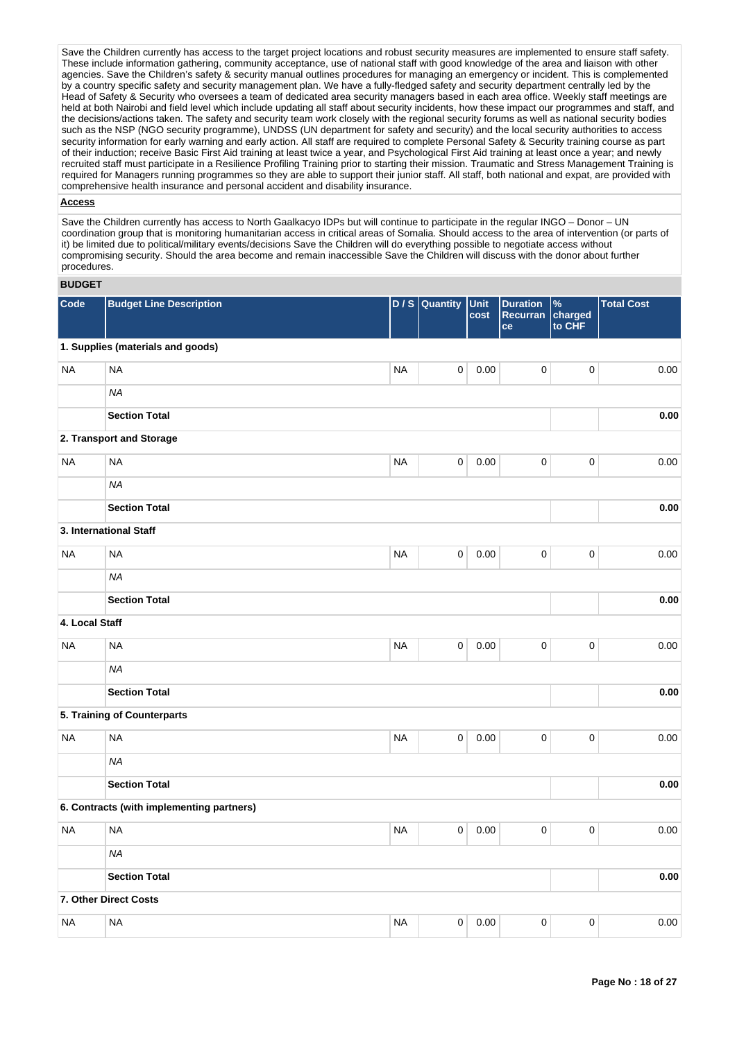Save the Children currently has access to the target project locations and robust security measures are implemented to ensure staff safety. These include information gathering, community acceptance, use of national staff with good knowledge of the area and liaison with other agencies. Save the Children's safety & security manual outlines procedures for managing an emergency or incident. This is complemented by a country specific safety and security management plan. We have a fully-fledged safety and security department centrally led by the Head of Safety & Security who oversees a team of dedicated area security managers based in each area office. Weekly staff meetings are held at both Nairobi and field level which include updating all staff about security incidents, how these impact our programmes and staff, and the decisions/actions taken. The safety and security team work closely with the regional security forums as well as national security bodies such as the NSP (NGO security programme), UNDSS (UN department for safety and security) and the local security authorities to access security information for early warning and early action. All staff are required to complete Personal Safety & Security training course as part of their induction; receive Basic First Aid training at least twice a year, and Psychological First Aid training at least once a year; and newly recruited staff must participate in a Resilience Profiling Training prior to starting their mission. Traumatic and Stress Management Training is required for Managers running programmes so they are able to support their junior staff. All staff, both national and expat, are provided with comprehensive health insurance and personal accident and disability insurance.

## **Access**

Save the Children currently has access to North Gaalkacyo IDPs but will continue to participate in the regular INGO – Donor – UN coordination group that is monitoring humanitarian access in critical areas of Somalia. Should access to the area of intervention (or parts of it) be limited due to political/military events/decisions Save the Children will do everything possible to negotiate access without compromising security. Should the area become and remain inaccessible Save the Children will discuss with the donor about further procedures.

# **BUDGET**

| Code           | <b>Budget Line Description</b>            |           | D / S Quantity | Unit<br>cost | <b>Duration</b><br>Recurran<br>ce | %<br>charged<br>to CHF | <b>Total Cost</b> |
|----------------|-------------------------------------------|-----------|----------------|--------------|-----------------------------------|------------------------|-------------------|
|                | 1. Supplies (materials and goods)         |           |                |              |                                   |                        |                   |
| <b>NA</b>      | <b>NA</b>                                 | <b>NA</b> | $\pmb{0}$      | 0.00         | $\mathsf 0$                       | $\pmb{0}$              | 0.00              |
|                | <b>NA</b>                                 |           |                |              |                                   |                        |                   |
|                | <b>Section Total</b>                      |           |                |              |                                   |                        | 0.00              |
|                | 2. Transport and Storage                  |           |                |              |                                   |                        |                   |
| <b>NA</b>      | <b>NA</b>                                 | <b>NA</b> | 0              | 0.00         | $\pmb{0}$                         | $\pmb{0}$              | 0.00              |
|                | <b>NA</b>                                 |           |                |              |                                   |                        |                   |
|                | <b>Section Total</b>                      |           |                |              |                                   |                        | 0.00              |
|                | 3. International Staff                    |           |                |              |                                   |                        |                   |
| <b>NA</b>      | <b>NA</b>                                 | <b>NA</b> | $\pmb{0}$      | 0.00         | $\pmb{0}$                         | $\pmb{0}$              | 0.00              |
|                | <b>NA</b>                                 |           |                |              |                                   |                        |                   |
|                | <b>Section Total</b>                      |           |                |              |                                   |                        | 0.00              |
| 4. Local Staff |                                           |           |                |              |                                   |                        |                   |
| <b>NA</b>      | <b>NA</b>                                 | <b>NA</b> | 0              | 0.00         | $\pmb{0}$                         | $\pmb{0}$              | 0.00              |
|                | <b>NA</b>                                 |           |                |              |                                   |                        |                   |
|                | <b>Section Total</b>                      |           |                |              |                                   |                        | 0.00              |
|                | 5. Training of Counterparts               |           |                |              |                                   |                        |                   |
| <b>NA</b>      | <b>NA</b>                                 | <b>NA</b> | 0              | 0.00         | $\mathbf 0$                       | $\pmb{0}$              | 0.00              |
|                | <b>NA</b>                                 |           |                |              |                                   |                        |                   |
|                | <b>Section Total</b>                      |           |                |              |                                   |                        | 0.00              |
|                | 6. Contracts (with implementing partners) |           |                |              |                                   |                        |                   |
| <b>NA</b>      | <b>NA</b>                                 | <b>NA</b> | $\pmb{0}$      | 0.00         | 0                                 | $\mathbf 0$            | 0.00              |
|                | <b>NA</b>                                 |           |                |              |                                   |                        |                   |
|                | <b>Section Total</b>                      |           |                |              |                                   |                        | 0.00              |
|                | 7. Other Direct Costs                     |           |                |              |                                   |                        |                   |
| <b>NA</b>      | <b>NA</b>                                 | <b>NA</b> | $\mathbf 0$    | 0.00         | 0                                 | $\mathbf 0$            | 0.00              |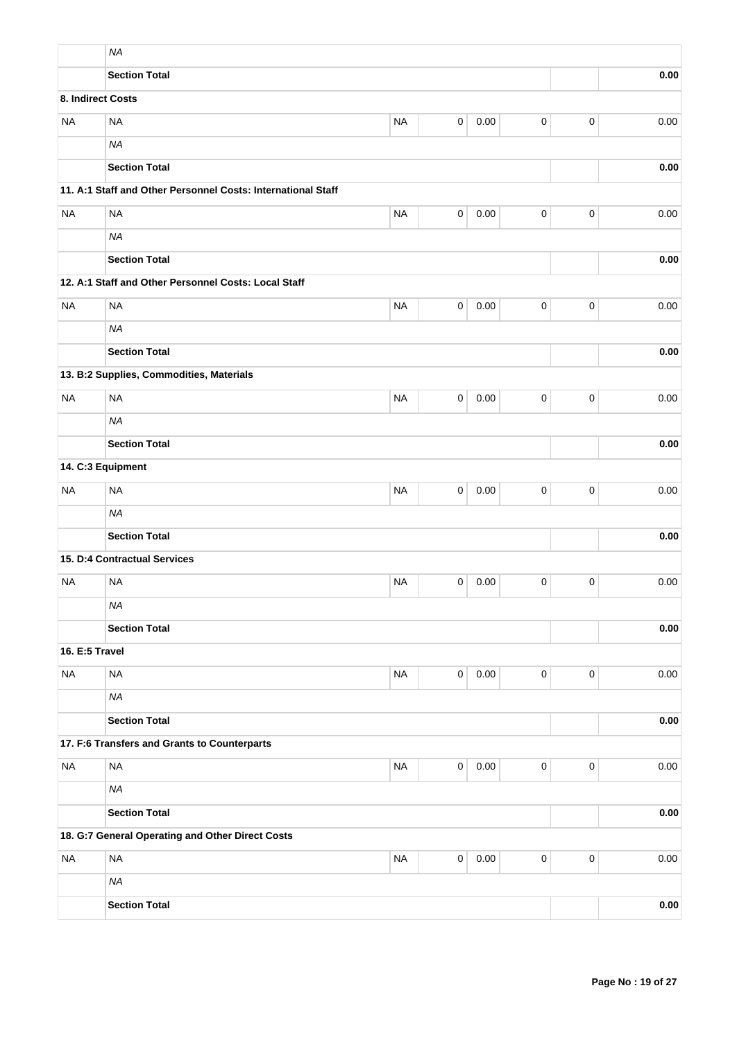|                   | <b>NA</b>                                                    |           |                |      |             |             |      |
|-------------------|--------------------------------------------------------------|-----------|----------------|------|-------------|-------------|------|
|                   | <b>Section Total</b>                                         |           |                |      |             |             | 0.00 |
| 8. Indirect Costs |                                                              |           |                |      |             |             |      |
| <b>NA</b>         | <b>NA</b>                                                    | <b>NA</b> | $\mathbf 0$    | 0.00 | $\mathsf 0$ | $\mathbf 0$ | 0.00 |
|                   | <b>NA</b>                                                    |           |                |      |             |             |      |
|                   | <b>Section Total</b>                                         |           |                |      |             |             | 0.00 |
|                   | 11. A:1 Staff and Other Personnel Costs: International Staff |           |                |      |             |             |      |
| <b>NA</b>         | <b>NA</b>                                                    | <b>NA</b> | $\pmb{0}$      | 0.00 | $\mathsf 0$ | $\mathsf 0$ | 0.00 |
|                   | <b>NA</b>                                                    |           |                |      |             |             |      |
|                   | <b>Section Total</b>                                         |           |                |      |             |             | 0.00 |
|                   | 12. A:1 Staff and Other Personnel Costs: Local Staff         |           |                |      |             |             |      |
| <b>NA</b>         | <b>NA</b>                                                    | <b>NA</b> | 0              | 0.00 | 0           | $\pmb{0}$   | 0.00 |
|                   | <b>NA</b>                                                    |           |                |      |             |             |      |
|                   | <b>Section Total</b>                                         |           |                |      |             |             | 0.00 |
|                   | 13. B:2 Supplies, Commodities, Materials                     |           |                |      |             |             |      |
| <b>NA</b>         | <b>NA</b>                                                    | <b>NA</b> | 0              | 0.00 | 0           | $\pmb{0}$   | 0.00 |
|                   | <b>NA</b>                                                    |           |                |      |             |             |      |
|                   | <b>Section Total</b>                                         |           |                | 0.00 |             |             |      |
| 14. C:3 Equipment |                                                              |           |                |      |             |             |      |
| <b>NA</b>         | <b>NA</b>                                                    | <b>NA</b> | 0              | 0.00 | 0           | 0           | 0.00 |
|                   | <b>NA</b>                                                    |           |                |      |             |             |      |
|                   | <b>Section Total</b>                                         |           |                | 0.00 |             |             |      |
|                   | 15. D:4 Contractual Services                                 |           |                |      |             |             |      |
| <b>NA</b>         | <b>NA</b>                                                    | <b>NA</b> | 0              | 0.00 | 0           | $\mathbf 0$ | 0.00 |
|                   | <b>NA</b>                                                    |           |                |      |             |             |      |
|                   | <b>Section Total</b>                                         |           |                |      |             |             | 0.00 |
| 16. E:5 Travel    |                                                              |           |                |      |             |             |      |
| <b>NA</b>         | <b>NA</b>                                                    | <b>NA</b> | $\overline{0}$ | 0.00 | $\pmb{0}$   | $\mathbf 0$ | 0.00 |
|                   | <b>NA</b>                                                    |           |                |      |             |             |      |
|                   | <b>Section Total</b>                                         |           |                |      |             |             | 0.00 |
|                   | 17. F:6 Transfers and Grants to Counterparts                 |           |                |      |             |             |      |
| <b>NA</b>         | <b>NA</b>                                                    | <b>NA</b> | $\overline{0}$ | 0.00 | $\pmb{0}$   | $\mathbf 0$ | 0.00 |
|                   | <b>NA</b>                                                    |           |                |      |             |             |      |
|                   | <b>Section Total</b>                                         |           |                |      |             |             | 0.00 |
|                   | 18. G:7 General Operating and Other Direct Costs             |           |                |      |             |             |      |
| <b>NA</b>         | <b>NA</b>                                                    | <b>NA</b> | $\mathbf 0$    | 0.00 | $\mathsf 0$ | $\mathsf 0$ | 0.00 |
|                   | <b>NA</b>                                                    |           |                |      |             |             |      |
|                   | <b>Section Total</b>                                         |           |                |      |             |             | 0.00 |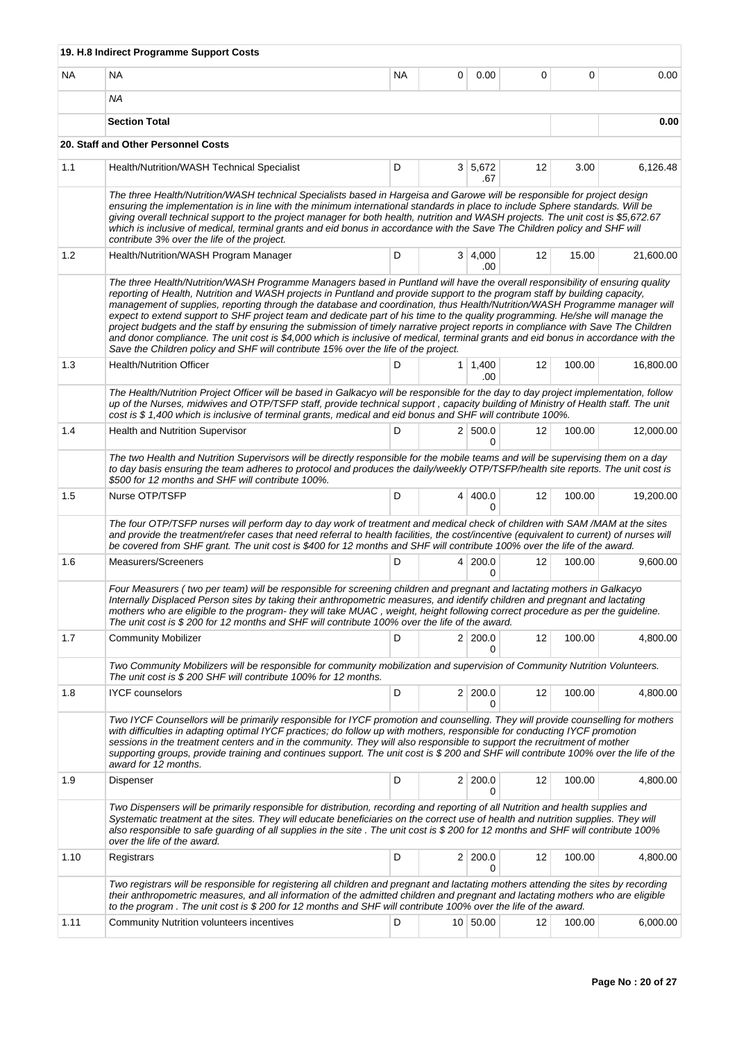|      | 19. H.8 Indirect Programme Support Costs                                                                                                                                                                                                                                                                                                                                                                                                                                                                                                                                                                                                                                                                                                                                                                                                                                                     |     |   |                         |    |        |           |
|------|----------------------------------------------------------------------------------------------------------------------------------------------------------------------------------------------------------------------------------------------------------------------------------------------------------------------------------------------------------------------------------------------------------------------------------------------------------------------------------------------------------------------------------------------------------------------------------------------------------------------------------------------------------------------------------------------------------------------------------------------------------------------------------------------------------------------------------------------------------------------------------------------|-----|---|-------------------------|----|--------|-----------|
| NA   | NA                                                                                                                                                                                                                                                                                                                                                                                                                                                                                                                                                                                                                                                                                                                                                                                                                                                                                           | NA. | 0 | 0.00                    | 0  | 0      | 0.00      |
|      | ΝA                                                                                                                                                                                                                                                                                                                                                                                                                                                                                                                                                                                                                                                                                                                                                                                                                                                                                           |     |   |                         |    |        |           |
|      | <b>Section Total</b>                                                                                                                                                                                                                                                                                                                                                                                                                                                                                                                                                                                                                                                                                                                                                                                                                                                                         |     |   |                         |    |        | 0.00      |
|      | 20. Staff and Other Personnel Costs                                                                                                                                                                                                                                                                                                                                                                                                                                                                                                                                                                                                                                                                                                                                                                                                                                                          |     |   |                         |    |        |           |
| 1.1  | Health/Nutrition/WASH Technical Specialist                                                                                                                                                                                                                                                                                                                                                                                                                                                                                                                                                                                                                                                                                                                                                                                                                                                   | D   |   | 3 5,672<br>.67          | 12 | 3.00   | 6,126.48  |
|      | The three Health/Nutrition/WASH technical Specialists based in Hargeisa and Garowe will be responsible for project design<br>ensuring the implementation is in line with the minimum international standards in place to include Sphere standards. Will be<br>giving overall technical support to the project manager for both health, nutrition and WASH projects. The unit cost is \$5,672.67<br>which is inclusive of medical, terminal grants and eid bonus in accordance with the Save The Children policy and SHF will<br>contribute 3% over the life of the project.                                                                                                                                                                                                                                                                                                                  |     |   |                         |    |        |           |
| 1.2  | Health/Nutrition/WASH Program Manager                                                                                                                                                                                                                                                                                                                                                                                                                                                                                                                                                                                                                                                                                                                                                                                                                                                        | D   |   | 3   4,000<br>.00        | 12 | 15.00  | 21,600.00 |
|      | The three Health/Nutrition/WASH Programme Managers based in Puntland will have the overall responsibility of ensuring quality<br>reporting of Health, Nutrition and WASH projects in Puntland and provide support to the program staff by building capacity,<br>management of supplies, reporting through the database and coordination, thus Health/Nutrition/WASH Programme manager will<br>expect to extend support to SHF project team and dedicate part of his time to the quality programming. He/she will manage the<br>project budgets and the staff by ensuring the submission of timely narrative project reports in compliance with Save The Children<br>and donor compliance. The unit cost is \$4,000 which is inclusive of medical, terminal grants and eid bonus in accordance with the<br>Save the Children policy and SHF will contribute 15% over the life of the project. |     |   |                         |    |        |           |
| 1.3  | <b>Health/Nutrition Officer</b>                                                                                                                                                                                                                                                                                                                                                                                                                                                                                                                                                                                                                                                                                                                                                                                                                                                              | D   |   | $1 \mid 1,400$<br>.00   | 12 | 100.00 | 16,800.00 |
|      | The Health/Nutrition Project Officer will be based in Galkacyo will be responsible for the day to day project implementation, follow<br>up of the Nurses, midwives and OTP/TSFP staff, provide technical support, capacity building of Ministry of Health staff. The unit<br>cost is \$1,400 which is inclusive of terminal grants, medical and eid bonus and SHF will contribute 100%.                                                                                                                                                                                                                                                                                                                                                                                                                                                                                                      |     |   |                         |    |        |           |
| 1.4  | <b>Health and Nutrition Supervisor</b>                                                                                                                                                                                                                                                                                                                                                                                                                                                                                                                                                                                                                                                                                                                                                                                                                                                       | D   |   | 2   500.0<br>0          | 12 | 100.00 | 12,000.00 |
|      | The two Health and Nutrition Supervisors will be directly responsible for the mobile teams and will be supervising them on a day<br>to day basis ensuring the team adheres to protocol and produces the daily/weekly OTP/TSFP/health site reports. The unit cost is<br>\$500 for 12 months and SHF will contribute 100%.                                                                                                                                                                                                                                                                                                                                                                                                                                                                                                                                                                     |     |   |                         |    |        |           |
| 1.5  | Nurse OTP/TSFP                                                                                                                                                                                                                                                                                                                                                                                                                                                                                                                                                                                                                                                                                                                                                                                                                                                                               | D   |   | 4 400.0<br>0            | 12 | 100.00 | 19,200.00 |
|      | The four OTP/TSFP nurses will perform day to day work of treatment and medical check of children with SAM/MAM at the sites<br>and provide the treatment/refer cases that need referral to health facilities, the cost/incentive (equivalent to current) of nurses will<br>be covered from SHF grant. The unit cost is \$400 for 12 months and SHF will contribute 100% over the life of the award.                                                                                                                                                                                                                                                                                                                                                                                                                                                                                           |     |   |                         |    |        |           |
| 1.6  | Measurers/Screeners                                                                                                                                                                                                                                                                                                                                                                                                                                                                                                                                                                                                                                                                                                                                                                                                                                                                          | D   |   | 4 200.0<br>0            | 12 | 100.00 | 9,600.00  |
|      | Four Measurers (two per team) will be responsible for screening children and pregnant and lactating mothers in Galkacyo<br>Internally Displaced Person sites by taking their anthropometric measures, and identify children and pregnant and lactating<br>mothers who are eligible to the program- they will take MUAC, weight, height following correct procedure as per the guideline.<br>The unit cost is \$200 for 12 months and SHF will contribute 100% over the life of the award.                                                                                                                                                                                                                                                                                                                                                                                                    |     |   |                         |    |        |           |
| 1.7  | <b>Community Mobilizer</b>                                                                                                                                                                                                                                                                                                                                                                                                                                                                                                                                                                                                                                                                                                                                                                                                                                                                   | D   |   | 2 200.0<br>0            | 12 | 100.00 | 4,800.00  |
|      | Two Community Mobilizers will be responsible for community mobilization and supervision of Community Nutrition Volunteers.<br>The unit cost is \$200 SHF will contribute 100% for 12 months.                                                                                                                                                                                                                                                                                                                                                                                                                                                                                                                                                                                                                                                                                                 |     |   |                         |    |        |           |
| 1.8  | <b>IYCF</b> counselors                                                                                                                                                                                                                                                                                                                                                                                                                                                                                                                                                                                                                                                                                                                                                                                                                                                                       | D   |   | 2 200.0<br><sup>0</sup> | 12 | 100.00 | 4,800.00  |
|      | Two IYCF Counsellors will be primarily responsible for IYCF promotion and counselling. They will provide counselling for mothers<br>with difficulties in adapting optimal IYCF practices; do follow up with mothers, responsible for conducting IYCF promotion<br>sessions in the treatment centers and in the community. They will also responsible to support the recruitment of mother<br>supporting groups, provide training and continues support. The unit cost is \$200 and SHF will contribute 100% over the life of the<br>award for 12 months.                                                                                                                                                                                                                                                                                                                                     |     |   |                         |    |        |           |
| 1.9  | Dispenser                                                                                                                                                                                                                                                                                                                                                                                                                                                                                                                                                                                                                                                                                                                                                                                                                                                                                    | D   |   | 2 200.0<br>0            | 12 | 100.00 | 4,800.00  |
|      | Two Dispensers will be primarily responsible for distribution, recording and reporting of all Nutrition and health supplies and<br>Systematic treatment at the sites. They will educate beneficiaries on the correct use of health and nutrition supplies. They will<br>also responsible to safe guarding of all supplies in the site . The unit cost is \$200 for 12 months and SHF will contribute 100%<br>over the life of the award.                                                                                                                                                                                                                                                                                                                                                                                                                                                     |     |   |                         |    |        |           |
| 1.10 | Registrars                                                                                                                                                                                                                                                                                                                                                                                                                                                                                                                                                                                                                                                                                                                                                                                                                                                                                   | D   |   | 2 200.0<br>0            | 12 | 100.00 | 4,800.00  |
|      | Two registrars will be responsible for registering all children and pregnant and lactating mothers attending the sites by recording<br>their anthropometric measures, and all information of the admitted children and pregnant and lactating mothers who are eligible<br>to the program. The unit cost is \$200 for 12 months and SHF will contribute 100% over the life of the award.                                                                                                                                                                                                                                                                                                                                                                                                                                                                                                      |     |   |                         |    |        |           |
| 1.11 | Community Nutrition volunteers incentives                                                                                                                                                                                                                                                                                                                                                                                                                                                                                                                                                                                                                                                                                                                                                                                                                                                    | D   |   | 10   50.00              | 12 | 100.00 | 6,000.00  |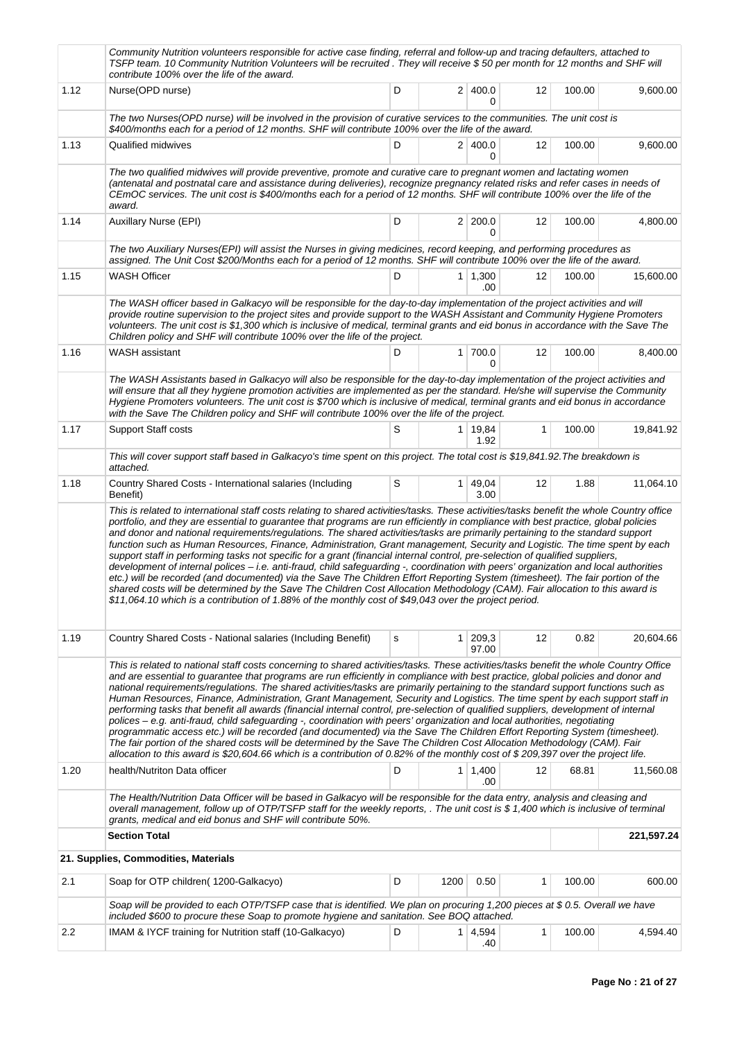|      | Community Nutrition volunteers responsible for active case finding, referral and follow-up and tracing defaulters, attached to<br>TSFP team. 10 Community Nutrition Volunteers will be recruited. They will receive \$50 per month for 12 months and SHF will<br>contribute 100% over the life of the award.                                                                                                                                                                                                                                                                                                                                                                                                                                                                                                                                                                                                                                                                                                                                                                                                                                                                                                     |   |                |                        |    |        |            |
|------|------------------------------------------------------------------------------------------------------------------------------------------------------------------------------------------------------------------------------------------------------------------------------------------------------------------------------------------------------------------------------------------------------------------------------------------------------------------------------------------------------------------------------------------------------------------------------------------------------------------------------------------------------------------------------------------------------------------------------------------------------------------------------------------------------------------------------------------------------------------------------------------------------------------------------------------------------------------------------------------------------------------------------------------------------------------------------------------------------------------------------------------------------------------------------------------------------------------|---|----------------|------------------------|----|--------|------------|
| 1.12 | Nurse(OPD nurse)                                                                                                                                                                                                                                                                                                                                                                                                                                                                                                                                                                                                                                                                                                                                                                                                                                                                                                                                                                                                                                                                                                                                                                                                 | D |                | 2 400.0<br>0           | 12 | 100.00 | 9,600.00   |
|      | The two Nurses(OPD nurse) will be involved in the provision of curative services to the communities. The unit cost is<br>\$400/months each for a period of 12 months. SHF will contribute 100% over the life of the award.                                                                                                                                                                                                                                                                                                                                                                                                                                                                                                                                                                                                                                                                                                                                                                                                                                                                                                                                                                                       |   |                |                        |    |        |            |
| 1.13 | Qualified midwives                                                                                                                                                                                                                                                                                                                                                                                                                                                                                                                                                                                                                                                                                                                                                                                                                                                                                                                                                                                                                                                                                                                                                                                               | D |                | 2 400.0<br>0           | 12 | 100.00 | 9,600.00   |
|      | The two qualified midwives will provide preventive, promote and curative care to pregnant women and lactating women<br>(antenatal and postnatal care and assistance during deliveries), recognize pregnancy related risks and refer cases in needs of<br>CEmOC services. The unit cost is \$400/months each for a period of 12 months. SHF will contribute 100% over the life of the<br>award.                                                                                                                                                                                                                                                                                                                                                                                                                                                                                                                                                                                                                                                                                                                                                                                                                   |   |                |                        |    |        |            |
| 1.14 | <b>Auxillary Nurse (EPI)</b>                                                                                                                                                                                                                                                                                                                                                                                                                                                                                                                                                                                                                                                                                                                                                                                                                                                                                                                                                                                                                                                                                                                                                                                     | D |                | 2 200.0<br>0           | 12 | 100.00 | 4,800.00   |
|      | The two Auxiliary Nurses(EPI) will assist the Nurses in giving medicines, record keeping, and performing procedures as<br>assigned. The Unit Cost \$200/Months each for a period of 12 months. SHF will contribute 100% over the life of the award.                                                                                                                                                                                                                                                                                                                                                                                                                                                                                                                                                                                                                                                                                                                                                                                                                                                                                                                                                              |   |                |                        |    |        |            |
| 1.15 | <b>WASH Officer</b>                                                                                                                                                                                                                                                                                                                                                                                                                                                                                                                                                                                                                                                                                                                                                                                                                                                                                                                                                                                                                                                                                                                                                                                              | D |                | 1 1,300<br>.00         | 12 | 100.00 | 15,600.00  |
|      | The WASH officer based in Galkacyo will be responsible for the day-to-day implementation of the project activities and will<br>provide routine supervision to the project sites and provide support to the WASH Assistant and Community Hygiene Promoters<br>volunteers. The unit cost is \$1,300 which is inclusive of medical, terminal grants and eid bonus in accordance with the Save The<br>Children policy and SHF will contribute 100% over the life of the project.                                                                                                                                                                                                                                                                                                                                                                                                                                                                                                                                                                                                                                                                                                                                     |   |                |                        |    |        |            |
| 1.16 | WASH assistant                                                                                                                                                                                                                                                                                                                                                                                                                                                                                                                                                                                                                                                                                                                                                                                                                                                                                                                                                                                                                                                                                                                                                                                                   | D | 1 <sup>1</sup> | 700.0<br>0             | 12 | 100.00 | 8,400.00   |
|      | The WASH Assistants based in Galkacyo will also be responsible for the day-to-day implementation of the project activities and<br>will ensure that all they hygiene promotion activities are implemented as per the standard. He/she will supervise the Community<br>Hygiene Promoters volunteers. The unit cost is \$700 which is inclusive of medical, terminal grants and eid bonus in accordance<br>with the Save The Children policy and SHF will contribute 100% over the life of the project.                                                                                                                                                                                                                                                                                                                                                                                                                                                                                                                                                                                                                                                                                                             |   |                |                        |    |        |            |
| 1.17 | <b>Support Staff costs</b>                                                                                                                                                                                                                                                                                                                                                                                                                                                                                                                                                                                                                                                                                                                                                                                                                                                                                                                                                                                                                                                                                                                                                                                       | S |                | 1 19,84<br>1.92        | 1  | 100.00 | 19,841.92  |
|      | This will cover support staff based in Galkacyo's time spent on this project. The total cost is \$19,841.92. The breakdown is<br>attached.                                                                                                                                                                                                                                                                                                                                                                                                                                                                                                                                                                                                                                                                                                                                                                                                                                                                                                                                                                                                                                                                       |   |                |                        |    |        |            |
| 1.18 | Country Shared Costs - International salaries (Including<br>Benefit)                                                                                                                                                                                                                                                                                                                                                                                                                                                                                                                                                                                                                                                                                                                                                                                                                                                                                                                                                                                                                                                                                                                                             | S |                | $1 \mid 49,04$<br>3.00 | 12 | 1.88   | 11,064.10  |
|      | portfolio, and they are essential to guarantee that programs are run efficiently in compliance with best practice, global policies<br>and donor and national requirements/regulations. The shared activities/tasks are primarily pertaining to the standard support<br>function such as Human Resources, Finance, Administration, Grant management, Security and Logistic. The time spent by each<br>support staff in performing tasks not specific for a grant (financial internal control, pre-selection of qualified suppliers,<br>development of internal polices - i.e. anti-fraud, child safeguarding -, coordination with peers' organization and local authorities<br>etc.) will be recorded (and documented) via the Save The Children Effort Reporting System (timesheet). The fair portion of the<br>shared costs will be determined by the Save The Children Cost Allocation Methodology (CAM). Fair allocation to this award is<br>\$11,064.10 which is a contribution of 1.88% of the monthly cost of \$49,043 over the project period.                                                                                                                                                            |   |                |                        |    |        |            |
| 1.19 | Country Shared Costs - National salaries (Including Benefit)                                                                                                                                                                                                                                                                                                                                                                                                                                                                                                                                                                                                                                                                                                                                                                                                                                                                                                                                                                                                                                                                                                                                                     | s | 1 <sup>1</sup> | 209,3                  | 12 | 0.82   | 20,604.66  |
|      | This is related to national staff costs concerning to shared activities/tasks. These activities/tasks benefit the whole Country Office<br>and are essential to guarantee that programs are run efficiently in compliance with best practice, global policies and donor and<br>national requirements/regulations. The shared activities/tasks are primarily pertaining to the standard support functions such as<br>Human Resources, Finance, Administration, Grant Management, Security and Logistics. The time spent by each support staff in<br>performing tasks that benefit all awards (financial internal control, pre-selection of qualified suppliers, development of internal<br>polices - e.g. anti-fraud, child safeguarding -, coordination with peers' organization and local authorities, negotiating<br>programmatic access etc.) will be recorded (and documented) via the Save The Children Effort Reporting System (timesheet).<br>The fair portion of the shared costs will be determined by the Save The Children Cost Allocation Methodology (CAM). Fair<br>allocation to this award is \$20,604.66 which is a contribution of 0.82% of the monthly cost of \$209,397 over the project life. |   |                | 97.00                  |    |        |            |
| 1.20 | health/Nutriton Data officer                                                                                                                                                                                                                                                                                                                                                                                                                                                                                                                                                                                                                                                                                                                                                                                                                                                                                                                                                                                                                                                                                                                                                                                     | D |                | $1 \mid 1,400$<br>.00  | 12 | 68.81  | 11,560.08  |
|      | The Health/Nutrition Data Officer will be based in Galkacyo will be responsible for the data entry, analysis and cleasing and<br>overall management, follow up of OTP/TSFP staff for the weekly reports, . The unit cost is \$1,400 which is inclusive of terminal<br>grants, medical and eid bonus and SHF will contribute 50%.                                                                                                                                                                                                                                                                                                                                                                                                                                                                                                                                                                                                                                                                                                                                                                                                                                                                                 |   |                |                        |    |        |            |
|      | <b>Section Total</b>                                                                                                                                                                                                                                                                                                                                                                                                                                                                                                                                                                                                                                                                                                                                                                                                                                                                                                                                                                                                                                                                                                                                                                                             |   |                |                        |    |        | 221,597.24 |
|      | 21. Supplies, Commodities, Materials                                                                                                                                                                                                                                                                                                                                                                                                                                                                                                                                                                                                                                                                                                                                                                                                                                                                                                                                                                                                                                                                                                                                                                             |   |                |                        |    |        |            |
| 2.1  | Soap for OTP children (1200-Galkacyo)                                                                                                                                                                                                                                                                                                                                                                                                                                                                                                                                                                                                                                                                                                                                                                                                                                                                                                                                                                                                                                                                                                                                                                            | D | 1200           | 0.50                   | 1  | 100.00 | 600.00     |
|      | Soap will be provided to each OTP/TSFP case that is identified. We plan on procuring 1,200 pieces at \$0.5. Overall we have<br>included \$600 to procure these Soap to promote hygiene and sanitation. See BOQ attached.                                                                                                                                                                                                                                                                                                                                                                                                                                                                                                                                                                                                                                                                                                                                                                                                                                                                                                                                                                                         |   |                |                        |    |        |            |
| 2.2  | IMAM & IYCF training for Nutrition staff (10-Galkacyo)                                                                                                                                                                                                                                                                                                                                                                                                                                                                                                                                                                                                                                                                                                                                                                                                                                                                                                                                                                                                                                                                                                                                                           | D | 1 <sup>1</sup> | 4,594<br>.40           | 1  | 100.00 | 4,594.40   |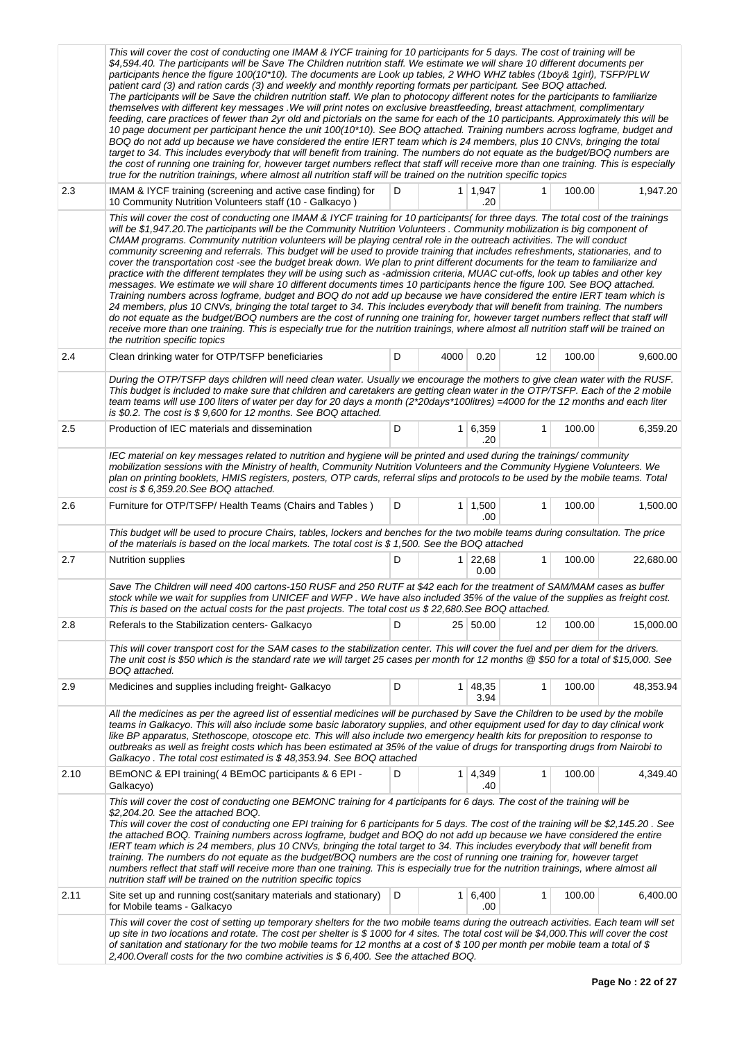|      | This will cover the cost of conducting one IMAM & IYCF training for 10 participants for 5 days. The cost of training will be<br>\$4,594.40. The participants will be Save The Children nutrition staff. We estimate we will share 10 different documents per<br>participants hence the figure 100(10*10). The documents are Look up tables, 2 WHO WHZ tables (1boy& 1girl), TSFP/PLW<br>patient card (3) and ration cards (3) and weekly and monthly reporting formats per participant. See BOQ attached.<br>The participants will be Save the children nutrition staff. We plan to photocopy different notes for the participants to familiarize<br>themselves with different key messages . We will print notes on exclusive breastfeeding, breast attachment, complimentary<br>feeding, care practices of fewer than 2yr old and pictorials on the same for each of the 10 participants. Approximately this will be<br>10 page document per participant hence the unit 100(10*10). See BOQ attached. Training numbers across logframe, budget and<br>BOQ do not add up because we have considered the entire IERT team which is 24 members, plus 10 CNVs, bringing the total<br>target to 34. This includes everybody that will benefit from training. The numbers do not equate as the budget/BOQ numbers are<br>the cost of running one training for, however target numbers reflect that staff will receive more than one training. This is especially<br>true for the nutrition trainings, where almost all nutrition staff will be trained on the nutrition specific topics |   |                |                        |              |        |           |
|------|-------------------------------------------------------------------------------------------------------------------------------------------------------------------------------------------------------------------------------------------------------------------------------------------------------------------------------------------------------------------------------------------------------------------------------------------------------------------------------------------------------------------------------------------------------------------------------------------------------------------------------------------------------------------------------------------------------------------------------------------------------------------------------------------------------------------------------------------------------------------------------------------------------------------------------------------------------------------------------------------------------------------------------------------------------------------------------------------------------------------------------------------------------------------------------------------------------------------------------------------------------------------------------------------------------------------------------------------------------------------------------------------------------------------------------------------------------------------------------------------------------------------------------------------------------------------------------------|---|----------------|------------------------|--------------|--------|-----------|
| 2.3  | IMAM & IYCF training (screening and active case finding) for<br>10 Community Nutrition Volunteers staff (10 - Galkacyo)                                                                                                                                                                                                                                                                                                                                                                                                                                                                                                                                                                                                                                                                                                                                                                                                                                                                                                                                                                                                                                                                                                                                                                                                                                                                                                                                                                                                                                                             | D |                | $1 \mid 1,947$<br>.20  |              | 100.00 | 1,947.20  |
|      | This will cover the cost of conducting one IMAM & IYCF training for 10 participants (for three days. The total cost of the trainings<br>will be \$1,947.20. The participants will be the Community Nutrition Volunteers. Community mobilization is big component of<br>CMAM programs. Community nutrition volunteers will be playing central role in the outreach activities. The will conduct<br>community screening and referrals. This budget will be used to provide training that includes refreshments, stationaries, and to<br>cover the transportation cost -see the budget break down. We plan to print different documents for the team to familiarize and<br>practice with the different templates they will be using such as -admission criteria, MUAC cut-offs, look up tables and other key<br>messages. We estimate we will share 10 different documents times 10 participants hence the figure 100. See BOQ attached.<br>Training numbers across logframe, budget and BOQ do not add up because we have considered the entire IERT team which is<br>24 members, plus 10 CNVs, bringing the total target to 34. This includes everybody that will benefit from training. The numbers<br>do not equate as the budget/BOQ numbers are the cost of running one training for, however target numbers reflect that staff will<br>receive more than one training. This is especially true for the nutrition trainings, where almost all nutrition staff will be trained on<br>the nutrition specific topics                                                                |   |                |                        |              |        |           |
| 2.4  | Clean drinking water for OTP/TSFP beneficiaries                                                                                                                                                                                                                                                                                                                                                                                                                                                                                                                                                                                                                                                                                                                                                                                                                                                                                                                                                                                                                                                                                                                                                                                                                                                                                                                                                                                                                                                                                                                                     | D | 4000           | 0.20                   | 12           | 100.00 | 9,600.00  |
|      | During the OTP/TSFP days children will need clean water. Usually we encourage the mothers to give clean water with the RUSF.<br>This budget is included to make sure that children and caretakers are getting clean water in the OTP/TSFP. Each of the 2 mobile<br>team teams will use 100 liters of water per day for 20 days a month (2*20days*100litres) =4000 for the 12 months and each liter<br>is \$0.2. The cost is \$ 9,600 for 12 months. See BOQ attached.                                                                                                                                                                                                                                                                                                                                                                                                                                                                                                                                                                                                                                                                                                                                                                                                                                                                                                                                                                                                                                                                                                               |   |                |                        |              |        |           |
| 2.5  | Production of IEC materials and dissemination                                                                                                                                                                                                                                                                                                                                                                                                                                                                                                                                                                                                                                                                                                                                                                                                                                                                                                                                                                                                                                                                                                                                                                                                                                                                                                                                                                                                                                                                                                                                       | D | 1 <sup>1</sup> | 6,359<br>.20           | $\mathbf{1}$ | 100.00 | 6,359.20  |
|      | IEC material on key messages related to nutrition and hygiene will be printed and used during the trainings/community<br>mobilization sessions with the Ministry of health, Community Nutrition Volunteers and the Community Hygiene Volunteers. We<br>plan on printing booklets, HMIS registers, posters, OTP cards, referral slips and protocols to be used by the mobile teams. Total<br>$cost$ is $$6,359.20$ . See BOQ attached.                                                                                                                                                                                                                                                                                                                                                                                                                                                                                                                                                                                                                                                                                                                                                                                                                                                                                                                                                                                                                                                                                                                                               |   |                |                        |              |        |           |
| 2.6  | Furniture for OTP/TSFP/ Health Teams (Chairs and Tables)                                                                                                                                                                                                                                                                                                                                                                                                                                                                                                                                                                                                                                                                                                                                                                                                                                                                                                                                                                                                                                                                                                                                                                                                                                                                                                                                                                                                                                                                                                                            | D |                | $1 \mid 1,500$<br>.00  | $\mathbf{1}$ | 100.00 | 1,500.00  |
|      | This budget will be used to procure Chairs, tables, lockers and benches for the two mobile teams during consultation. The price<br>of the materials is based on the local markets. The total cost is \$ 1,500. See the BOQ attached                                                                                                                                                                                                                                                                                                                                                                                                                                                                                                                                                                                                                                                                                                                                                                                                                                                                                                                                                                                                                                                                                                                                                                                                                                                                                                                                                 |   |                |                        |              |        |           |
| 2.7  | Nutrition supplies                                                                                                                                                                                                                                                                                                                                                                                                                                                                                                                                                                                                                                                                                                                                                                                                                                                                                                                                                                                                                                                                                                                                                                                                                                                                                                                                                                                                                                                                                                                                                                  | D |                | $1 \mid 22,68$<br>0.00 | 1            | 100.00 | 22,680.00 |
|      | Save The Children will need 400 cartons-150 RUSF and 250 RUTF at \$42 each for the treatment of SAM/MAM cases as buffer<br>stock while we wait for supplies from UNICEF and WFP. We have also included 35% of the value of the supplies as freight cost.<br>This is based on the actual costs for the past projects. The total cost us \$22,680. See BOQ attached.                                                                                                                                                                                                                                                                                                                                                                                                                                                                                                                                                                                                                                                                                                                                                                                                                                                                                                                                                                                                                                                                                                                                                                                                                  |   |                |                        |              |        |           |
| 2.8  | Referals to the Stabilization centers- Galkacyo                                                                                                                                                                                                                                                                                                                                                                                                                                                                                                                                                                                                                                                                                                                                                                                                                                                                                                                                                                                                                                                                                                                                                                                                                                                                                                                                                                                                                                                                                                                                     | D |                | 25 50.00               | 12           | 100.00 | 15,000.00 |
|      | This will cover transport cost for the SAM cases to the stabilization center. This will cover the fuel and per diem for the drivers.<br>The unit cost is \$50 which is the standard rate we will target 25 cases per month for 12 months @ \$50 for a total of \$15,000. See<br>BOQ attached.                                                                                                                                                                                                                                                                                                                                                                                                                                                                                                                                                                                                                                                                                                                                                                                                                                                                                                                                                                                                                                                                                                                                                                                                                                                                                       |   |                |                        |              |        |           |
| 2.9  | Medicines and supplies including freight- Galkacyo                                                                                                                                                                                                                                                                                                                                                                                                                                                                                                                                                                                                                                                                                                                                                                                                                                                                                                                                                                                                                                                                                                                                                                                                                                                                                                                                                                                                                                                                                                                                  | D |                | $1 \mid 48,35$<br>3.94 | 1            | 100.00 | 48,353.94 |
|      | All the medicines as per the agreed list of essential medicines will be purchased by Save the Children to be used by the mobile<br>teams in Galkacyo. This will also include some basic laboratory supplies, and other equipment used for day to day clinical work<br>like BP apparatus. Stethoscope, otoscope etc. This will also include two emergency health kits for preposition to response to<br>outbreaks as well as freight costs which has been estimated at 35% of the value of drugs for transporting drugs from Nairobi to<br>Galkacyo . The total cost estimated is \$48,353.94. See BOQ attached                                                                                                                                                                                                                                                                                                                                                                                                                                                                                                                                                                                                                                                                                                                                                                                                                                                                                                                                                                      |   |                |                        |              |        |           |
| 2.10 | BEmONC & EPI training (4 BEmOC participants & 6 EPI -<br>Galkacyo)                                                                                                                                                                                                                                                                                                                                                                                                                                                                                                                                                                                                                                                                                                                                                                                                                                                                                                                                                                                                                                                                                                                                                                                                                                                                                                                                                                                                                                                                                                                  | D |                | 1 4,349<br>.40         | 1            | 100.00 | 4,349.40  |
|      | This will cover the cost of conducting one BEMONC training for 4 participants for 6 days. The cost of the training will be<br>\$2,204.20. See the attached BOQ.<br>This will cover the cost of conducting one EPI training for 6 participants for 5 days. The cost of the training will be \$2,145.20. See<br>the attached BOQ. Training numbers across logframe, budget and BOQ do not add up because we have considered the entire<br>IERT team which is 24 members, plus 10 CNVs, bringing the total target to 34. This includes everybody that will benefit from<br>training. The numbers do not equate as the budget/BOQ numbers are the cost of running one training for, however target<br>numbers reflect that staff will receive more than one training. This is especially true for the nutrition trainings, where almost all<br>nutrition staff will be trained on the nutrition specific topics                                                                                                                                                                                                                                                                                                                                                                                                                                                                                                                                                                                                                                                                         |   |                |                        |              |        |           |
| 2.11 | Site set up and running cost(sanitary materials and stationary)<br>for Mobile teams - Galkacyo                                                                                                                                                                                                                                                                                                                                                                                                                                                                                                                                                                                                                                                                                                                                                                                                                                                                                                                                                                                                                                                                                                                                                                                                                                                                                                                                                                                                                                                                                      | D | 1 <sup>1</sup> | 6,400<br>.00           | $\mathbf{1}$ | 100.00 | 6,400.00  |
|      | This will cover the cost of setting up temporary shelters for the two mobile teams during the outreach activities. Each team will set<br>up site in two locations and rotate. The cost per shelter is \$1000 for 4 sites. The total cost will be \$4,000. This will cover the cost<br>of sanitation and stationary for the two mobile teams for 12 months at a cost of \$100 per month per mobile team a total of \$<br>2,400. Overall costs for the two combine activities is \$ 6,400. See the attached BOQ.                                                                                                                                                                                                                                                                                                                                                                                                                                                                                                                                                                                                                                                                                                                                                                                                                                                                                                                                                                                                                                                                      |   |                |                        |              |        |           |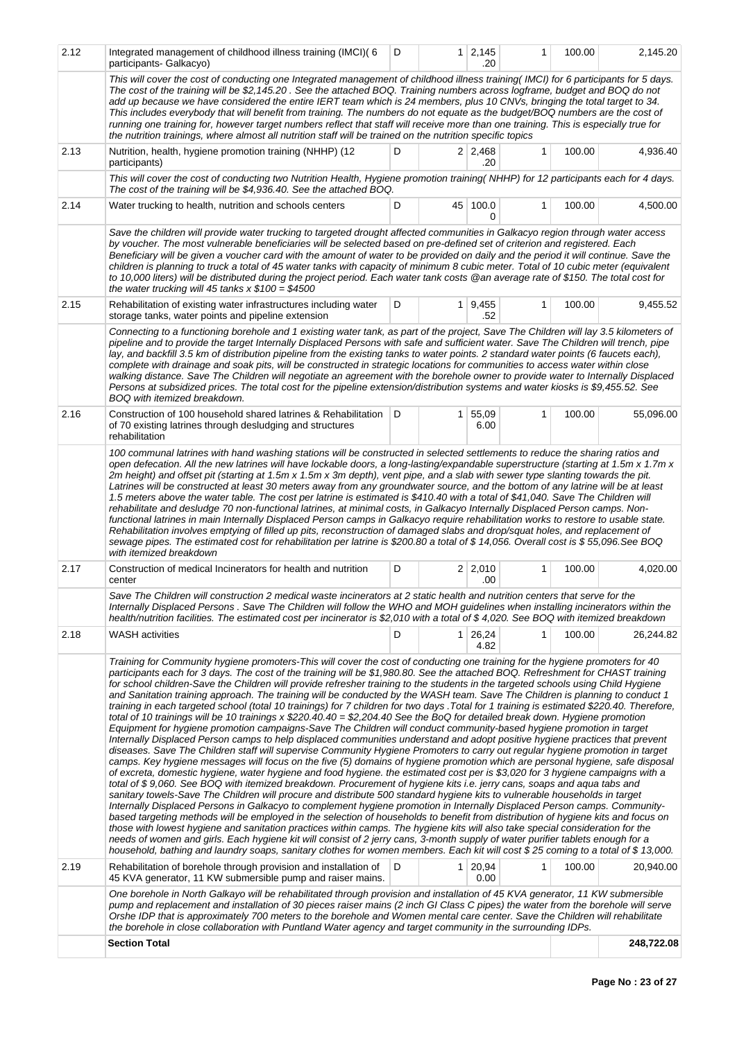| 2.12 | Integrated management of childhood illness training (IMCI)(6<br>participants- Galkacyo)                                                                                                                                                                                                                                                                                                                                                                                                                                                                                                                                                                                                                                                                                                                                                                                                                                                                                                                                                                                                                                                                                                                                                                                                                                                                                                                                                                                                                                                                                                                                                                                                                                                                                                                                                                                                                                                                                                                                                                                                                                                                                                                                                                                                                                                                                                                               | D            |                | $1 \ 2.145$<br>.20    | 1            | 100.00 | 2,145.20   |  |  |
|------|-----------------------------------------------------------------------------------------------------------------------------------------------------------------------------------------------------------------------------------------------------------------------------------------------------------------------------------------------------------------------------------------------------------------------------------------------------------------------------------------------------------------------------------------------------------------------------------------------------------------------------------------------------------------------------------------------------------------------------------------------------------------------------------------------------------------------------------------------------------------------------------------------------------------------------------------------------------------------------------------------------------------------------------------------------------------------------------------------------------------------------------------------------------------------------------------------------------------------------------------------------------------------------------------------------------------------------------------------------------------------------------------------------------------------------------------------------------------------------------------------------------------------------------------------------------------------------------------------------------------------------------------------------------------------------------------------------------------------------------------------------------------------------------------------------------------------------------------------------------------------------------------------------------------------------------------------------------------------------------------------------------------------------------------------------------------------------------------------------------------------------------------------------------------------------------------------------------------------------------------------------------------------------------------------------------------------------------------------------------------------------------------------------------------------|--------------|----------------|-----------------------|--------------|--------|------------|--|--|
|      | This will cover the cost of conducting one Integrated management of childhood illness training(IMCI) for 6 participants for 5 days.<br>The cost of the training will be \$2,145.20. See the attached BOQ. Training numbers across logframe, budget and BOQ do not<br>add up because we have considered the entire IERT team which is 24 members, plus 10 CNVs, bringing the total target to 34.<br>This includes everybody that will benefit from training. The numbers do not equate as the budget/BOQ numbers are the cost of<br>running one training for, however target numbers reflect that staff will receive more than one training. This is especially true for<br>the nutrition trainings, where almost all nutrition staff will be trained on the nutrition specific topics                                                                                                                                                                                                                                                                                                                                                                                                                                                                                                                                                                                                                                                                                                                                                                                                                                                                                                                                                                                                                                                                                                                                                                                                                                                                                                                                                                                                                                                                                                                                                                                                                                 |              |                |                       |              |        |            |  |  |
| 2.13 | Nutrition, health, hygiene promotion training (NHHP) (12<br>participants)                                                                                                                                                                                                                                                                                                                                                                                                                                                                                                                                                                                                                                                                                                                                                                                                                                                                                                                                                                                                                                                                                                                                                                                                                                                                                                                                                                                                                                                                                                                                                                                                                                                                                                                                                                                                                                                                                                                                                                                                                                                                                                                                                                                                                                                                                                                                             | D            |                | $2 \mid 2,468$<br>.20 | $\mathbf{1}$ | 100.00 | 4,936.40   |  |  |
|      | This will cover the cost of conducting two Nutrition Health, Hygiene promotion training(NHHP) for 12 participants each for 4 days.<br>The cost of the training will be \$4,936.40. See the attached BOQ.                                                                                                                                                                                                                                                                                                                                                                                                                                                                                                                                                                                                                                                                                                                                                                                                                                                                                                                                                                                                                                                                                                                                                                                                                                                                                                                                                                                                                                                                                                                                                                                                                                                                                                                                                                                                                                                                                                                                                                                                                                                                                                                                                                                                              |              |                |                       |              |        |            |  |  |
| 2.14 | Water trucking to health, nutrition and schools centers                                                                                                                                                                                                                                                                                                                                                                                                                                                                                                                                                                                                                                                                                                                                                                                                                                                                                                                                                                                                                                                                                                                                                                                                                                                                                                                                                                                                                                                                                                                                                                                                                                                                                                                                                                                                                                                                                                                                                                                                                                                                                                                                                                                                                                                                                                                                                               | D            | 45             | 100.0<br>0            | $\mathbf{1}$ | 100.00 | 4,500.00   |  |  |
|      | Save the children will provide water trucking to targeted drought affected communities in Galkacyo region through water access<br>by voucher. The most vulnerable beneficiaries will be selected based on pre-defined set of criterion and registered. Each<br>Beneficiary will be given a voucher card with the amount of water to be provided on daily and the period it will continue. Save the<br>children is planning to truck a total of 45 water tanks with capacity of minimum 8 cubic meter. Total of 10 cubic meter (equivalent<br>to 10,000 liters) will be distributed during the project period. Each water tank costs @an average rate of \$150. The total cost for<br>the water trucking will 45 tanks $x$ \$100 = \$4500                                                                                                                                                                                                                                                                                                                                                                                                                                                                                                                                                                                                                                                                                                                                                                                                                                                                                                                                                                                                                                                                                                                                                                                                                                                                                                                                                                                                                                                                                                                                                                                                                                                                              |              |                |                       |              |        |            |  |  |
| 2.15 | Rehabilitation of existing water infrastructures including water<br>storage tanks, water points and pipeline extension                                                                                                                                                                                                                                                                                                                                                                                                                                                                                                                                                                                                                                                                                                                                                                                                                                                                                                                                                                                                                                                                                                                                                                                                                                                                                                                                                                                                                                                                                                                                                                                                                                                                                                                                                                                                                                                                                                                                                                                                                                                                                                                                                                                                                                                                                                | D            |                | 1   9,455<br>.52      | $\mathbf{1}$ | 100.00 | 9,455.52   |  |  |
|      | Connecting to a functioning borehole and 1 existing water tank, as part of the project, Save The Children will lay 3.5 kilometers of<br>pipeline and to provide the target Internally Displaced Persons with safe and sufficient water. Save The Children will trench, pipe<br>lay, and backfill 3.5 km of distribution pipeline from the existing tanks to water points. 2 standard water points (6 faucets each),<br>complete with drainage and soak pits, will be constructed in strategic locations for communities to access water within close<br>walking distance. Save The Children will negotiate an agreement with the borehole owner to provide water to Internally Displaced<br>Persons at subsidized prices. The total cost for the pipeline extension/distribution systems and water kiosks is \$9,455.52. See<br>BOQ with itemized breakdown.                                                                                                                                                                                                                                                                                                                                                                                                                                                                                                                                                                                                                                                                                                                                                                                                                                                                                                                                                                                                                                                                                                                                                                                                                                                                                                                                                                                                                                                                                                                                                          |              |                |                       |              |        |            |  |  |
| 2.16 | Construction of 100 household shared latrines & Rehabilitation<br>of 70 existing latrines through desludging and structures<br>rehabilitation                                                                                                                                                                                                                                                                                                                                                                                                                                                                                                                                                                                                                                                                                                                                                                                                                                                                                                                                                                                                                                                                                                                                                                                                                                                                                                                                                                                                                                                                                                                                                                                                                                                                                                                                                                                                                                                                                                                                                                                                                                                                                                                                                                                                                                                                         | $\mathsf{D}$ | 1 <sup>1</sup> | 55,09<br>6.00         | 1            | 100.00 | 55,096.00  |  |  |
|      | 100 communal latrines with hand washing stations will be constructed in selected settlements to reduce the sharing ratios and<br>open defecation. All the new latrines will have lockable doors, a long-lasting/expandable superstructure (starting at 1.5m x 1.7m x<br>2m height) and offset pit (starting at 1.5m x 1.5m x 3m depth), vent pipe, and a slab with sewer type slanting towards the pit.<br>Latrines will be constructed at least 30 meters away from any groundwater source, and the bottom of any latrine will be at least<br>1.5 meters above the water table. The cost per latrine is estimated is \$410.40 with a total of \$41,040. Save The Children will<br>rehabilitate and desludge 70 non-functional latrines, at minimal costs, in Galkacyo Internally Displaced Person camps. Non-<br>functional latrines in main Internally Displaced Person camps in Galkacyo require rehabilitation works to restore to usable state.<br>Rehabilitation involves emptying of filled up pits, reconstruction of damaged slabs and drop/squat holes, and replacement of<br>sewage pipes. The estimated cost for rehabilitation per latrine is \$200.80 a total of \$14,056. Overall cost is \$55,096.See BOQ<br>with itemized breakdown                                                                                                                                                                                                                                                                                                                                                                                                                                                                                                                                                                                                                                                                                                                                                                                                                                                                                                                                                                                                                                                                                                                                                                  |              |                |                       |              |        |            |  |  |
| 2.17 | Construction of medical Incinerators for health and nutrition<br>center                                                                                                                                                                                                                                                                                                                                                                                                                                                                                                                                                                                                                                                                                                                                                                                                                                                                                                                                                                                                                                                                                                                                                                                                                                                                                                                                                                                                                                                                                                                                                                                                                                                                                                                                                                                                                                                                                                                                                                                                                                                                                                                                                                                                                                                                                                                                               | D            |                | 2 2,010<br>.00        | $\mathbf{1}$ | 100.00 | 4,020.00   |  |  |
|      | Save The Children will construction 2 medical waste incinerators at 2 static health and nutrition centers that serve for the<br>Internally Displaced Persons. Save The Children will follow the WHO and MOH guidelines when installing incinerators within the<br>health/nutrition facilities. The estimated cost per incinerator is \$2,010 with a total of \$4,020. See BOQ with itemized breakdown                                                                                                                                                                                                                                                                                                                                                                                                                                                                                                                                                                                                                                                                                                                                                                                                                                                                                                                                                                                                                                                                                                                                                                                                                                                                                                                                                                                                                                                                                                                                                                                                                                                                                                                                                                                                                                                                                                                                                                                                                 |              |                |                       |              |        |            |  |  |
| 2.18 | <b>WASH</b> activities                                                                                                                                                                                                                                                                                                                                                                                                                                                                                                                                                                                                                                                                                                                                                                                                                                                                                                                                                                                                                                                                                                                                                                                                                                                                                                                                                                                                                                                                                                                                                                                                                                                                                                                                                                                                                                                                                                                                                                                                                                                                                                                                                                                                                                                                                                                                                                                                | D            | 1 <sup>1</sup> | 26,24<br>4.82         | $\mathbf{1}$ | 100.00 | 26,244.82  |  |  |
|      | Training for Community hygiene promoters-This will cover the cost of conducting one training for the hygiene promoters for 40<br>participants each for 3 days. The cost of the training will be \$1,980.80. See the attached BOQ. Refreshment for CHAST training<br>for school children-Save the Children will provide refresher training to the students in the targeted schools using Child Hygiene<br>and Sanitation training approach. The training will be conducted by the WASH team. Save The Children is planning to conduct 1<br>training in each targeted school (total 10 trainings) for 7 children for two days . Total for 1 training is estimated \$220.40. Therefore,<br>total of 10 trainings will be 10 trainings x \$220.40.40 = \$2,204.40 See the BoQ for detailed break down. Hygiene promotion<br>Equipment for hygiene promotion campaigns-Save The Children will conduct community-based hygiene promotion in target<br>Internally Displaced Person camps to help displaced communities understand and adopt positive hygiene practices that prevent<br>diseases. Save The Children staff will supervise Community Hygiene Promoters to carry out regular hygiene promotion in target<br>camps. Key hygiene messages will focus on the five (5) domains of hygiene promotion which are personal hygiene, safe disposal<br>of excreta, domestic hygiene, water hygiene and food hygiene. the estimated cost per is \$3,020 for 3 hygiene campaigns with a<br>total of \$9,060. See BOQ with itemized breakdown. Procurement of hygiene kits i.e. jerry cans, soaps and aqua tabs and<br>sanitary towels-Save The Children will procure and distribute 500 standard hygiene kits to vulnerable households in target<br>Internally Displaced Persons in Galkacyo to complement hygiene promotion in Internally Displaced Person camps. Community-<br>based targeting methods will be employed in the selection of households to benefit from distribution of hygiene kits and focus on<br>those with lowest hygiene and sanitation practices within camps. The hygiene kits will also take special consideration for the<br>needs of women and girls. Each hygiene kit will consist of 2 jerry cans, 3-month supply of water purifier tablets enough for a<br>household, bathing and laundry soaps, sanitary clothes for women members. Each kit will cost \$ 25 coming to a total of \$ 13,000. |              |                |                       |              |        |            |  |  |
| 2.19 | Rehabilitation of borehole through provision and installation of<br>45 KVA generator, 11 KW submersible pump and raiser mains.                                                                                                                                                                                                                                                                                                                                                                                                                                                                                                                                                                                                                                                                                                                                                                                                                                                                                                                                                                                                                                                                                                                                                                                                                                                                                                                                                                                                                                                                                                                                                                                                                                                                                                                                                                                                                                                                                                                                                                                                                                                                                                                                                                                                                                                                                        | D            |                | 1 20,94<br>0.00       | 1            | 100.00 | 20,940.00  |  |  |
|      | One borehole in North Galkayo will be rehabilitated through provision and installation of 45 KVA generator, 11 KW submersible<br>pump and replacement and installation of 30 pieces raiser mains (2 inch GI Class C pipes) the water from the borehole will serve<br>Orshe IDP that is approximately 700 meters to the borehole and Women mental care center. Save the Children will rehabilitate<br>the borehole in close collaboration with Puntland Water agency and target community in the surrounding IDPs.                                                                                                                                                                                                                                                                                                                                                                                                                                                                                                                                                                                                                                                                                                                                                                                                                                                                                                                                                                                                                                                                                                                                                                                                                                                                                                                                                                                                                                                                                                                                                                                                                                                                                                                                                                                                                                                                                                     |              |                |                       |              |        |            |  |  |
|      | <b>Section Total</b>                                                                                                                                                                                                                                                                                                                                                                                                                                                                                                                                                                                                                                                                                                                                                                                                                                                                                                                                                                                                                                                                                                                                                                                                                                                                                                                                                                                                                                                                                                                                                                                                                                                                                                                                                                                                                                                                                                                                                                                                                                                                                                                                                                                                                                                                                                                                                                                                  |              |                |                       |              |        | 248,722.08 |  |  |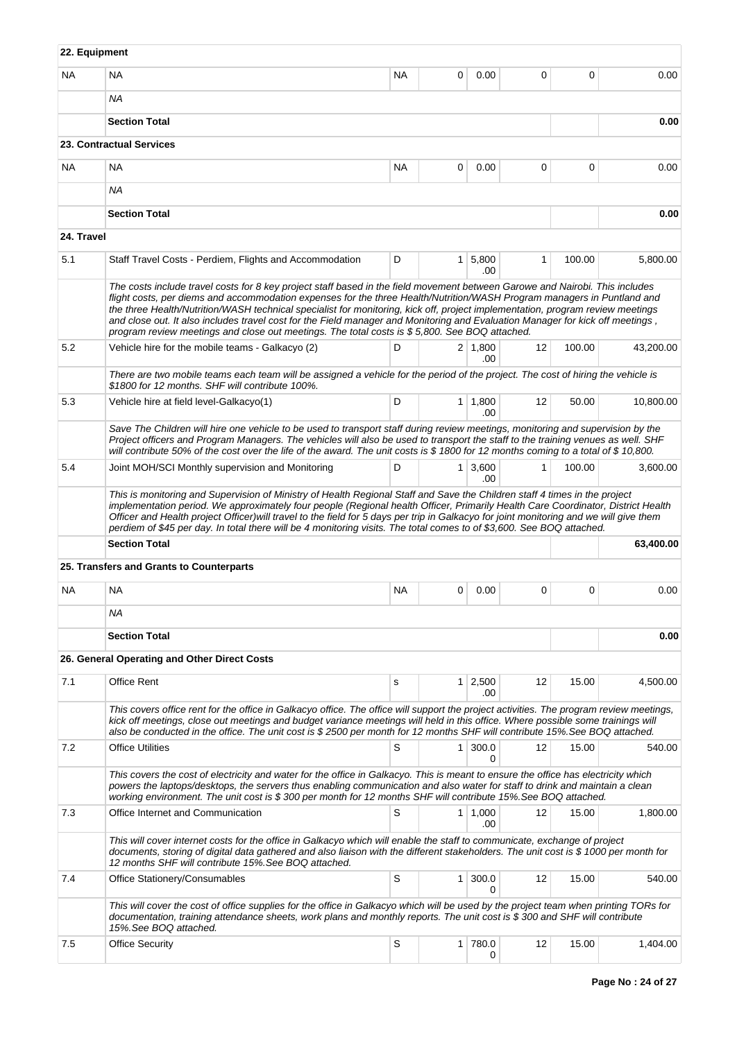| 22. Equipment |                                                                                                                                                                                                                                                                                                                                                                                                                                                                                                                                                                                                                              |           |                |                        |              |        |           |  |
|---------------|------------------------------------------------------------------------------------------------------------------------------------------------------------------------------------------------------------------------------------------------------------------------------------------------------------------------------------------------------------------------------------------------------------------------------------------------------------------------------------------------------------------------------------------------------------------------------------------------------------------------------|-----------|----------------|------------------------|--------------|--------|-----------|--|
| NA.           | <b>NA</b>                                                                                                                                                                                                                                                                                                                                                                                                                                                                                                                                                                                                                    | <b>NA</b> | 0              | 0.00                   | 0            | 0      | 0.00      |  |
|               | <b>NA</b>                                                                                                                                                                                                                                                                                                                                                                                                                                                                                                                                                                                                                    |           |                |                        |              |        |           |  |
|               | <b>Section Total</b>                                                                                                                                                                                                                                                                                                                                                                                                                                                                                                                                                                                                         |           |                |                        |              |        | 0.00      |  |
|               | 23. Contractual Services                                                                                                                                                                                                                                                                                                                                                                                                                                                                                                                                                                                                     |           |                |                        |              |        |           |  |
| <b>NA</b>     | NA                                                                                                                                                                                                                                                                                                                                                                                                                                                                                                                                                                                                                           | <b>NA</b> | 0              | 0.00                   | 0            | 0      | 0.00      |  |
|               | <b>NA</b>                                                                                                                                                                                                                                                                                                                                                                                                                                                                                                                                                                                                                    |           |                |                        |              |        |           |  |
|               | <b>Section Total</b>                                                                                                                                                                                                                                                                                                                                                                                                                                                                                                                                                                                                         |           |                |                        |              |        | 0.00      |  |
| 24. Travel    |                                                                                                                                                                                                                                                                                                                                                                                                                                                                                                                                                                                                                              |           |                |                        |              |        |           |  |
| 5.1           | Staff Travel Costs - Perdiem, Flights and Accommodation                                                                                                                                                                                                                                                                                                                                                                                                                                                                                                                                                                      | D         | 1 <sup>1</sup> | 5,800<br>.00           | $\mathbf{1}$ | 100.00 | 5,800.00  |  |
|               | The costs include travel costs for 8 key project staff based in the field movement between Garowe and Nairobi. This includes<br>flight costs, per diems and accommodation expenses for the three Health/Nutrition/WASH Program managers in Puntland and<br>the three Health/Nutrition/WASH technical specialist for monitoring, kick off, project implementation, program review meetings<br>and close out. It also includes travel cost for the Field manager and Monitoring and Evaluation Manager for kick off meetings,<br>program review meetings and close out meetings. The total costs is \$5,800. See BOQ attached. |           |                |                        |              |        |           |  |
| 5.2           | Vehicle hire for the mobile teams - Galkacyo (2)                                                                                                                                                                                                                                                                                                                                                                                                                                                                                                                                                                             | D         |                | 2 1,800<br>.00         | 12           | 100.00 | 43,200.00 |  |
|               | There are two mobile teams each team will be assigned a vehicle for the period of the project. The cost of hiring the vehicle is<br>\$1800 for 12 months. SHF will contribute 100%.                                                                                                                                                                                                                                                                                                                                                                                                                                          |           |                |                        |              |        |           |  |
| 5.3           | Vehicle hire at field level-Galkacyo(1)                                                                                                                                                                                                                                                                                                                                                                                                                                                                                                                                                                                      | D         |                | $1 \mid 1,800$<br>.00. | 12           | 50.00  | 10,800.00 |  |
|               | Save The Children will hire one vehicle to be used to transport staff during review meetings, monitoring and supervision by the<br>Project officers and Program Managers. The vehicles will also be used to transport the staff to the training venues as well. SHF<br>will contribute 50% of the cost over the life of the award. The unit costs is \$1800 for 12 months coming to a total of \$10,800.                                                                                                                                                                                                                     |           |                |                        |              |        |           |  |
| 5.4           | Joint MOH/SCI Monthly supervision and Monitoring                                                                                                                                                                                                                                                                                                                                                                                                                                                                                                                                                                             | D         | 1 <sup>1</sup> | 3,600<br>.00           | 1            | 100.00 | 3,600.00  |  |
|               | This is monitoring and Supervision of Ministry of Health Regional Staff and Save the Children staff 4 times in the project<br>implementation period. We approximately four people (Regional health Officer, Primarily Health Care Coordinator, District Health<br>Officer and Health project Officer) will travel to the field for 5 days per trip in Galkacyo for joint monitoring and we will give them<br>perdiem of \$45 per day. In total there will be 4 monitoring visits. The total comes to of \$3,600. See BOQ attached.                                                                                           |           |                |                        |              |        |           |  |
|               | <b>Section Total</b>                                                                                                                                                                                                                                                                                                                                                                                                                                                                                                                                                                                                         |           |                |                        |              |        | 63,400.00 |  |
|               | 25. Transfers and Grants to Counterparts                                                                                                                                                                                                                                                                                                                                                                                                                                                                                                                                                                                     |           |                |                        |              |        |           |  |
| <b>NA</b>     | <b>NA</b>                                                                                                                                                                                                                                                                                                                                                                                                                                                                                                                                                                                                                    | <b>NA</b> | 0              | 0.00                   | 0            | 0      | 0.00      |  |
|               | ΝA                                                                                                                                                                                                                                                                                                                                                                                                                                                                                                                                                                                                                           |           |                |                        |              |        |           |  |
|               | <b>Section Total</b>                                                                                                                                                                                                                                                                                                                                                                                                                                                                                                                                                                                                         |           |                | 0.00                   |              |        |           |  |
|               | 26. General Operating and Other Direct Costs                                                                                                                                                                                                                                                                                                                                                                                                                                                                                                                                                                                 |           |                |                        |              |        |           |  |
| 7.1           | <b>Office Rent</b>                                                                                                                                                                                                                                                                                                                                                                                                                                                                                                                                                                                                           | s         | 1 <sup>1</sup> | 2,500<br>.00           | 12           | 15.00  | 4,500.00  |  |
|               | This covers office rent for the office in Galkacyo office. The office will support the project activities. The program review meetings,<br>kick off meetings, close out meetings and budget variance meetings will held in this office. Where possible some trainings will<br>also be conducted in the office. The unit cost is \$2500 per month for 12 months SHF will contribute 15%. See BOQ attached.                                                                                                                                                                                                                    |           |                |                        |              |        |           |  |
| 7.2           | <b>Office Utilities</b>                                                                                                                                                                                                                                                                                                                                                                                                                                                                                                                                                                                                      | S         | $\mathbf{1}$   | 300.0<br>0             | 12           | 15.00  | 540.00    |  |
|               | This covers the cost of electricity and water for the office in Galkacyo. This is meant to ensure the office has electricity which<br>powers the laptops/desktops, the servers thus enabling communication and also water for staff to drink and maintain a clean<br>working environment. The unit cost is \$ 300 per month for 12 months SHF will contribute 15%. See BOQ attached.                                                                                                                                                                                                                                         |           |                |                        |              |        |           |  |
| 7.3           | Office Internet and Communication                                                                                                                                                                                                                                                                                                                                                                                                                                                                                                                                                                                            | S         |                | $1 \mid 1,000$<br>.00  | 12           | 15.00  | 1,800.00  |  |
|               | This will cover internet costs for the office in Galkacyo which will enable the staff to communicate, exchange of project<br>documents, storing of digital data gathered and also liaison with the different stakeholders. The unit cost is \$ 1000 per month for<br>12 months SHF will contribute 15%. See BOQ attached.                                                                                                                                                                                                                                                                                                    |           |                |                        |              |        |           |  |
| 7.4           | Office Stationery/Consumables                                                                                                                                                                                                                                                                                                                                                                                                                                                                                                                                                                                                | S         | $\mathbf{1}$   | 300.0<br>0             | 12           | 15.00  | 540.00    |  |
|               | This will cover the cost of office supplies for the office in Galkacyo which will be used by the project team when printing TORs for<br>documentation, training attendance sheets, work plans and monthly reports. The unit cost is \$300 and SHF will contribute<br>15%. See BOQ attached.                                                                                                                                                                                                                                                                                                                                  |           |                |                        |              |        |           |  |
| 7.5           | <b>Office Security</b>                                                                                                                                                                                                                                                                                                                                                                                                                                                                                                                                                                                                       | S         | 1 <sup>1</sup> | 780.0<br>0             | 12           | 15.00  | 1,404.00  |  |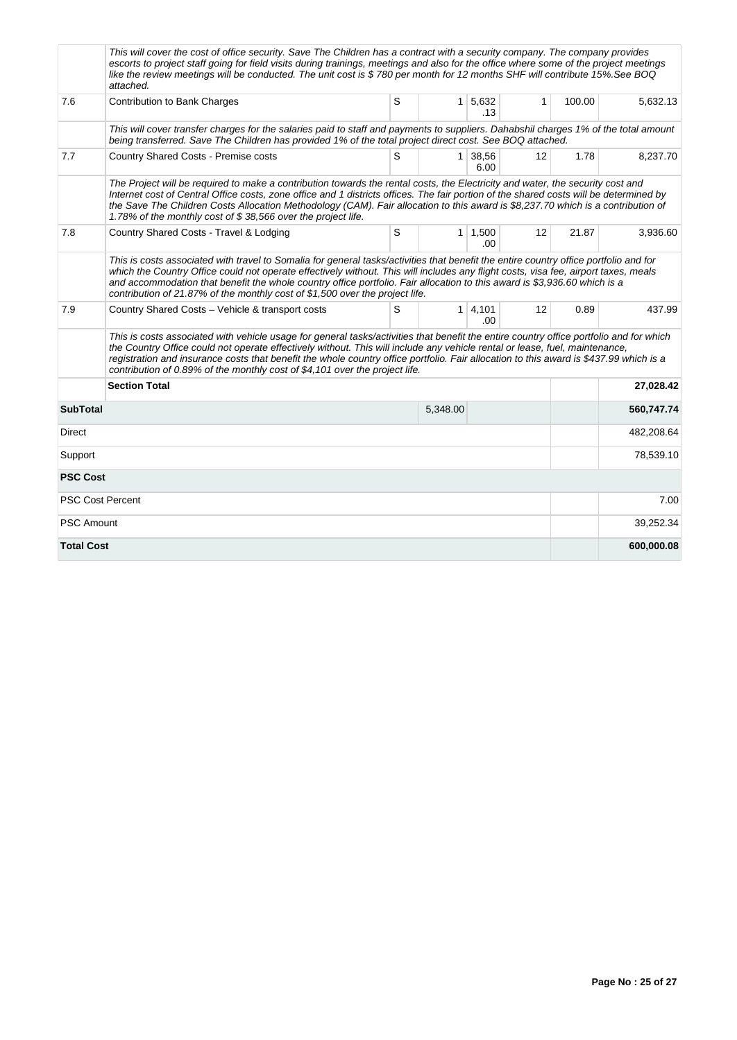|                         | This will cover the cost of office security. Save The Children has a contract with a security company. The company provides<br>escorts to project staff going for field visits during trainings, meetings and also for the office where some of the project meetings<br>like the review meetings will be conducted. The unit cost is \$780 per month for 12 months SHF will contribute 15%.See BOQ<br>attached.                                                                                 |   |          |                        |                   |        |            |
|-------------------------|-------------------------------------------------------------------------------------------------------------------------------------------------------------------------------------------------------------------------------------------------------------------------------------------------------------------------------------------------------------------------------------------------------------------------------------------------------------------------------------------------|---|----------|------------------------|-------------------|--------|------------|
| 7.6                     | <b>Contribution to Bank Charges</b>                                                                                                                                                                                                                                                                                                                                                                                                                                                             | S |          | $1 \mid 5,632$<br>.13  | $\mathbf 1$       | 100.00 | 5.632.13   |
|                         | This will cover transfer charges for the salaries paid to staff and payments to suppliers. Dahabshil charges 1% of the total amount<br>being transferred. Save The Children has provided 1% of the total project direct cost. See BOQ attached.                                                                                                                                                                                                                                                 |   |          |                        |                   |        |            |
| 7.7                     | S<br>$1 \mid 38,56$<br>Country Shared Costs - Premise costs<br>6.00                                                                                                                                                                                                                                                                                                                                                                                                                             |   |          |                        |                   |        | 8,237.70   |
|                         | The Project will be required to make a contribution towards the rental costs, the Electricity and water, the security cost and<br>Internet cost of Central Office costs, zone office and 1 districts offices. The fair portion of the shared costs will be determined by<br>the Save The Children Costs Allocation Methodology (CAM). Fair allocation to this award is \$8,237.70 which is a contribution of<br>1.78% of the monthly cost of \$38,566 over the project life.                    |   |          |                        |                   |        |            |
| 7.8                     | Country Shared Costs - Travel & Lodging                                                                                                                                                                                                                                                                                                                                                                                                                                                         | S |          | $1 \mid 1,500$<br>.00. | $12 \overline{ }$ | 21.87  | 3,936.60   |
|                         | This is costs associated with travel to Somalia for general tasks/activities that benefit the entire country office portfolio and for<br>which the Country Office could not operate effectively without. This will includes any flight costs, visa fee, airport taxes, meals<br>and accommodation that benefit the whole country office portfolio. Fair allocation to this award is \$3,936.60 which is a<br>contribution of 21.87% of the monthly cost of \$1,500 over the project life.       |   |          |                        |                   |        |            |
| 7.9                     | Country Shared Costs - Vehicle & transport costs                                                                                                                                                                                                                                                                                                                                                                                                                                                | S |          | $1 \mid 4,101$<br>.00  | 12                | 0.89   | 437.99     |
|                         | This is costs associated with vehicle usage for general tasks/activities that benefit the entire country office portfolio and for which<br>the Country Office could not operate effectively without. This will include any vehicle rental or lease, fuel, maintenance,<br>registration and insurance costs that benefit the whole country office portfolio. Fair allocation to this award is \$437.99 which is a<br>contribution of 0.89% of the monthly cost of \$4,101 over the project life. |   |          |                        |                   |        |            |
|                         | <b>Section Total</b>                                                                                                                                                                                                                                                                                                                                                                                                                                                                            |   |          |                        |                   |        | 27,028.42  |
| <b>SubTotal</b>         |                                                                                                                                                                                                                                                                                                                                                                                                                                                                                                 |   | 5,348.00 |                        |                   |        | 560,747.74 |
| Direct                  |                                                                                                                                                                                                                                                                                                                                                                                                                                                                                                 |   |          |                        |                   |        | 482,208.64 |
| Support                 |                                                                                                                                                                                                                                                                                                                                                                                                                                                                                                 |   |          |                        |                   |        | 78,539.10  |
| <b>PSC Cost</b>         |                                                                                                                                                                                                                                                                                                                                                                                                                                                                                                 |   |          |                        |                   |        |            |
| <b>PSC Cost Percent</b> |                                                                                                                                                                                                                                                                                                                                                                                                                                                                                                 |   |          |                        |                   |        | 7.00       |
| <b>PSC Amount</b>       |                                                                                                                                                                                                                                                                                                                                                                                                                                                                                                 |   |          |                        |                   |        | 39,252.34  |
| <b>Total Cost</b>       |                                                                                                                                                                                                                                                                                                                                                                                                                                                                                                 |   |          |                        |                   |        | 600,000.08 |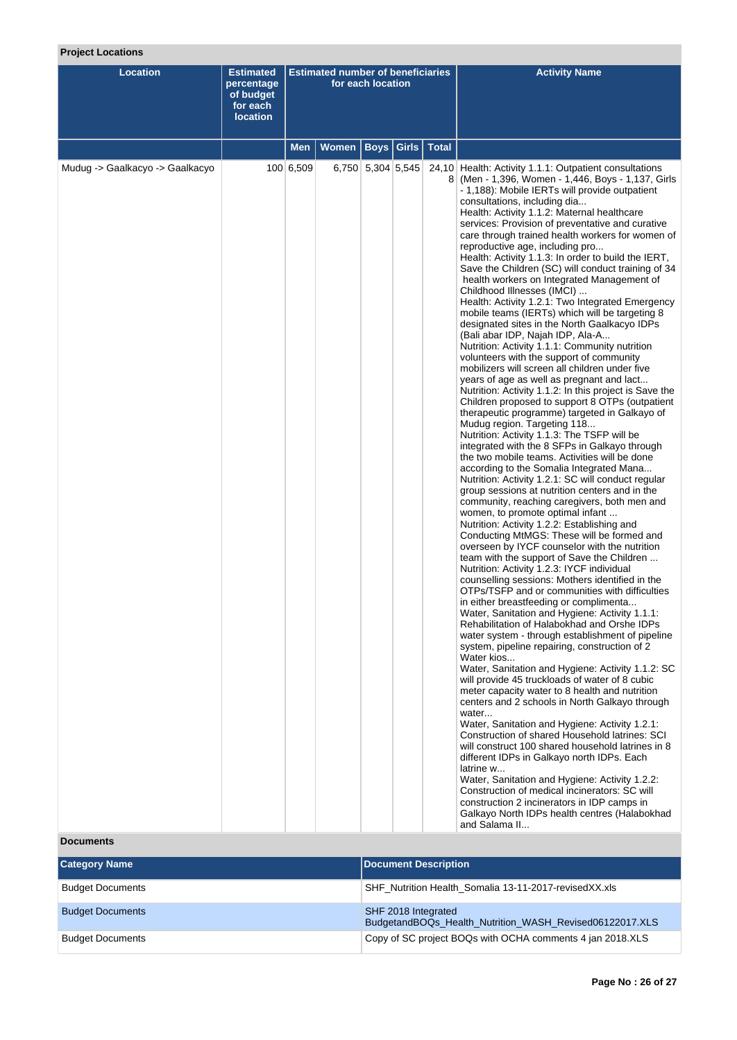# **Project Locations**

| <b>Location</b>                 | <b>Estimated</b><br>percentage<br>of budget<br>for each<br><b>location</b> | <b>Estimated number of beneficiaries</b><br>for each location |              |                   |                           | <b>Activity Name</b>                                                                                                                                                                                                                                                                                                                                                                                                                                                                                                                                                                                                                                                                                                                                                                                                                                                                                                                                                                                                                                                                                                                                                                                                                                                                                                                                                                                                                                                                                                                                                                                                                                                                                                                                                                                                                                                                                                                                                                                                                                                                                                                                                                                                                                                                                                                                                                                                                                                                                                                                                                                                                                                                                                                                                                                                                    |
|---------------------------------|----------------------------------------------------------------------------|---------------------------------------------------------------|--------------|-------------------|---------------------------|-----------------------------------------------------------------------------------------------------------------------------------------------------------------------------------------------------------------------------------------------------------------------------------------------------------------------------------------------------------------------------------------------------------------------------------------------------------------------------------------------------------------------------------------------------------------------------------------------------------------------------------------------------------------------------------------------------------------------------------------------------------------------------------------------------------------------------------------------------------------------------------------------------------------------------------------------------------------------------------------------------------------------------------------------------------------------------------------------------------------------------------------------------------------------------------------------------------------------------------------------------------------------------------------------------------------------------------------------------------------------------------------------------------------------------------------------------------------------------------------------------------------------------------------------------------------------------------------------------------------------------------------------------------------------------------------------------------------------------------------------------------------------------------------------------------------------------------------------------------------------------------------------------------------------------------------------------------------------------------------------------------------------------------------------------------------------------------------------------------------------------------------------------------------------------------------------------------------------------------------------------------------------------------------------------------------------------------------------------------------------------------------------------------------------------------------------------------------------------------------------------------------------------------------------------------------------------------------------------------------------------------------------------------------------------------------------------------------------------------------------------------------------------------------------------------------------------------------|
|                                 |                                                                            | <b>Men</b>                                                    | <b>Women</b> |                   | <b>Boys Girls   Total</b> |                                                                                                                                                                                                                                                                                                                                                                                                                                                                                                                                                                                                                                                                                                                                                                                                                                                                                                                                                                                                                                                                                                                                                                                                                                                                                                                                                                                                                                                                                                                                                                                                                                                                                                                                                                                                                                                                                                                                                                                                                                                                                                                                                                                                                                                                                                                                                                                                                                                                                                                                                                                                                                                                                                                                                                                                                                         |
| Mudug -> Gaalkacyo -> Gaalkacyo |                                                                            | 100 6,509                                                     |              | 6,750 5,304 5,545 |                           | 24,10 Health: Activity 1.1.1: Outpatient consultations<br>8 (Men - 1,396, Women - 1,446, Boys - 1,137, Girls<br>- 1,188): Mobile IERTs will provide outpatient<br>consultations, including dia<br>Health: Activity 1.1.2: Maternal healthcare<br>services: Provision of preventative and curative<br>care through trained health workers for women of<br>reproductive age, including pro<br>Health: Activity 1.1.3: In order to build the IERT,<br>Save the Children (SC) will conduct training of 34<br>health workers on Integrated Management of<br>Childhood Illnesses (IMCI)<br>Health: Activity 1.2.1: Two Integrated Emergency<br>mobile teams (IERTs) which will be targeting 8<br>designated sites in the North Gaalkacyo IDPs<br>(Bali abar IDP, Najah IDP, Ala-A<br>Nutrition: Activity 1.1.1: Community nutrition<br>volunteers with the support of community<br>mobilizers will screen all children under five<br>years of age as well as pregnant and lact<br>Nutrition: Activity 1.1.2: In this project is Save the<br>Children proposed to support 8 OTPs (outpatient<br>therapeutic programme) targeted in Galkayo of<br>Mudug region. Targeting 118<br>Nutrition: Activity 1.1.3: The TSFP will be<br>integrated with the 8 SFPs in Galkayo through<br>the two mobile teams. Activities will be done<br>according to the Somalia Integrated Mana<br>Nutrition: Activity 1.2.1: SC will conduct regular<br>group sessions at nutrition centers and in the<br>community, reaching caregivers, both men and<br>women, to promote optimal infant<br>Nutrition: Activity 1.2.2: Establishing and<br>Conducting MtMGS: These will be formed and<br>overseen by IYCF counselor with the nutrition<br>team with the support of Save the Children<br>Nutrition: Activity 1.2.3: IYCF individual<br>counselling sessions: Mothers identified in the<br>OTPs/TSFP and or communities with difficulties<br>in either breastfeeding or complimenta<br>Water, Sanitation and Hygiene: Activity 1.1.1:<br>Rehabilitation of Halabokhad and Orshe IDPs<br>water system - through establishment of pipeline<br>system, pipeline repairing, construction of 2<br>Water kios<br>Water, Sanitation and Hygiene: Activity 1.1.2: SC<br>will provide 45 truckloads of water of 8 cubic<br>meter capacity water to 8 health and nutrition<br>centers and 2 schools in North Galkayo through<br>water<br>Water, Sanitation and Hygiene: Activity 1.2.1:<br>Construction of shared Household latrines: SCI<br>will construct 100 shared household latrines in 8<br>different IDPs in Galkayo north IDPs. Each<br>latrine w<br>Water, Sanitation and Hygiene: Activity 1.2.2:<br>Construction of medical incinerators: SC will<br>construction 2 incinerators in IDP camps in<br>Galkayo North IDPs health centres (Halabokhad<br>and Salama II |

# **Documents**

| <b>Category Name</b>    | Document Description                                                           |
|-------------------------|--------------------------------------------------------------------------------|
| <b>Budget Documents</b> | SHF Nutrition Health Somalia 13-11-2017-revised XX.xls                         |
| <b>Budget Documents</b> | SHF 2018 Integrated<br>BudgetandBOQs_Health_Nutrition_WASH_Revised06122017.XLS |
| <b>Budget Documents</b> | Copy of SC project BOQs with OCHA comments 4 jan 2018.XLS                      |